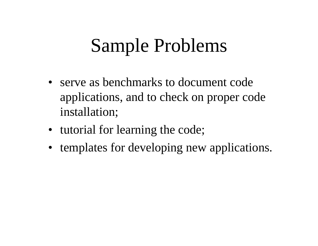# Sample Problems

- serve as benchmarks to document code applications, and to check on proper code installation;
- tutorial for learning the code;
- templates for developing new applications.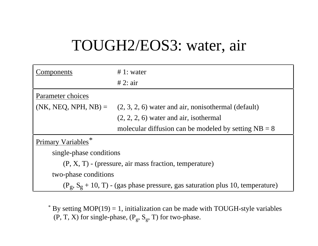# TOUGH2/EOS3: water, air

| Components              | $\# 1$ : water                                                                   |
|-------------------------|----------------------------------------------------------------------------------|
|                         | # 2: air                                                                         |
| Parameter choices       |                                                                                  |
|                         | $(NK, NEG, NPH, NB) = (2, 3, 2, 6)$ water and air, nonisothermal (default)       |
|                         | $(2, 2, 2, 6)$ water and air, isothermal                                         |
|                         | molecular diffusion can be modeled by setting $NB = 8$                           |
| Primary Variables*      |                                                                                  |
| single-phase conditions |                                                                                  |
|                         | $(P, X, T)$ - (pressure, air mass fraction, temperature)                         |
| two-phase conditions    |                                                                                  |
|                         | $(P_g, S_g + 10, T)$ - (gas phase pressure, gas saturation plus 10, temperature) |

 $*$  By setting MOP(19) = 1, initialization can be made with TOUGH-style variables (P, T, X) for single-phase, ( $P_g$ , S<sub>g</sub>, T) for two-phase.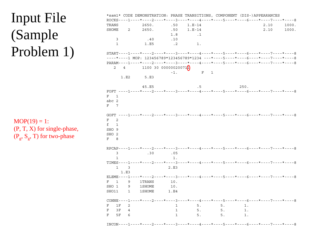#### Input File (Sample Problem 1) \*sam1\* CODE DEMONSTRATION: PHASE TRANSITIONS, COMPONENT (DIS-)APPEARANCES ROCKS----1----\*----2----\*----3----\*----4----\*----5----\*----6----\*----7----\*----8TRANS 2650. .50 1.E-14 2.10 1000.SHOME 2 2650. .50 1.E-14 2.10 1000. 1000. 1.8 .13 .40 .101 1.E5 .2 1.  $START---1---*---2---+---3---+---4---4---+---5---5---*---6---+---7---7---+---8$ ----\*----1 MOP: 123456789\*123456789\*1234 ---\*----5----\*----6----\*----7----\*----8PARAM----1----\*----2----\*----3----\*----4----\*----5----\*----6----\*----7----\*----82  $4$  1100 30 000000200711  $-1.$  F 1 1.E2 5.E345.E5 .5 250. FOFT ----1----\*----2----\*----3----\*----4----\*----5----\*----6----\*----7----\*----8F 1abc 2F 7GOFT ----1----\*----2----\*----3----\*----4----\*----5----\*----6----\*----7----\*----8F 2f 1SHO 9SHO 2F 8RPCAP----1----\*----2----\*----3----\*----4----\*----5----\*----6----\*----7----\*----83 .30 .051 1.TIMES----1----\*----2----\*----3----\*----4----\*----5----\*----6----\*----7----\*----81 3 2.E31.E3 ELEME----1----\*----2----\*----3----\*----4----\*----5----\*----6----\*----7----\*----8F 1 9 1TRANS 10.SHO 1 9 1SHOME 10. SHO11 1 1SHOME 1.E4  $COMNE$ ----1----\*----2----\*----3----\*----4----\*----5----\*----6----\*----7----\*----8 F 1F 2 1 5. 5. 1.F 3F 4 1 5. 5. 1.F 5F 6 1 5. 5. 1. $MOP(19) = 1$ : (P, T, X) for single-phase,  $(P_\sigma, S_\sigma, T)$  for two-phase

INCON----1----\*----2----\*----3----\*----4----\*----5----\*----6----\*----7----\*----8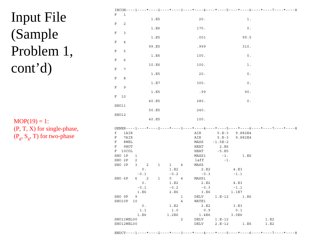# **Input File** (Sample Problem 1,  $cont<sup>2</sup>d)$

 $MOP(19) = 1$ : (P, T, X) for single-phase,  $(P_g, S_g, T)$  for two-phase

| F                                                                                               |       |                                     |             |              |                |                |        |           |                 |                                                                                  |
|-------------------------------------------------------------------------------------------------|-------|-------------------------------------|-------------|--------------|----------------|----------------|--------|-----------|-----------------|----------------------------------------------------------------------------------|
|                                                                                                 | 1     |                                     |             |              |                |                |        |           |                 |                                                                                  |
|                                                                                                 |       |                                     |             | 1.E5         |                |                | $20$ . |           | $1$ .           |                                                                                  |
| $\mathbf F$<br>2                                                                                |       |                                     |             |              |                |                |        |           |                 |                                                                                  |
|                                                                                                 |       |                                     |             |              |                |                |        |           |                 |                                                                                  |
|                                                                                                 |       |                                     |             | 1.E6         |                |                | 170.   |           | $0$ .           |                                                                                  |
| $\mathbf F$<br>3                                                                                |       |                                     |             |              |                |                |        |           |                 |                                                                                  |
|                                                                                                 |       |                                     |             | 1.E5         |                |                | .001   |           | 99.5            |                                                                                  |
| $\mathbf F$                                                                                     | 4     |                                     |             |              |                |                |        |           |                 |                                                                                  |
|                                                                                                 |       |                                     |             | 99.E5        |                |                | .999   |           | 310.            |                                                                                  |
| $\mathbf F$<br>5                                                                                |       |                                     |             |              |                |                |        |           |                 |                                                                                  |
|                                                                                                 |       |                                     |             | 1.E6         |                |                | 100.   |           | $\mathtt{0}$ .  |                                                                                  |
| $\mathbf F$<br>6                                                                                |       |                                     |             |              |                |                |        |           |                 |                                                                                  |
|                                                                                                 |       |                                     |             |              |                |                |        |           |                 |                                                                                  |
|                                                                                                 |       |                                     |             | 10.E6        |                |                | 100.   |           | 1.              |                                                                                  |
| F                                                                                               | 7     |                                     |             |              |                |                |        |           |                 |                                                                                  |
|                                                                                                 |       |                                     |             | 1.E5         |                |                | 20.    |           | 0.              |                                                                                  |
| 8<br>F                                                                                          |       |                                     |             |              |                |                |        |           |                 |                                                                                  |
|                                                                                                 |       |                                     |             | 1.E7         |                |                | 300.   |           | $\,0$ .         |                                                                                  |
| 9<br>F                                                                                          |       |                                     |             |              |                |                |        |           |                 |                                                                                  |
|                                                                                                 |       |                                     |             | 1.E5         |                |                | .99    |           | 90.             |                                                                                  |
|                                                                                                 |       |                                     |             |              |                |                |        |           |                 |                                                                                  |
| F<br>10                                                                                         |       |                                     |             |              |                |                |        |           |                 |                                                                                  |
|                                                                                                 |       |                                     |             | 40.E5        |                |                | 280.   |           | $0$ .           |                                                                                  |
| SHO11                                                                                           |       |                                     |             |              |                |                |        |           |                 |                                                                                  |
|                                                                                                 |       |                                     |             | 50.E5        |                |                | 240.   |           |                 |                                                                                  |
| SHO12                                                                                           |       |                                     |             |              |                |                |        |           |                 |                                                                                  |
|                                                                                                 |       |                                     |             | 40.E5        |                |                | 100.   |           |                 |                                                                                  |
|                                                                                                 |       |                                     |             |              |                |                |        |           |                 |                                                                                  |
|                                                                                                 |       |                                     |             |              |                |                |        |           |                 |                                                                                  |
|                                                                                                 |       |                                     |             |              |                |                |        |           |                 |                                                                                  |
|                                                                                                 |       |                                     |             |              |                |                |        |           |                 | GENER----1----*----2----*----3----*----4----*----5----*----6----*----7----*----8 |
|                                                                                                 | 1AIR  |                                     |             |              |                |                | AIR    |           | 5.E-3 9.882E4   |                                                                                  |
|                                                                                                 | 7AIR  |                                     |             |              |                |                | AIR    | $5.E-3$   | 9.882E4         |                                                                                  |
|                                                                                                 | 8WEL  |                                     |             |              |                |                | MASS   | $-1.5E-2$ |                 |                                                                                  |
|                                                                                                 | 9HOT  |                                     |             |              |                |                | HEAT   | 2.E6      |                 |                                                                                  |
|                                                                                                 | 10COL |                                     |             |              |                |                | HEAT   | $-5. E5$  |                 |                                                                                  |
|                                                                                                 |       | $\overline{\mathbf{1}}$             |             |              |                |                | MASS1  | $-1.$     | 1.E6            |                                                                                  |
|                                                                                                 |       |                                     |             |              |                |                |        |           |                 |                                                                                  |
|                                                                                                 |       | 2                                   |             |              |                |                | laff   | $-1.$     |                 |                                                                                  |
|                                                                                                 |       | 3                                   | 2           | $\mathbf{1}$ | $1 \quad 4$    |                | MASS   |           |                 |                                                                                  |
|                                                                                                 |       |                                     | 0.          |              | 1.E2           |                | 2.E2   |           | 4.E3            |                                                                                  |
|                                                                                                 |       |                                     | $-0.1$      |              | $-0.2$         |                | $-0.3$ |           | $-1.1$          |                                                                                  |
|                                                                                                 |       |                                     | $6\qquad 2$ | $\mathbf{1}$ | $0\quad 4$     |                | MASS1  |           |                 |                                                                                  |
|                                                                                                 |       |                                     | $0$ .       |              | 1.E2           |                | 2.E2   |           | 4.E3            |                                                                                  |
|                                                                                                 |       | $\text{-} \, \text{0}$ . $\text{1}$ |             |              | $\sim 0$ . $2$ |                | $-0.3$ |           | $-1.1$          |                                                                                  |
|                                                                                                 |       |                                     | 1.E6        |              | 2.E6           |                | 3.E6   |           | 1.1E7           |                                                                                  |
|                                                                                                 |       |                                     |             |              |                |                |        |           |                 |                                                                                  |
|                                                                                                 |       | - 9                                 |             |              |                | $\mathbf 1$    | DELV   |           | $1.E-12$ $1.E6$ |                                                                                  |
|                                                                                                 |       | 10                                  |             |              |                | $\overline{4}$ | WATE1  |           |                 |                                                                                  |
|                                                                                                 |       |                                     | $0$ .       |              | 1.E2           |                | 2.E2   |           | 3.E3            |                                                                                  |
|                                                                                                 |       |                                     | 1.1         |              | 1.0            |                | 0.9    |           | 0.1             |                                                                                  |
|                                                                                                 |       |                                     | 1.E6        |              | 1.2E6          |                | 1.4E6  |           | 3.0E6           |                                                                                  |
| f<br>F<br>F<br>F<br>F<br>SHO 1P<br>SHO 2P<br>SHO 3P<br>SHO 6P<br>SHO 9P<br>SHO10P<br>SHO11WEL00 |       |                                     |             |              |                | 2              | DELV   | $1.E-12$  |                 | 1.E2                                                                             |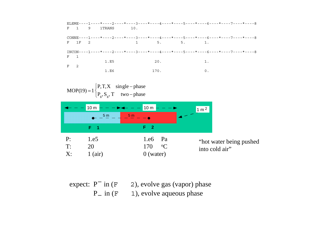



| expect: $P^{-}$ in $(F$ |                  | 2), evolve gas (vapor) phase |
|-------------------------|------------------|------------------------------|
|                         | $P_{n}$ in $(F)$ | 1), evolve aqueous phase     |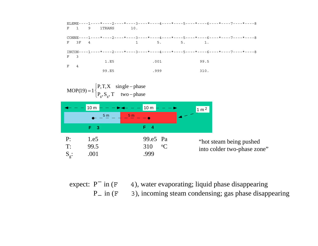|             |   |              |     |      |                                   |      | ELEME----1----*----2----*----3----*----4----*----5----*----6----*----7----*----8 |
|-------------|---|--------------|-----|------|-----------------------------------|------|----------------------------------------------------------------------------------|
|             |   | F 1 9 1TRANS | 10. |      |                                   |      |                                                                                  |
|             |   |              |     |      |                                   |      | CONNE----1----*----2----*----3----*----4----*----5----*----6----*----7----*----8 |
|             |   | $F = 3F = 4$ |     |      | $1 \qquad 5. \qquad 5. \qquad 1.$ |      |                                                                                  |
|             |   |              |     |      |                                   |      | $INCON---1---+---2---+---3---+---4---+---5---+---6---+---6---+---7---+---8$      |
| $F \quad 3$ |   |              |     |      |                                   |      |                                                                                  |
|             |   | 1.E5         |     | .001 |                                   | 99.5 |                                                                                  |
| $F =$       | 4 |              |     |      |                                   |      |                                                                                  |
|             |   | 99.E5        |     | .999 |                                   | 310. |                                                                                  |

 $1\begin{cases} P, T, X \text{ single - phase} \\ P_g, S_g, T \text{ two - phase} \end{cases}$  $MOP(19) = 1$  $P_g$ ,  $S_g$ , T two – phase 10 m 10 m 1 m <sup>2</sup>5 m 5 m  $- - \bullet$ **F 3 F 4** P: 1.e5 99.e5 Pa "hot steam being pushed T: 99.5 310 $0\quad \, {\rm ^oC}$ into colder two-phase zone"  $S_{\rm g}$ : .001 .999

expect: P 4), water evaporating; liquid phase disappearing 3), incoming steam condensing; gas phase disappearing  $P_{n}$  in  $(F_{n})$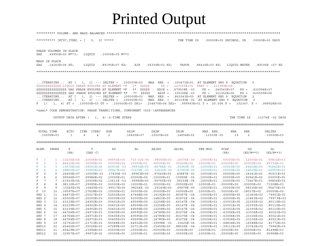# Printed Output

|                                                                                                                                          | ********** [KCYC, ITER] = [<br>$0, 0$ ] *****<br>THE TIME IS<br>.00000E+00 SECONDS, OR<br>.00000E+00 DAYS                                                                                                                                                                                                                                                                                                                                                                                                                                                                                                                                                                                                                                                                                                                                                                                                                                                                                                                                                          |                                                                                                    |                                                                                                    |                                                                                                        |                                                                                                         |                                                                                                          |                                                                                                                   |                                                                                                            |                                                                                                                                                                                                      |                                                                                                      |                                                                                                        |  |  |  |  |
|------------------------------------------------------------------------------------------------------------------------------------------|--------------------------------------------------------------------------------------------------------------------------------------------------------------------------------------------------------------------------------------------------------------------------------------------------------------------------------------------------------------------------------------------------------------------------------------------------------------------------------------------------------------------------------------------------------------------------------------------------------------------------------------------------------------------------------------------------------------------------------------------------------------------------------------------------------------------------------------------------------------------------------------------------------------------------------------------------------------------------------------------------------------------------------------------------------------------|----------------------------------------------------------------------------------------------------|----------------------------------------------------------------------------------------------------|--------------------------------------------------------------------------------------------------------|---------------------------------------------------------------------------------------------------------|----------------------------------------------------------------------------------------------------------|-------------------------------------------------------------------------------------------------------------------|------------------------------------------------------------------------------------------------------------|------------------------------------------------------------------------------------------------------------------------------------------------------------------------------------------------------|------------------------------------------------------------------------------------------------------|--------------------------------------------------------------------------------------------------------|--|--|--|--|
| GAS                                                                                                                                      | PHASE VOLUMES IN PLACE<br>.49950E+02 M**3;<br>LIQUID<br>.10050E+05 M**3                                                                                                                                                                                                                                                                                                                                                                                                                                                                                                                                                                                                                                                                                                                                                                                                                                                                                                                                                                                            |                                                                                                    |                                                                                                    |                                                                                                        |                                                                                                         |                                                                                                          |                                                                                                                   |                                                                                                            |                                                                                                                                                                                                      |                                                                                                      |                                                                                                        |  |  |  |  |
| GAS                                                                                                                                      | MASS IN PLACE<br>VAPOR<br>.14263E+04 KG;<br>LIQUID<br>.89195E+07 KG;<br>AIR<br>$.56359E+03$ KG;<br>$.86436E+03$ KG;<br>LIQUID WATER<br>.89195E +07 KG                                                                                                                                                                                                                                                                                                                                                                                                                                                                                                                                                                                                                                                                                                                                                                                                                                                                                                              |                                                                                                    |                                                                                                    |                                                                                                        |                                                                                                         |                                                                                                          |                                                                                                                   |                                                                                                            |                                                                                                                                                                                                      |                                                                                                      |                                                                                                        |  |  |  |  |
|                                                                                                                                          |                                                                                                                                                                                                                                                                                                                                                                                                                                                                                                                                                                                                                                                                                                                                                                                                                                                                                                                                                                                                                                                                    |                                                                                                    |                                                                                                    |                                                                                                        |                                                                                                         |                                                                                                          |                                                                                                                   |                                                                                                            |                                                                                                                                                                                                      |                                                                                                      |                                                                                                        |  |  |  |  |
|                                                                                                                                          | ITERATING AT [<br>$1, 1]$ --- DELTEX = .100000E+03<br>MAX. RES. = .393471E+01 AT ELEMENT SHO 9 EQUATION<br>2<br>\$\$\$\$\$\$\$\$\$\$\$\$\$\$ LIQUID PHASE EVOLVES AT ELEMENT *F<br>$1*$ \$\$\$\$\$<br>$PS =$<br>.120555E+05<br>$PSAT = .233989E+04$<br>\$\$\$\$\$\$\$\$\$\$\$\$\$\$\$\$\$ GAS PHASE EVOLVES AT ELEMENT *F<br>\$\$\$\$\$<br>XAIR = .679538E -03<br>$PX = .240543E+07$<br>5*<br>.432994E+07<br>$PG =$<br>\$\$\$\$\$\$\$\$\$\$\$\$\$\$\$\$\$ GAS PHASE EVOLVES AT ELEMENT *F<br>$7*$<br>\$\$\$\$\$<br>XAIR = .100168E-03<br>$PX = .321052E+06$<br>$PG =$<br>.625505E+06<br>$1, 2]$ --- DELTEX = .100000E+03<br>$MAX. RES. = .863043E+00 AT ELEMENT SHO 9$<br>$\ldots$ ITERATING AT [<br>EOUATION<br>2<br>$\ldots$ ITERATING AT [<br>$1, 3$ ] --- DELTEX = .100000E+03<br>MAX. RES. = .803189E-02 AT ELEMENT SHO 9<br>EOUATION<br>2<br>$F = 1(1, 4) ST = 100000E+03 DT = 100000E+03 DX1=$<br>$.234670E+04$ DX2= $.999993E+01$ T = 20.006 P =<br>$102347. S = .999928E+00$<br>*sam1* CODE DEMONSTRATION: PHASE TRANSITIONS, COMPONENT (DIS-)APPEARANCES |                                                                                                    |                                                                                                    |                                                                                                        |                                                                                                         |                                                                                                          |                                                                                                                   |                                                                                                            |                                                                                                                                                                                                      |                                                                                                      |                                                                                                        |  |  |  |  |
|                                                                                                                                          |                                                                                                                                                                                                                                                                                                                                                                                                                                                                                                                                                                                                                                                                                                                                                                                                                                                                                                                                                                                                                                                                    |                                                                                                    |                                                                                                    |                                                                                                        |                                                                                                         |                                                                                                          |                                                                                                                   |                                                                                                            |                                                                                                                                                                                                      |                                                                                                      |                                                                                                        |  |  |  |  |
|                                                                                                                                          |                                                                                                                                                                                                                                                                                                                                                                                                                                                                                                                                                                                                                                                                                                                                                                                                                                                                                                                                                                                                                                                                    | OUTPUT DATA AFTER (                                                                                |                                                                                                    | $1, 4$ ) -2-TIME STEPS                                                                                 |                                                                                                         |                                                                                                          |                                                                                                                   |                                                                                                            | THE TIME IS                                                                                                                                                                                          |                                                                                                      | .11574E -02 DAYS                                                                                       |  |  |  |  |
|                                                                                                                                          |                                                                                                                                                                                                                                                                                                                                                                                                                                                                                                                                                                                                                                                                                                                                                                                                                                                                                                                                                                                                                                                                    |                                                                                                    |                                                                                                    |                                                                                                        |                                                                                                         |                                                                                                          |                                                                                                                   |                                                                                                            |                                                                                                                                                                                                      |                                                                                                      |                                                                                                        |  |  |  |  |
|                                                                                                                                          | TOTAL TIME<br>.10000E+03                                                                                                                                                                                                                                                                                                                                                                                                                                                                                                                                                                                                                                                                                                                                                                                                                                                                                                                                                                                                                                           | KCYC<br>1                                                                                          | ITER<br>ITERC<br>4<br>4                                                                            | KON<br>2                                                                                               | DX1M<br>.16455E+07                                                                                      | DX2M<br>.10000E+02                                                                                       | DX3M<br>.14654E+02                                                                                                | MAX. RES.<br>.11503E-05                                                                                    | NER<br>19                                                                                                                                                                                            | KER<br>2                                                                                             | DELTEX<br>.10000E+03                                                                                   |  |  |  |  |
|                                                                                                                                          |                                                                                                                                                                                                                                                                                                                                                                                                                                                                                                                                                                                                                                                                                                                                                                                                                                                                                                                                                                                                                                                                    |                                                                                                    |                                                                                                    |                                                                                                        |                                                                                                         |                                                                                                          |                                                                                                                   |                                                                                                            |                                                                                                                                                                                                      |                                                                                                      |                                                                                                        |  |  |  |  |
| ELEM.                                                                                                                                    | INDEX                                                                                                                                                                                                                                                                                                                                                                                                                                                                                                                                                                                                                                                                                                                                                                                                                                                                                                                                                                                                                                                              | P<br>(PA)                                                                                          | T<br>$(DEG - C)$                                                                                   | SG                                                                                                     | SL                                                                                                      | XAIRG                                                                                                    | XAIRL                                                                                                             | PER.MOD.                                                                                                   | PCAP<br>(PA)                                                                                                                                                                                         | DG<br>$(KG/M**3)$                                                                                    | DL<br>$(KG/M**3)$                                                                                      |  |  |  |  |
| F<br>1<br>$\mathbf F$<br>$\overline{a}$<br>3<br>F<br>F<br>$\overline{4}$<br>$\mathbf F$<br>5<br>$\mathbf F$<br>6<br>$7\phantom{.0}$<br>F | 2<br>4<br>5<br>6<br>7                                                                                                                                                                                                                                                                                                                                                                                                                                                                                                                                                                                                                                                                                                                                                                                                                                                                                                                                                                                                                                              | 1 .10235E+06<br>.84410E+06<br>3 .10570E+06<br>.98861E+07<br>.26455E+07<br>.99566E+07<br>.61923E+06 | .20006E+02<br>.16999E+03<br>.99591E+02<br>$.30990E + 03$<br>.10005E+03<br>.99984E+02<br>.20005E+02 | .99993E+00<br>$.00000E + 00$<br>$.65930E - 03$<br>.99927E+00<br>.37436E-03<br>.10000E+01<br>.13611E-03 | .715 01E-04<br>.10000E+01<br>.99934E+00<br>$.73379E - 03$<br>.99963E+00<br>$.00000E + 00$<br>.99986E+00 | .98565E+00<br>$.00000E + 00$<br>$.84784E - 01$<br>$.32622E-02$<br>.97540E+00<br>.10000E+01<br>.99765E+00 | $.16076E - 04$<br>$.00000E + 00$<br>.93960E-06<br>$.47952E-05$<br>.40887E-03<br>.15995E -02<br>.99159E-04         | $.10000E + 01$<br>$.10000E + 01$<br>$.10000E + 01$<br>.10000E+01<br>.10000E+01<br>.10000E+01<br>.10000E+01 | $.00000E + 00$<br>$.00000E + 00$<br>$.00000E + 00$<br>$.00000E + 00$<br>$.00000E + 00$<br>$.00000E + 00$<br>$.00000E + 00$                                                                           | .12055E+01<br>$.00000E + 00$<br>$.64424E+00$<br>.54629E+02<br>.24341E+02<br>.92941E+02<br>.73467E+01 | .99832E+03<br>.89734E+03<br>.95842E+03<br>$.69093E + 03$<br>.95931E+03<br>$.00000E + 00$<br>.99856E+03 |  |  |  |  |
| F<br>8<br>F<br>9<br>F<br>10<br>SHO 1                                                                                                     | 8<br>9<br>10<br>11                                                                                                                                                                                                                                                                                                                                                                                                                                                                                                                                                                                                                                                                                                                                                                                                                                                                                                                                                                                                                                                 | .98110E+07<br>.15045E+06<br>.39597E+07<br>.44873E+07                                               | .29995E+03<br>.10465E+03<br>.27628E+03<br>.25017E+03                                               | $.00000E + 00$<br>.99017E+00<br>.10000E+01<br>.52552E+00                                               | .10000E+01<br>$.98254E - 02$<br>$.00000E + 00$<br>.47448E+00                                            | $.00000E + 00$<br>.29149E+00<br>$.00000E + 00$<br>.14192E+00                                             | $.00000E + 00$<br>.49979E-05<br>$.00000E + 00$<br>$.80067E - 04$                                                  | .10000E+01<br>.10000E+01<br>.10000E+01                                                                     | $.00000E + 00$<br>$.00000E + 00$<br>$.00000E + 00$<br>$.10000E+01 - .65690E+05$                                                                                                                      | $.00000E + 00$<br>.98336E+00<br>.18037E+02<br>.23360E+02                                             | .71508E+03<br>.95473E+03<br>$.00000E + 00$<br>.79951E+03                                               |  |  |  |  |
| SHO <sub>2</sub><br>SHO <sub>3</sub><br>SHO 4<br>SHO 5<br>SHO 6<br>SHO 7<br>SHO 8                                                        | 12<br>13<br>14<br>15<br>16<br>17<br>18                                                                                                                                                                                                                                                                                                                                                                                                                                                                                                                                                                                                                                                                                                                                                                                                                                                                                                                                                                                                                             | .45000E+07<br>.43239E+07<br>.43239E+07<br>.43239E+07<br>.44764E+07<br>.44764E+07<br>.44764E+07     | .25000E+03<br>.24902E+03<br>.24902E+03<br>.24902E+03<br>.24971E+03<br>.24971E+03<br>.24971E+03     | .50000E+00<br>.50401E+00<br>.50401E+00<br>.50401E+00<br>.50405E+00<br>.50405E+00<br>.50405E+00         | .50000E+00<br>.49599E+00<br>.49599E+00<br>.49599E+00<br>.49595E+00<br>.49595E+00<br>.49595E+00          | .14823E+00<br>.12258E+00<br>.12258E+00<br>.12258E+00<br>.14789E+00<br>.14789E+00<br>.14789E+00           | .83971E -04<br>$.66147E - 04$<br>$.66147E - 04$<br>$.66147E - 04$<br>.83275E -04<br>$.83275E - 04$<br>.83275E -04 |                                                                                                            | $.10000E+01 - .62500E+05$<br>$.10000E+01 - .63001E+05$<br>.10000E+01 -.63001E+05<br>$.10000E+01 - .63001E+05$<br>$.10000E+01 - .63006E+05$<br>$.10000E+01 - .63006E+05$<br>$.10000E+01 - .63006E+05$ | .23463E+02<br>.22393E+02<br>.22393E+02<br>.22393E+02<br>.23336E+02<br>.23336E+02<br>.23336E+02       | .79979E+03<br>.80110E+03<br>.80110E+03<br>.80110E+03<br>.80021E+03<br>.80021E+03<br>.80021E+03         |  |  |  |  |
| SHO <sub>9</sub><br>SHO10<br>SHO11<br>SHO12                                                                                              | 19<br>20<br>21                                                                                                                                                                                                                                                                                                                                                                                                                                                                                                                                                                                                                                                                                                                                                                                                                                                                                                                                                                                                                                                     | .32791E+07<br>.45462E+07<br>.45429E+07<br>22 .32957E+07                                            | .23713E+03<br>.25026E+03<br>.23994E+03<br>.99971E+02                                               | .55068E+00<br>.47289E+00<br>$.00000E + 00$<br>$.00000E + 00$                                           | .44932E+00<br>.52711E+00<br>.10000E+01<br>.10000E+01                                                    | .39998E-01<br>.15455E+00<br>$.00000E + 00$<br>$.00000E + 00$                                             | .15625E-04<br>$.88636E - 04$<br>$.00000E + 00$<br>$.00000E + 00$                                                  | $.10000E+01$ .00000E+00<br>.10000E+01                                                                      | $.10000E+01 - .68834E+05$<br>$.10000E+01 - .59111E+05$<br>.00000E+00                                                                                                                                 | .16588E+02<br>.23743E+02<br>$.00000E + 00$<br>$.00000E + 00$                                         | .81772E+03<br>.79945E+03<br>.81498E+03<br>.95968E+03                                                   |  |  |  |  |

@@@@@@@@@@@@@@@@@@@@@@@@@@@@@@@@@@@@@@@@@@@@@@@@@@@@@@@@@@@@@@@@@@@@@@@@@@@@@@@@@@@@@@@@@@@@@@@@@@@@@@@@@@@@@@@@@@@@@@@@@@@@@@@@@@@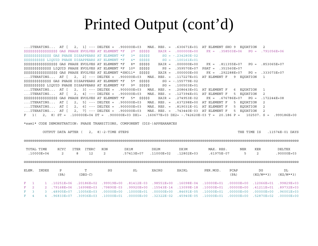## Printed Output (cont'd)

... ITERATING... AT [ 2, 1] --- DELTEX = .900000E+03 MAX. RES. = .630671E+01 AT ELEMENT SHO 9 EQUATION 2  $SG = -0.234280E - 02$ \$\$\$\$\$\$\$\$\$\$\$\$\$\$ GAS PHASE DISAPPEARS AT ELEMENT \*F 3\* \$\$\$\$\$  $SSSSSSSSSS$  LIOUID PHASE DISAPPEARS AT ELEMENT \*F 4\* SSSSS SS SG = .100161E+01 \$\$\$\$\$\$\$\$\$\$\$\$\$\$\$\$\$ GAS PHASE EVOLVES AT ELEMENT \*F 8\* \$\$\$\$\$ XAIR = .000000E+00  $PX = .811355E+07$   $PG = .853065E+07$ \$\$\$\$\$\$\$\$\$\$\$\$\$\$ LIQUID PHASE EVOLVES AT ELEMENT \*F 10\* \$\$\$\$\$  $PS = 359570E+07$   $PSAT = 351560E+07$  $PX = .292288E+07$   $PG = .333073E+07$ ... ITERATING... AT  $\begin{bmatrix} 2 & 2 \end{bmatrix}$  --- DELTEX = .900000E+03 MAX.RES. = .117227E+01 AT ELEMENT F 9 EOUATION 1  $SG = -.155779E-02$ \$\$\$\$\$\$\$\$\$\$\$\$\$\$ GAS PHASE DISAPPEARS AT ELEMENT \*F 5\* \$\$\$\$\$  $SG = .100503E+01$ \$\$\$\$\$\$\$\$\$\$ LIQUID PHASE DISAPPEARS AT ELEMENT \*F 9\* \$\$\$\$\$ ... ITERATING... AT  $\begin{bmatrix} 2 \\ 3 \end{bmatrix}$  --- DELTEX = .900000E+03 MAX.RES. = .208643E+01 AT ELEMENT F 6 EOUATION  $\overline{1}$ ... ITERATING... AT [ 2, 4] --- DELTEX = .900000E+03 MAX. RES. = .127394E+01 AT ELEMENT F 5 EQUATION  $\overline{2}$  $$$ \$\$\$\$\$\$\$\$\$\$\$\$\$\$\$\$\$\$\$\$ GAS PHASE EVOLVES AT ELEMENT \*F 5\* \$\$\$\$\$ XAIR = .274953E-02  $PG = .172244E+08$  $PX = .676786E+07$ ... ITERATING... AT  $\begin{bmatrix} 2, 5 \end{bmatrix}$  --- DELTEX = .900000E+03 MAX.RES. = .637298E+00 AT ELEMENT F 5 EOUATION 2 ... ITERATING... AT  $\begin{bmatrix} 2.6 \end{bmatrix}$  --- DELTEX = .900000E+03 MAX. RES. = .819031E-01 AT ELEMENT F 5 EOUATION  $\overline{2}$ ... ITERATING... AT [ 2, 7] --- DELTEX = .900000E+03 MAX. RES. = .743440E-03 AT ELEMENT F 5 EQUATION 2  $F$  1 (2, 8) ST = .100000E+04 DT = .900000E+03 DX1= .160677E+03 DX2= -.742620E-03 T = 20.186 P = 102507. S = .999186E+00

\*sam1\* CODE DEMONSTRATION: PHASE TRANSITIONS, COMPONENT (DIS-)APPEARANCES

OUTPUT DATA AFTER (2, 8)-2-TIME STEPS

THE TIME IS .11574E-01 DAYS

#### 

| TOTAL TIME<br>.10000E+04 |  |       | KCYC<br>2      | <b>ITERC</b><br>ITER<br>8<br>12 | KON<br>$\overline{2}$ | DX1M<br>.57413E+07 | DX2M<br>.11000E+02 | DX3M<br>.12802E+03                              | MAX. RES.<br>.61975E-07 | <b>NER</b><br>5 | <b>KER</b><br>2           | DELTEX<br>$.90000E + 03$ |
|--------------------------|--|-------|----------------|---------------------------------|-----------------------|--------------------|--------------------|-------------------------------------------------|-------------------------|-----------------|---------------------------|--------------------------|
|                          |  |       |                |                                 |                       |                    |                    |                                                 |                         |                 |                           |                          |
| ELEM.                    |  | INDEX | Ρ<br>(PA)      | m.<br>$(DEG-C)$                 | SG                    | SL                 | XAIRG              | XAIRL                                           | PER.MOD.                | PCAP<br>(PA)    | DG<br>$(KG/M**3)$         | DL<br>$(KG/M**3)$        |
| $F = 1$                  |  |       | $.10251E + 06$ | $.20186E + 02$                  | $.99919E + 00$        | $.81412E-03$       | $.98551E+00$       | $.16098E - 04$                                  | $.10000E + 01$          | $.00000E + 00$  | $.12066E + 01$            | $.99829E + 03$           |
| $F = 2$                  |  |       | $.79168E + 06$ | $.16998E + 03$                  | .79890E-03            | $.99920E + 00$     | $.15543E - 14$     | $.13099E - 18$                                  | $.10000E + 01$          | $.00000E + 00$  | $.41211E+01$              | $.89732E + 03$           |
| $F = 3$                  |  |       | $.48905E + 07$ | $.10056E + 03$                  | $.00000E + 00$        |                    |                    | $10000E+01$ $00000E+00$ $84691E-05$ $10000E+01$ |                         |                 | $.00000E + 00$ .00000E+00 | .96001E+03               |

00+300000E+07 .52870E+07 .00000E+00 .32322E-02 .45940E-05 .10000E+00 .0000E+00 .0000E+00 .30936E+07 .30936E+03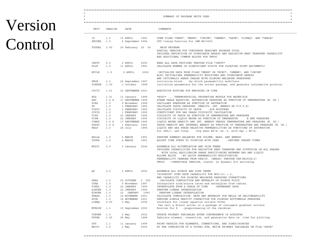# Version Control

| UNIT                                               | VERSION                                   | DATE                                                                                                                                    |              | COMMENTS                                                                                                                                                                                                                                                                                                                                                                                                                  |
|----------------------------------------------------|-------------------------------------------|-----------------------------------------------------------------------------------------------------------------------------------------|--------------|---------------------------------------------------------------------------------------------------------------------------------------------------------------------------------------------------------------------------------------------------------------------------------------------------------------------------------------------------------------------------------------------------------------------------|
| IO –<br>SECOND                                     | 1.0<br>1.0                                | 15 APRIL<br>6 September 1994                                                                                                            | 1991         | OPEN FILES *VERS*, *MESH*, *INCON*, *GENER*, *SAVE*, *LINEQ*, AND *TABLE*<br>CPU timing function for IBM RS/6000                                                                                                                                                                                                                                                                                                          |
| TOUGH2                                             | 2.00                                      | 20 February 20 05                                                                                                                       |              | MAIN PROGRAM<br>SPECIAL VERSION FOR CONJUGATE GRADIENT PACKAGE T2CG2<br>INCLUDES DEFINITION OF COORDINATE ARRAYS AND RADIATIVE HEAT TRANSFER CAPABILITY<br>HAS ADDITIONAL COMMON BLOCKS FOR TMVOC                                                                                                                                                                                                                         |
| INPUT<br>FLOP                                      | 2.0<br>1.0                                | 2 APRIL<br>11 APRIL                                                                                                                     | 2002<br>1991 | READ ALL DATA PROVIDED THROUGH FILE *INPUT*<br>CALCULATE NUMBER OF SIGNIFICANT DIGITS FOR FLOATING POINT ARITHMETIC                                                                                                                                                                                                                                                                                                       |
| RFILE                                              | 1.5                                       | 2 APRIL                                                                                                                                 | 2002         | INITIALIZE DATA FROM FILES *MESH* OR *MINC*, *GENER*, AND *INCON*<br>ALSO INITIALIZES PERMEABILITY MODIFIERS AND COORDINATE ARRAYS<br>AND OPTIONALLY READS TABLES WITH FLOWING WELLBORE PRESSURES                                                                                                                                                                                                                         |
| PMIN<br>SINSUB                                     | 1.0<br>1.00                               | 26 September 1997<br>1 October 1999                                                                                                     |              | -by-block permeability modifiers<br>initialize block<br>initialize parameters for the solver package, and generate informative printout                                                                                                                                                                                                                                                                                   |
| CYCIT                                              | 1.01                                      | 20 SEPTEMBER 2001                                                                                                                       |              | EXECUTIVE ROUTINE FOR MARCHING IN TIME                                                                                                                                                                                                                                                                                                                                                                                    |
| EOS<br>SAT<br>PCAP<br>PP<br>VISCO<br>COVIS<br>VISS | 1.01<br>1.0 S<br>1.0<br>1.0<br>1.0<br>1.0 | 11 January 1999<br>17 SEPTEMBER 1990<br>9 November 1999<br>1 FEBRUARY 1990<br>1 FEBRUARY 1990<br>1.0 1 FEBRUARY 1990<br>22 JANUARY 1990 |              | *EOS3*  THERMOPHYSICAL PROPERTIES MODULE FOR WATER/AIR<br>STEAM TABLE EQUATION: SATURATION PRESSURE AS FUNCTION OF TEMPERATURE (M. OS.)<br>CAPILLARY PRESSURE AS FUNCTION OF SATURATION<br>CALCULATE VAPOR PRESSURE, DENSITY, INT. ENERGY AS F(P, T, X)<br>CALCULATE VISCOSITY OF VAPOR<br>-AIR MIXTURES<br>COEFFICIENT FOR GAS PHASE VISCOSITY CALCULATION<br>VISCOSITY OF VAPOR AS FUNCTION OF TEMPERATURE AND PRESSURE |
| VISW<br>COWAT<br>SUPST<br>RELP                     | 1.0<br>1.0 S<br>1.0                       | 22 JANUARY 1990<br>1.0 S 17 SEPTEMBER 1990<br>1 February 1991<br>26 July                                                                | 1995         | VISCOSITY OF LIQUID WATER AS FUNCTION OF TEMPERATUR<br>E AND PRESSURE<br>LIQUID WATER DENSITY AND INT. ENERGY VERSUS TEMPERATURE AND PRESSURE (M. OS.)<br>VAPOR DENSITY AND INTERNAL ENERGY AS FUNCTION OF TEMPERATURE AND PRESSURE (M. OS.)<br>LIQUID AND GAS PHASE RELATIVE PERMEABILITIES AS FUNCTIONS OF SATURATION<br>for IRP=7, use Corey<br>-krg when $RP(4)$ .ne. 0, with $Sgr = RP(4)$                           |
| BALLA<br>TSTEP                                     | 1.0<br>1.0                                | 5 MARCH<br>4 MARCH                                                                                                                      | 1991<br>1991 | PERFORM SUMMARY BALANCES FOR VOLUME, MASS, AND ENERGY<br>ADJUST TIME STEPS TO COINCIDE WITH USER - DEFINED TARGET TIMES                                                                                                                                                                                                                                                                                                   |
| MULTI                                              | 2.0                                       | 3 January                                                                                                                               | 2006         | ASSEMBLE ALL ACCUMULATION AND FLOW TERMS<br>INCLUDES CAPABILITIES FOR RADIATIVE HEAT TRANSFER AND DIFFUSION IN ALL PHASES<br>WITH LOCAL EQUILIBRIUM PHASE PARTITIONING BETWEEN GAS AND LIQUID<br>ALLOWS BLOCK - BY-BLOCK PERMEABILITY MODIFICATION<br>PERMEABILITY CHANGES FROM PRECIP. (EWASG) THROUGH PAR (NLOC2S+3)<br>TMVOC - COMPATIBLE VERSION; 3Jan06: no dynamic D=0 switching                                    |
| OU                                                 | 2.0                                       | 2 APRIL                                                                                                                                 | 2002         | ASSEMBLE ALL SOURCE AND SINK TERMS<br>"RIGOROUS" STEP RATE CAPABILITY FOR MOP(12) = 2,<br>AND CAPABILITY FOR FLOWING WELLBORE PRESSURE CORRECTIONS                                                                                                                                                                                                                                                                        |
| PHAS<br>TTAB<br>FINDL                              | 1.0<br>1.0<br>1.0                         | 25 OCTOBER<br>5 November 1997<br>22 JANUARY 1990                                                                                        | 2 002        | CALCULATE COMPOSITION AND ENTHALPY OF SOURCE FLUID<br>Interpolate sink/source rates and enthalpies from tables.<br>INTERPOLATE FROM A TABLE OF TIME<br>-DEPENDENT DATA                                                                                                                                                                                                                                                    |
| QINTER 1.0<br>HINTER                               | 1.0                                       | 22 JANUARY 1990<br>22 JANUARY 1990                                                                                                      |              | PERFORM LINEAR INTERPOLATION<br>PERFORM LINEAR INTERPOLATION                                                                                                                                                                                                                                                                                                                                                              |
| PHASD<br>GCOR<br>LINEQ                             | 1.0<br>1.0<br>2.00                        | 14 NOVEMBER 2001<br>14 NOVEMBER 2001<br>2 May                                                                                           | 2006         | CALCULATE COMPOSITION, RATE AND ENTHALPY FOR WELLS ON DELIVERABILITY<br>PERFORM SIMPLE GRAVITY CORRECTION FOR FLOWING BOTTOMHOLE PRESSURE<br>Interface for linear equation solvers T2CG2                                                                                                                                                                                                                                  |
| MTRXIN                                             | 1.1                                       | 10 September 2000                                                                                                                       |              | Can call a direct solver or a package of conjugate gradient solvers<br>Routine for Z<br>-preprocessing of the Jacobian                                                                                                                                                                                                                                                                                                    |
| CONVER<br>FGTAB                                    | 1.0<br>1.00                               | 2 May<br>28 May                                                                                                                         | 2002<br>1998 | UPDATE PRIMARY VARIABLES AFTER CONVERGENCE IS ACHIEVED<br>Tabulate element, connection, and generation data vs. time for plotting                                                                                                                                                                                                                                                                                         |
|                                                    |                                           | 11 January                                                                                                                              | 1999         | PRINT RESULTS FOR ELEMENTS, CONNECTIONS, AND SINKS/SOURCES                                                                                                                                                                                                                                                                                                                                                                |

 \*\*\*\*\*\*\*\*\*\*\*\*\*\*\*\*\*\*\*\*\*\*\*\*\*\*\*\*\*\*\*\*\*\*\*\*\*\*\*\*\*\*\*\*\*\*\*\*\*\*\*\*\*\*\*\*\*\*\*\*\*\*\*\*\*\*\*\*\*\*\*\*\*\*\*\*\*\*\*\*\*\*\*\*\*\*\*\*\*\*\*\*\*\*\*\*\*\*\*\*\*\*\*\*\*\*\*\*\*\*\*\*\*\*\*\*\*\*\*\*\*\*\*\*\*\*\*\*\*\*\*  $\star$  \*  $\star$ 

\*\*\*\*\*\*\*\*\*\*\*\*\*\*\*\*\*\*\*\*\*\*\*\*\*\*\*\*\*\*\*\*\*\*\*\*\*\*\*\*\*\*\*\*\*\*\*\*\*\*\*\*\*\*\*\*\*\*\*\*\*\*\*\*\*\*\*\*\*\*\*\*\*\*\*\*\*\*\*\*\*\*\*\*\*\*\*\*\*\*\*\*\*\*\*\*\*\*\*\*\*\*\*\*\*\*\*\*\*\*\*\*\*\*\*\*\*\*\*\*\*\*\*\*\*\*\*\*\*\*\*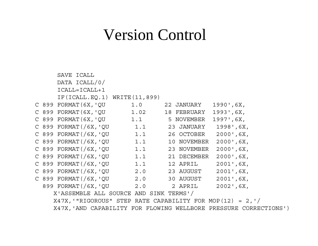## Version Control

SAVE ICALL DATA ICALL/0/  $ICATJ = ICATJ + 1$ IF(ICALL.EQ.1) WRITE(11,899) C 899 FORMAT(6X,'QU 1.0 22 JANUARY 1990',6X, C 899 FORMAT(6X,'QU 1.02 18 FEBRUARY 1993',6X, C 899 FORMAT(6X, 'QU 1.1 5 NOVEMBER 1997', 6X, C 899 FORMAT(/6X,'QU 1.1 23 JANUARY 1998',6X, C 899 FORMAT(/6X,'QU 1.1 26 OCTOBER 2000',6X, C 899 FORMAT(/6X, QU 1.1 10 NOVEMBER 2000', 6X, C 899 FORMAT(/6X,'QU 1.1 23 NOVEMBER 2000',6X, C 899 FORMAT(/6X,'QU 1.1 21 DECEMBER 2000',6X, C 899 FORMAT(/6X, 'QU 1.1 12 APRIL 2001',6X, C 899 FORMAT(/6X,'QU 2.0 23 AUGUST 2001',6X, C 899 FORMAT(/6X,'QU 2.0 30 AUGUST 2001',6X, 899 FORMAT(/6X,'QU 2.0 2 APRIL 2002',6X, X'ASSEMBLE ALL SOURCE AND SINK TERMS'/

X47X,'"RIGOROUS" STEP RATE CAPABILITY FOR MOP(12) = 2,'/ X47X,'AND CAPABILITY FOR FLOWING WELLBORE PRESSURE CORRECTIONS')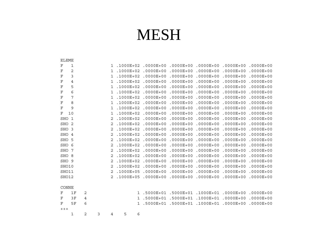## MESH

| ELEME        |                |            |   |              |               |               |               |               |               |               |
|--------------|----------------|------------|---|--------------|---------------|---------------|---------------|---------------|---------------|---------------|
| $\rm F$      | 1              |            |   | ı            | $.1000E + 02$ | $.0000E + 00$ | $.0000E + 00$ | $.0000E + 00$ | $.0000E + 00$ | $.0000E + 00$ |
| $\mathbf F$  | 2              |            |   | $\mathbf{1}$ | .1000E+02     | $.0000E + 00$ | $.0000E + 00$ | $.0000E + 00$ | $.0000E + 00$ | $.0000E + 00$ |
| $\mathbf F$  | 3              |            |   | 1            | .1000E+02     | $.0000E + 00$ | $.0000E + 00$ | $.0000E + 00$ | $.0000E + 00$ | $.0000E + 00$ |
| $\rm F$      | 4              |            |   | 1            | .1000E+02     | $.0000E + 00$ | $.0000E + 00$ | $.0000E + 00$ | $.0000E + 00$ | $.0000E + 00$ |
| $_{\rm F}$   | 5              |            |   | 1            | $.1000E + 02$ | $.0000E + 00$ | $.0000E + 00$ | $.0000E + 00$ | $.0000E + 00$ | $.0000E + 00$ |
| $\rm F$      | 6              |            |   | 1            | .1000E+02     | $.0000E + 00$ | $.0000E + 00$ | $.0000E + 00$ | $.0000E + 00$ | $.0000E + 00$ |
| $\mathbf F$  | 7              |            |   | $\mathbf{1}$ | .1000E+02     | $.0000E + 00$ | $.0000E + 00$ | $.0000E + 00$ | $.0000E + 00$ | $.0000E + 00$ |
| $\mathbf F$  | 8              |            |   | 1            | .1000E+02     | $.0000E + 00$ | $.0000E + 00$ | $.0000E + 00$ | $.0000E + 00$ | $.0000E + 00$ |
| $_{\rm F}$   | 9              |            |   | $\mathbf{1}$ | .1000E+02     | $.0000E + 00$ | $.0000E + 00$ | $.0000E + 00$ | $.0000E + 00$ | $.0000E + 00$ |
| $_{\rm F}$   | 10             |            |   | 1            | .1000E+02     | $.0000E + 00$ | $.0000E + 00$ | $.0000E + 00$ | $.0000E + 00$ | $.0000E + 00$ |
| SHO          | $\mathbf{1}$   |            |   | 2            | .1000E+02     | $.0000E + 00$ | $.0000E + 00$ | $.0000E + 00$ | $.0000E + 00$ | $.0000E + 00$ |
| SHO          | 2              |            |   | 2            | .1000E+02     | $.0000E + 00$ | $.0000E + 00$ | $.0000E + 00$ | $.0000E + 00$ | $.0000E + 00$ |
| SHO          | 3              |            |   | 2            | .1000E+02     | $.0000E + 00$ | $.0000E + 00$ | $.0000E + 00$ | $.0000E + 00$ | $.0000E + 00$ |
| <b>SHO</b>   | $\overline{4}$ |            |   | 2            | $.1000E + 02$ | $.0000E + 00$ | $.0000E + 00$ | $.0000E + 00$ | $.0000E + 00$ | $.0000E + 00$ |
| SHO          | 5              |            |   | 2            | .1000E+02     | $.0000E + 00$ | $.0000E + 00$ | $.0000E + 00$ | $.0000E + 00$ | $.0000E + 00$ |
| SHO          | 6              |            |   | 2            | .1000E+02     | $.0000E + 00$ | $.0000E + 00$ | $.0000E + 00$ | $.0000E + 00$ | $.0000E + 00$ |
| <b>SHO</b>   | 7              |            |   | 2            | .1000E+02     | $.0000E + 00$ | $.0000E + 00$ | $.0000E + 00$ | $.0000E + 00$ | $.0000E + 00$ |
| <b>SHO</b>   | 8              |            |   | 2            | .1000E+02     | $.0000E + 00$ | $.0000E + 00$ | $.0000E + 00$ | $.0000E + 00$ | $.0000E + 00$ |
| SHO          | 9              |            |   | 2            | .1000E+02     | $.0000E + 00$ | $.0000E + 00$ | $.0000E + 00$ | $.0000E + 00$ | $.0000E + 00$ |
| SHO10        |                |            |   | 2            | .1000E+02     | $.0000E + 00$ | $.0000E + 00$ | $.0000E + 00$ | $.0000E + 00$ | $.0000E + 00$ |
| SHO11        |                |            |   | 2            | .1000E+05     | $.0000E + 00$ | $.0000E + 00$ | $.0000E + 00$ | $.0000E + 00$ | $.0000E + 00$ |
| SHO12        |                |            |   | 2            | .1000E+05     | $.0000E + 00$ | $.0000E + 00$ | $.0000E + 00$ | $.0000E + 00$ | $.0000E + 00$ |
|              |                |            |   |              |               |               |               |               |               |               |
| <b>CONNE</b> |                |            |   |              |               |               |               |               |               |               |
| $_{\rm F}$   | 1F             | 2          |   |              | 1             | .5000E+01     | .5000E+01     | $.1000E + 01$ | $.0000E + 00$ | $.0000E + 00$ |
| $_{\rm F}$   | ЗF             | 4          |   |              | 1             | .5000E+01     | .5000E+01     | .1000E+01     | $.0000E + 00$ | $.0000E + 00$ |
| $_{\rm F}$   | 5F             | 6          |   |              | 1             | .5000E+01     | .5000E+01     | $.1000E + 01$ | $.0000E + 00$ | $.0000E + 00$ |
| $++++$       |                |            |   |              |               |               |               |               |               |               |
|              | 1              | $\sqrt{2}$ | 3 | 4            | 6<br>5        |               |               |               |               |               |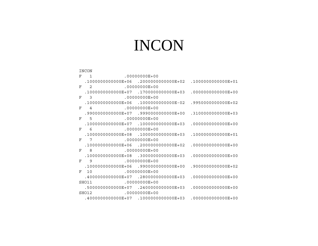# **INCON**

|   | INCON                                  |                                                              |                      |
|---|----------------------------------------|--------------------------------------------------------------|----------------------|
|   | $F = 1$ .00000000E+00                  |                                                              |                      |
|   |                                        | $.1000000000000E+06$ .2000000000000E+02 .100000000000E+01    |                      |
|   | $F$ 2 .00000000E+00                    |                                                              |                      |
|   |                                        | $1000000000000E+07$ $170000000000E+03$ .0000000000000E+00    |                      |
|   | $F \qquad 3$                           | $.00000000E + 00$                                            |                      |
|   |                                        | $.1000000000000E+06$ $.100000000000E-02$ $.995000000000E+02$ |                      |
|   | $F$ 4                                  | $.00000000E+00$                                              |                      |
|   |                                        | $.99000000000000E+07$ .9990000000000E+00                     | .3100000000000E+03   |
|   | $F = 5$                                | $.00000000E + 00$                                            |                      |
|   |                                        | $.10000000000000E+07$ .1000000000000E+03                     | $.0000000000000E+00$ |
| F | 6 .00000000E+00                        |                                                              |                      |
|   |                                        | $.1000000000000E+08$ $.100000000000E+03$ $.100000000000E+01$ |                      |
|   | F 7 .00000000E+00                      |                                                              |                      |
|   |                                        | $.1000000000000E + 06$ . 20000000000000E+02                  | $.0000000000000E+00$ |
|   | $.00000000E + 00$<br>$F =$<br>8        |                                                              |                      |
|   |                                        | $.1000000000000E + 08$ .3000000000000E+03                    | $.0000000000000E+00$ |
|   | 9 .00000000E+00<br>$F =$               |                                                              |                      |
|   |                                        | $.1000000000000E + 06$ .9900000000000E+00                    | .9000000000000E+02   |
|   | $.00000000E+00$<br>$F = 10$            |                                                              |                      |
|   |                                        | $.4000000000000E+07$ .2800000000000E+03                      | $.0000000000000E+00$ |
|   | $.00000000E + 00$<br>SHO11             |                                                              |                      |
|   |                                        | $.5000000000000E+07$ $.2400000000000E+03$                    | $.0000000000000E+00$ |
|   | $.00000000E + 00$<br>SHO <sub>12</sub> |                                                              |                      |
|   |                                        | $.4000000000000E+07$ .1000000000000E+03                      | .000000000000E+00    |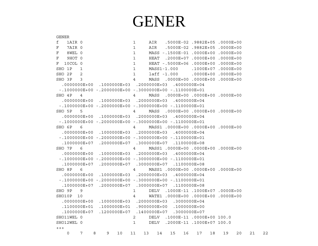# **GENER**

GENER f 1AIR 0  $1$ AIR .5000E-02 .9882E+05 .0000E+00 F 7ATR 0  $\mathbf{1}$ AIR .5000E-02.9882E+05.0000E+00 F 8WEL 0  $\mathbf{1}$ MASS -.1500E-01 .0000E+00 .0000E+00 F 9HOT 0  $1$ HEAT .2000E+07 .0000E+00 .0000E+00  $F = 10$  COL 0  $\mathbf{1}$ HEAT -.5000E+06 .0000E+00 .0000E+00 SHO 1P  $\overline{1}$  $\mathbf{1}$ MASS1-1.000  $.1000E+07$  .0000E+00  $SHO$  2P 2  $\mathbf{1}$  $1$ aff  $-1.000$  .0000E+00.0000E+00  $SHO$  3P 3  $\overline{4}$  $MASS$  ,  $0000E+00$  ,  $0000E+00$  ,  $0000E+00$  $0.0000000E+00$  .1000000E+03 .2000000E+03 .4000000E+04  $-1000000E+00 - 2000000E+00 - 3000000E+00 - 1100000E+01$ SHO 4P MASS .0000E+00 .0000E+00 .0000E+00  $\overline{4}$  $\overline{4}$  $0.0000000E + 0.0000000E + 0.3$   $0.000000E + 0.3$   $0.000000E + 0.4$  $-1000000E+00 - 2000000E+00 - 3000000E+00 - 1100000E+01$ SHO 5P 5  $\overline{4}$ MASS .0000E+00 .0000E+00 .0000E+00  $00000000E+00$  .1000000E+03 .2000000E+03 .4000000E+04  $-1000000E+00 - 2000000E+00 - 3000000E+00 - 1100000E+01$ MASS1 .0000E+00 .0000E+00 .0000E+00  $SHO$   $6P$   $6$  $\overline{4}$  $.0000000E+00$   $.1000000E+03$   $.2000000E+03$   $.4000000E+04$  $-1000000E+00 - 2000000E+00 - 3000000E+00 - 1100000E+01$  $.1000000E+07$   $.2000000E+07$   $.3000000E+07$   $.1100000E+08$ SHO 7P 6  $\overline{4}$ MASS1 .0000E+00 .0000E+00 .0000E+00  $.0000000E+00$   $.1000000E+03$   $.2000000E+03$   $.4000000E+04$  $-.10000000E+00-.2000000E+00-.3000000E+00-.1100000E+01$  $.1000000E+07$   $.2000000E+07$   $.3000000E+07$   $.1100000E+08$  $SHO$   $RP$   $6$  $\overline{4}$ MASS1 .0000E+00 .0000E+00 .0000E+00  $.0000000E+00$   $.1000000E+03$   $.2000000E+03$   $.4000000E+04$  $-.10000000E+00-.2000000E+00-.3000000E+00-.1100000E+01$  $1000000E+07$   $2000000E+07$   $3000000E+07$   $1100000E+08$ SHO 9P 9  $\mathbf{1}$ DELV . 1000E-11 . 1000E+07 . 0000E+00 SHO10P 10  $\overline{4}$ WATE1 .0000E+00 .0000E+00 .0000E+00  $.00000000E+00$   $.1000000E+03$   $.2000000E+03$   $.3000000E+04$  $.11000000E+01$   $.1000000E+01$   $.9000000E+00$   $.1000000E+00$  $10000000E+07$   $1200000E+07$   $1400000E+07$   $3000000E+07$ SHO11WEL 0  $\overline{2}$ DELV .1000E-11 .0000E+00 100.0 SHO12WEL 0 1 DELV .2000E-11 .1000E+07 100.0  $+++$  $\Omega$  $7^{\circ}$  $\mathbf{R}$ 9 10 11 13 14 15 16 17 18 19 20  $21$ 

22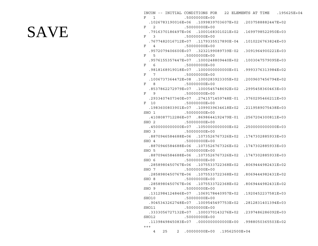# **SAVE**

|                     |    |  |                                       |  |  |                                                          | INCON -- INITIAL CONDITIONS FOR 22 ELEMENTS AT TIME .195625E+04 |
|---------------------|----|--|---------------------------------------|--|--|----------------------------------------------------------|-----------------------------------------------------------------|
| F 1 .50000000E+00   |    |  |                                       |  |  |                                                          |                                                                 |
|                     |    |  |                                       |  |  | .1026783190016E+06 .1099839703607E+02 .2037588882447E+02 |                                                                 |
| F 2 .50000000E+00   |    |  |                                       |  |  |                                                          |                                                                 |
|                     |    |  |                                       |  |  | .7916370186497E+06 .1000168301021E+02 .1699798522950E+03 |                                                                 |
| F 3 .50000000E+00   |    |  |                                       |  |  |                                                          |                                                                 |
|                     |    |  |                                       |  |  | .7677482016712E+07 .1179335517890E-04 .1010226763824E+03 |                                                                 |
| F 4 .50000000E+00   |    |  |                                       |  |  |                                                          |                                                                 |
|                     |    |  |                                       |  |  | .9572079406600E+07 .3232199089739E-02 .3091964900221E+03 |                                                                 |
| F 5 .50000000E+00   |    |  |                                       |  |  |                                                          |                                                                 |
|                     |    |  |                                       |  |  | .9576155357447E+07 .1000248809440E+02 .1003047579095E+03 |                                                                 |
| F 6 .50000000E+00   |    |  |                                       |  |  |                                                          |                                                                 |
|                     |    |  |                                       |  |  | .9818168919018E+07 .100000000000E+01 .9993376313984E+02  |                                                                 |
| F 7 .50000000E+00   |    |  |                                       |  |  |                                                          |                                                                 |
|                     |    |  |                                       |  |  | .1006737364472E+08 .1000283923305E+02 .2009607456794E+02 |                                                                 |
| F 8 .50000000E+00   |    |  |                                       |  |  |                                                          |                                                                 |
|                     |    |  |                                       |  |  | .8537862272979E+07 .1000545748692E+02 .2995458360463E+03 |                                                                 |
| F 9 .50000000E+00   |    |  |                                       |  |  |                                                          |                                                                 |
|                     |    |  |                                       |  |  | .2933407407340E+07 .2741571459748E-01 .3760295466211E+03 |                                                                 |
| F 10                |    |  | .50000000E+00                         |  |  |                                                          |                                                                 |
|                     |    |  |                                       |  |  | .1983600803901E+07 .1099039634618E+02 .2119589075438E+03 |                                                                 |
|                     |    |  |                                       |  |  |                                                          |                                                                 |
|                     |    |  |                                       |  |  | .4108087712286E+07 .8698644192479E-01 .2567204300811E+03 |                                                                 |
| SHO 2 .50000000E+00 |    |  |                                       |  |  |                                                          |                                                                 |
|                     |    |  | .450000000000E+07 .105000000000E+02   |  |  | .2500000000000E+03                                       |                                                                 |
| SHO 3 .50000000E+00 |    |  |                                       |  |  |                                                          |                                                                 |
|                     |    |  | .8870946584688E+06 .1073526767326E+02 |  |  | .1747302885933E+03                                       |                                                                 |
| SHO 4 .50000000E+00 |    |  |                                       |  |  |                                                          |                                                                 |
|                     |    |  |                                       |  |  | .8870946584688E+06 .1073526767326E+02 .1747302885933E+03 |                                                                 |
| SHO 5 .50000000E+00 |    |  |                                       |  |  |                                                          |                                                                 |
|                     |    |  |                                       |  |  | .8870946584688E+06 .1073526767326E+02 .1747302885933E+03 |                                                                 |
| SHO 6 .50000000E+00 |    |  |                                       |  |  |                                                          |                                                                 |
|                     |    |  |                                       |  |  | .2858980450767E+06 .1075533722368E+02 .8069444982431E+02 |                                                                 |
| SHO 7 .50000000E+00 |    |  |                                       |  |  |                                                          |                                                                 |
|                     |    |  |                                       |  |  | .2858980450767E+06 .1075533722368E+02 .8069444982431E+02 |                                                                 |
| SHO 8 .50000000E+00 |    |  |                                       |  |  |                                                          |                                                                 |
|                     |    |  |                                       |  |  | .2858980450767E+06 .1075533722368E+02 .8069444982431E+02 |                                                                 |
| SHO 9 .5000000E+00  |    |  |                                       |  |  |                                                          |                                                                 |
|                     |    |  | .1312984124846E+07 .1069178440957E+02 |  |  | .1920452237581E+03                                       |                                                                 |
| SHO10               |    |  | .50000000E+00                         |  |  |                                                          |                                                                 |
|                     |    |  | .9045343262748E+07 .1009545497753E+02 |  |  | .2812831401394E+03                                       |                                                                 |
| SHO11               |    |  | .50000000E+00                         |  |  |                                                          |                                                                 |
|                     |    |  | .3333056727132E+07 .1000370143276E+02 |  |  | .2397486286092E+03                                       |                                                                 |
| SHO12               |    |  | .50000000E+00                         |  |  |                                                          |                                                                 |
|                     |    |  | .1139849845083E+07 .000000000000E+00  |  |  | .9988050365503E+02                                       |                                                                 |
| $++++$              |    |  |                                       |  |  |                                                          |                                                                 |
| 4                   | 25 |  | 2 .00000000E+00 .19562500E+04         |  |  |                                                          |                                                                 |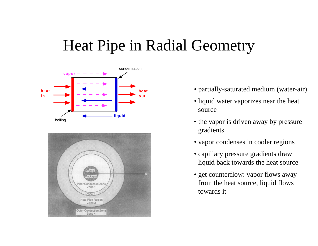# Heat Pipe in Radial Geometry





- partially-saturated medium (water-air)
- liquid water vaporizes near the heat source
- the vapor is driven away by pressure gradients
- vapor condenses in cooler regions
- capillary pressure gradients draw liquid back towards the heat source
- get counterflow: vapor flows away from the heat source, liquid flows towards it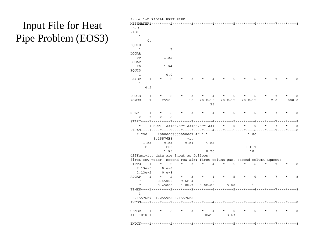### Input File for Heat Pipe Problem (EOS3)

|                    | *rhp* 1-D RADIAL HEAT PIPE             |                          |             |           |                                                                                   |     |       |
|--------------------|----------------------------------------|--------------------------|-------------|-----------|-----------------------------------------------------------------------------------|-----|-------|
|                    |                                        |                          |             |           | MESHMAKER1----*----2----*----3----*----4----*----5----*----6----*----7----*----8  |     |       |
| RZ2D               |                                        |                          |             |           |                                                                                   |     |       |
| RADII              |                                        |                          |             |           |                                                                                   |     |       |
| $\mathbf{1}$       |                                        |                          |             |           |                                                                                   |     |       |
| 0.                 |                                        |                          |             |           |                                                                                   |     |       |
| EOUID              |                                        |                          |             |           |                                                                                   |     |       |
| 1                  | $\cdot$ 3                              |                          |             |           |                                                                                   |     |       |
| LOGAR              |                                        |                          |             |           |                                                                                   |     |       |
| 99                 | 1.E2                                   |                          |             |           |                                                                                   |     |       |
| LOGAR              |                                        |                          |             |           |                                                                                   |     |       |
| 20                 | 1.E4                                   |                          |             |           |                                                                                   |     |       |
| EOUID              |                                        |                          |             |           |                                                                                   |     |       |
| $\mathbf{1}$       | 0.0                                    |                          |             |           |                                                                                   |     |       |
|                    |                                        |                          |             |           | LAYER----1----*----2----*----3----*----4----*----5----*----6----*----7----*-----8 |     |       |
| 1                  |                                        |                          |             |           |                                                                                   |     |       |
| 4.5                |                                        |                          |             |           |                                                                                   |     |       |
|                    |                                        |                          |             |           |                                                                                   |     |       |
|                    |                                        |                          |             |           | ROCKS----1----*----2----*----3----*----4----*----5----*----6----*----7----*----8  |     |       |
| POMED<br>1         | 2550.                                  | .10                      | $20.E-15$   | $20.E-15$ | $20.E-15$                                                                         | 2.0 | 800.0 |
|                    |                                        |                          | .25         |           |                                                                                   |     |       |
|                    |                                        |                          |             |           | MULTI----1----*----2----*----3----*----4----*----5----*----6----*----7----*----8  |     |       |
|                    |                                        |                          |             |           |                                                                                   |     |       |
| $\mathcal{L}$<br>3 | 2<br>6                                 |                          |             |           | START----1----*----2----*----3----*----4----*----5----*----6----*----7----*----8  |     |       |
|                    |                                        |                          |             |           | ----*----1 MOP: 123456789*123456789*1234 ---*----5----*----6----*----7----*----8  |     |       |
|                    |                                        |                          |             |           | PARAM----1----*----2----*----3----*----4----*----5----*----6----*----7----*----8  |     |       |
| 2 250              |                                        | 25000003000000002 47 1 1 |             |           | 1.80                                                                              |     |       |
|                    | 3.15576E8                              | $-1$ .                   |             |           |                                                                                   |     |       |
| 1.E3               | 9.E3                                   | 9.E4                     | 4.E5        |           |                                                                                   |     |       |
| $1.E-5$            | 1.E00                                  |                          |             |           | $1.E-7$                                                                           |     |       |
|                    | 1.E5                                   |                          | 0.20        |           | 18.                                                                               |     |       |
|                    | diffusivity data are input as follows: |                          |             |           |                                                                                   |     |       |
|                    |                                        |                          |             |           | first row water, second row air; first column gas, second column aqueous          |     |       |
|                    |                                        |                          |             |           | DIFFU----1----*----2----*----3----*----4----*----5----*----6----*----7----*----8  |     |       |
| $2.13e-5$          | $0.e-8$                                |                          |             |           |                                                                                   |     |       |
| $2.13e-5$          | $0.e-8$                                |                          |             |           |                                                                                   |     |       |
|                    |                                        |                          |             |           | RPCAP----1----*----2----*----3----*----4----*----5----*----6----*----7----*----8  |     |       |
| 7                  | 0.45000                                | $9.6E - 4$               | 1.          |           |                                                                                   |     |       |
| 7                  | 0.45000                                | $1.0E-3$                 | $8.0E - 05$ | 5.E8      | 1.                                                                                |     |       |
|                    |                                        |                          |             |           | TIMES----1----*----2----*----3----*----4----*----5----*----6----*----7----*----8  |     |       |
| 3                  |                                        |                          |             |           |                                                                                   |     |       |
| 3.15576E7          | 1.2559E8 3.15576E8                     |                          |             |           |                                                                                   |     |       |
|                    |                                        |                          |             |           | INCON----1----*----2----*----3----*----4----*----5----*----6----*----7----*----8  |     |       |
|                    |                                        |                          |             |           |                                                                                   |     |       |
|                    |                                        |                          |             |           | GENER----1----*----2----*----3----*----4----*----5----*----6----*----7----*----8  |     |       |
| A1<br>1HTR 1       |                                        |                          | <b>HEAT</b> | 3.E3      |                                                                                   |     |       |
|                    |                                        |                          |             |           |                                                                                   |     |       |
|                    |                                        |                          |             |           | ENDCY----1----*----2----*----3----*----4----*----5----*----6----*----7----*----8  |     |       |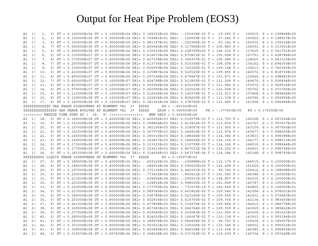### Output for Heat Pipe Problem (EOS3)

|    | A1 1(            | 1,  |  |  |  |                                                                                   |  |                                                                                  |                     |  | 2) ST = 0.100000E+04 DT = 0.100000E+04 DX1= 0.145252E+02 DX2= -.151938E-03 T = 19.065 P =  |                     |  | $100015. S = 0.199848E+00$ |
|----|------------------|-----|--|--|--|-----------------------------------------------------------------------------------|--|----------------------------------------------------------------------------------|---------------------|--|--------------------------------------------------------------------------------------------|---------------------|--|----------------------------|
|    | A1 1(            | 2,  |  |  |  |                                                                                   |  |                                                                                  |                     |  | 3) ST = 0.100000E+05 DT = 0.900000E+04 DX1= 0.759481E+01 DX2= -.129059E-02 T = 27.246 P =  |                     |  | $100022. S = 0.198557E+00$ |
|    | A1 1(            | 3,  |  |  |  |                                                                                   |  |                                                                                  |                     |  | 4) ST = 0.100000E+06 DT = 0.900000E+05 DX1= 0.981167E+01 DX2= -.352306E-02 T = 63.142 P =  |                     |  | $100032. S = 0.195034E+00$ |
|    | A1 1(            | 4,  |  |  |  |                                                                                   |  |                                                                                  |                     |  | 7) ST = 0.500000E+06 DT = 0.400000E+06 DX1= 0.455945E+04 DX2= 0.117966E+00 T = 100.883 P = |                     |  | $104591. S = 0.313001E+00$ |
|    | A1 1(            | 5,  |  |  |  |                                                                                   |  |                                                                                  |                     |  | 6) ST = 0.900000E+06 DT = 0.400000E+06 DX1= 0.130333E+05 DX2= 0.228700E+00 T = 104.232 P = |                     |  | $117625. S = 0.541701E+00$ |
|    |                  |     |  |  |  |                                                                                   |  |                                                                                  |                     |  | 5) ST = 0.130000E+07 DT = 0.400000E+06 DX1= 0.612673E+04 DX2= 0.670831E-01 T = 105.698 P = |                     |  | $123751. S = 0.608784E+00$ |
|    | A1 1(            | 6,  |  |  |  |                                                                                   |  |                                                                                  |                     |  |                                                                                            |                     |  |                            |
|    | A1 1(            | 7,  |  |  |  |                                                                                   |  |                                                                                  |                     |  | 4) ST = 0.170000E+07 DT = 0.400000E+06 DX1= 0.427338E+04 DX2= 0.345307E-01 T = 106.686 P = |                     |  | $128025. S = 0.643315E+00$ |
|    | A1 1(            | 8,  |  |  |  |                                                                                   |  |                                                                                  |                     |  | 7) ST = 0.250000E+07 DT = 0.800000E+06 DX1= 0.613735E+04 DX2= 0.510356E-01 T = 108.058 P = |                     |  | $134162. S = 0.694350E+00$ |
|    | A1 1(            | 9,  |  |  |  |                                                                                   |  |                                                                                  |                     |  | 5) ST = 0.330000E+07 DT = 0.800000E+06 DX1= 0.505059E+04 DX2= 0.720326E-01 T = 109.148 P = |                     |  | $139213. S = 0.766383E+00$ |
| A1 | $\overline{1}$ ( | 10. |  |  |  |                                                                                   |  |                                                                                  |                     |  | 5) ST = 0.410000E+07 DT = 0.800000E+06 DX1= 0.335887E+04 DX2= 0.523525E-01 T = 109.855 P = |                     |  | $142572. S = 0.818735E+00$ |
|    | A1 2 (           | 11. |  |  |  |                                                                                   |  |                                                                                  |                     |  | 4) ST = 0.490000E+07 DT = 0.800000E+06 DX1= 0.297196E+04 DX2= 0.479447E-01 T = 103.471 P = |                     |  | $114544. S = 0.498481E+00$ |
|    | A1 1(            | 12, |  |  |  |                                                                                   |  |                                                                                  |                     |  | 7) ST = 0.650000E+07 DT = 0.160000E+07 DX1= 0.424798E+04 DX2= 0.511855E-01 T = 111.268 P = |                     |  | $149479. S = 0.906494E+00$ |
|    | A1 1(            | 13, |  |  |  |                                                                                   |  |                                                                                  |                     |  | 6) ST = 0.810000E+07 DT = 0.160000E+07 DX1= 0.359356E+04 DX2= 0.430199E-01 T = 111.982 P = |                     |  | $153072. S = 0.949514E+00$ |
|    | A1 1(            | 14, |  |  |  |                                                                                   |  |                                                                                  |                     |  | 6) ST = 0.970000E+07 DT = 0.160000E+07 DX1= 0.262995E+04 DX2= 0.232522E-01 T = 112.496 P = |                     |  | $155702. S = 0.972766E+00$ |
|    | A1 1(            | 15, |  |  |  |                                                                                   |  |                                                                                  |                     |  | 6) ST = 0.113000E+08 DT = 0.160000E+07 DX1= 0.216556E+04 DX2= 0.120374E-01 T = 112.913 P = |                     |  | $157868. S = 0.984804E+00$ |
|    |                  |     |  |  |  |                                                                                   |  |                                                                                  |                     |  | 8) ST = 0.129000E+08 DT = 0.160000E+07 DX1= 0.222624E+04 DX2= 0.809200E-02 T = 113.338 P = |                     |  |                            |
|    | A1 1(            | 16, |  |  |  |                                                                                   |  |                                                                                  |                     |  |                                                                                            |                     |  | $160094. S = 0.992896E+00$ |
|    | A1 1 (17,        |     |  |  |  |                                                                                   |  |                                                                                  |                     |  | 8) ST = 0.145000E+08 DT = 0.160000E+07 DX1= 0.181362E+04 DX2= 0.378796E-02 T = 113.680 P = |                     |  | $161908. S = 0.996684E+00$ |
|    |                  |     |  |  |  | \$\$\$\$\$\$\$\$\$\$\$\$\$\$ GAS PHASE DISAPPEARS AT ELEMENT *A1 1* \$\$\$\$\$    |  |                                                                                  | $SG = -.821520E+00$ |  |                                                                                            |                     |  |                            |
|    |                  |     |  |  |  | \$\$\$\$\$\$\$\$\$\$\$\$\$\$\$\$\$ GAS PHASE EVOLVES AT ELEMENT *A1 1* \$\$\$\$\$ |  | $XAIR = 0.000000E+00$                                                            |                     |  | $PX = -.377453E+05$                                                                        | $PG = 0.170292E+06$ |  |                            |
|    |                  |     |  |  |  |                                                                                   |  | +++++++++ REDUCE TIME STEP AT ( 18, 9) +++++++++++++++++ NEW DELT = 0.400000E+06 |                     |  |                                                                                            |                     |  |                            |
|    | A1 1(            | 18, |  |  |  |                                                                                   |  |                                                                                  |                     |  | 5) ST = 0.149000E+08 DT = 0.400000E+06 DX1= 0.420592E+03 DX2= 0.539979E-03 T = 113.759 P = |                     |  | $162328. S = 0.997224E+00$ |
|    | A1 1(            | 19. |  |  |  |                                                                                   |  |                                                                                  |                     |  | 5) ST = 0.153000E+08 DT = 0.400000E+06 DX1= 0.398804E+03 DX2= 0.413402E-03 T = 113.834 P = |                     |  | $162727. S = 0.997637E+00$ |
|    | A1 1(            | 20, |  |  |  |                                                                                   |  |                                                                                  |                     |  | 5) ST = 0.157000E+08 DT = 0.400000E+06 DX1= 0.382195E+03 DX2= 0.318097E-03 T = 113.905 P = |                     |  | $163109. S = 0.997955E+00$ |
|    | A1 1(            | 21, |  |  |  |                                                                                   |  |                                                                                  |                     |  | 5) ST = 0.161000E+08 DT = 0.400000E+06 DX1= 0.367970E+03 DX2= 0.244910E-03 T = 113.974 P = |                     |  | $163477. S = 0.998200E+00$ |
|    | A1 1(            | 22, |  |  |  |                                                                                   |  |                                                                                  |                     |  | 5) ST = 0.165000E+08 DT = 0.400000E+06 DX1= 0.355310E+03 DX2= 0.188344E-03 T = 114.040 P = |                     |  | $163833. S = 0.998388E+00$ |
|    | A1 1(            | 23, |  |  |  |                                                                                   |  |                                                                                  |                     |  | 5) ST = 0.169000E+08 DT = 0.400000E+06 DX1= 0.343837E+03 DX2= 0.144592E-03 T = 114.104 P = |                     |  | $164177. S = 0.998533E+00$ |
|    |                  |     |  |  |  |                                                                                   |  |                                                                                  |                     |  |                                                                                            |                     |  |                            |
|    | A1 1(            | 24. |  |  |  |                                                                                   |  |                                                                                  |                     |  | 5) ST = 0.173000E+08 DT = 0.400000E+06 DX1= 0.333323E+03 DX2= 0.110799E-03 T = 114.166 P = |                     |  | $164510. S = 0.998644E+00$ |
|    | A1 1(            | 25, |  |  |  |                                                                                   |  |                                                                                  |                     |  | 5) ST = 0.177000E+08 DT = 0.400000E+06 DX1= 0.323613E+03 DX2= 0.847531E-04 T = 114.226 P = |                     |  | $164833. S = 0.998728E+00$ |
|    | A1 1(            | 26, |  |  |  |                                                                                   |  |                                                                                  |                     |  | 5) ST = 0.181000E+08 DT = 0.400000E+06 DX1= 0.314604E+03 DX2= 0.647274E-04 T = 114.284 P = |                     |  | $165148. S = 0.998793E+00$ |
|    |                  |     |  |  |  | \$\$\$\$\$\$\$\$\$\$\$ LIQUID PHASE DISAPPEARS AT ELEMENT *A1 1* \$\$\$\$\$       |  |                                                                                  | $SG = 0.105073E+01$ |  |                                                                                            |                     |  |                            |
| A1 | $\overline{1}$ ( | 27. |  |  |  |                                                                                   |  |                                                                                  |                     |  | 5) ST = 0.185000E+08 DT = 0.400000E+06 DX1= -.629120E+03 DX2= -.109988E+02 T = 116.179 P = |                     |  | $164519. S = 0.100000E+01$ |
|    | A1 1(            | 28, |  |  |  |                                                                                   |  |                                                                                  |                     |  | 4) ST = 0.189000E+08 DT = 0.400000E+06 DX1= -.289016E+04 DX2= 0.000000E+00 T = 122.498 P = |                     |  | $161629. S = 0.100000E+01$ |
|    | A1 5(            | 29, |  |  |  |                                                                                   |  |                                                                                  |                     |  | 5) ST = 0.197000E+08 DT = 0.800000E+06 DX1= 0.370136E+03 DX2= 0.960351E-02 T = 99.745 P =  |                     |  | $100412. S = 0.188098E+00$ |
|    | A1 1(            | 30, |  |  |  |                                                                                   |  |                                                                                  |                     |  | 5) ST = 0.205000E+08 DT = 0.800000E+06 DX1= -.773602E+04 DX2= -.450431E-17 T = 151.545 P = |                     |  | $146384. S = 0.100000E+01$ |
|    | A1 1(            | 31, |  |  |  |                                                                                   |  |                                                                                  |                     |  | 5) ST = 0.213000E+08 DT = 0.800000E+06 DX1= -.434906E+04 DX2= -.200931E-20 T = 158.807 P = |                     |  | $142035. S = 0.100000E+01$ |
|    | A1 1(            | 32, |  |  |  |                                                                                   |  |                                                                                  |                     |  | 5) ST = 0.221000E+08 DT = 0.800000E+06 DX1= -.124814E+04 DX2= 0.948520E-19 T = 161.649 P = |                     |  | $140787. S = 0.100000E+01$ |
|    |                  |     |  |  |  |                                                                                   |  |                                                                                  |                     |  |                                                                                            |                     |  |                            |
|    | A1 1(            | 33, |  |  |  |                                                                                   |  |                                                                                  |                     |  | 5) ST = 0.229000E+08 DT = 0.800000E+06 DX1= 0.177759E+02 DX2= -.772333E-19 T = 162.649 P = |                     |  | $140805. S = 0.100000E+01$ |
| A1 | 2 (              | 34, |  |  |  |                                                                                   |  |                                                                                  |                     |  | 5) ST = 0.237000E+08 DT = 0.800000E+06 DX1= 0.589749E+03 DX2= 0.661802E-02 T = 109.546 P = |                     |  | $141094. S = 0.974051E+00$ |
| A1 | 2 (              | 35, |  |  |  |                                                                                   |  |                                                                                  |                     |  | 5) ST = 0.245000E+08 DT = 0.800000E+06 DX1= 0.536789E+03 DX2= 0.523145E-02 T = 109.659 P = |                     |  | $141631. S = 0.979283E+00$ |
|    | A1 2 (           | 36, |  |  |  |                                                                                   |  |                                                                                  |                     |  | 5) ST = 0.253000E+08 DT = 0.800000E+06 DX1= 0.502914E+03 DX2= 0.416700E-02 T = 109.764 P = |                     |  | $142134. S = 0.983450E+00$ |
| A1 | 2 (              | 37, |  |  |  |                                                                                   |  |                                                                                  |                     |  | 5) ST = 0.261000E+08 DT = 0.800000E+06 DX1= 0.477808E+03 DX2= 0.332475E-02 T = 109.864 P = |                     |  | $142612. S = 0.986774E+00$ |
|    | A1 2(            | 38, |  |  |  |                                                                                   |  |                                                                                  |                     |  | 5) ST = 0.269000E+08 DT = 0.800000E+06 DX1= 0.457283E+03 DX2= 0.264764E-02 T = 109.959 P = |                     |  | $143069. S = 0.989422E+00$ |
|    | A1 2(            | 39, |  |  |  |                                                                                   |  |                                                                                  |                     |  | 5) ST = 0.277000E+08 DT = 0.800000E+06 DX1= 0.439585E+03 DX2= 0.210083E-02 T = 110.050 P = |                     |  | $143509. S = 0.991523E+00$ |
| A1 | 2 (              | 40, |  |  |  |                                                                                   |  |                                                                                  |                     |  | 5) ST = 0.285000E+08 DT = 0.800000E+06 DX1= 0.424200E+03 DX2= 0.166067E-02 T = 110.138 P = |                     |  | $143933. S = 0.993184E+00$ |
| A1 | 6 (              | 41, |  |  |  |                                                                                   |  |                                                                                  |                     |  | 5) ST = 0.293000E+08 DT = 0.800000E+06 DX1= 0.388974E+03 DX2= 0.964454E-02 T = 99.751 P =  |                     |  | $100434. S = 0.185657E+00$ |
|    | A1 2 (           | 42, |  |  |  |                                                                                   |  |                                                                                  |                     |  | 5) ST = 0.301000E+08 DT = 0.800000E+06 DX1= 0.507631E+03 DX2= 0.126025E-02 T = 110.344 P = |                     |  | $144932. S = 0.995912E+00$ |
|    | A1 2 (           | 43, |  |  |  |                                                                                   |  |                                                                                  |                     |  | 5) ST = 0.309000E+08 DT = 0.800000E+06 DX1= 0.453495E+03 DX2= 0.944158E-03 T = 110.438 P = |                     |  | $145385. S = 0.996856E+00$ |
|    |                  |     |  |  |  |                                                                                   |  |                                                                                  |                     |  |                                                                                            |                     |  |                            |
|    | A1 2 (           | 44  |  |  |  |                                                                                   |  |                                                                                  |                     |  | 5) ST = 0.315576E+08 DT = 0.657600E+06 DX1= 0.348608E+03 DX2= 0.571726E-03 T = 110.509 P = |                     |  | $145734. S = 0.997428E+00$ |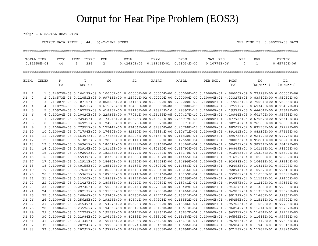### Output for Heat Pipe Problem (EOS3)

\*rhp\* 1-D RADIAL HEAT PIPE

OUTPUT DATA AFTER ( 44, 5)-2-TIME STEPS

THE TIME IS 0.36525E+03 DAYS

|                                      | TOTAL TIME     | KCYC         | <b>ITER</b><br><b>ITERC</b> | <b>KON</b>                                                                                                    | DX1M            | DX2M          | DX3M                      | MAX. RES.   | <b>NER</b>   | <b>KER</b>                                                                                                                 | <b>DELTEX</b>   |
|--------------------------------------|----------------|--------------|-----------------------------|---------------------------------------------------------------------------------------------------------------|-----------------|---------------|---------------------------|-------------|--------------|----------------------------------------------------------------------------------------------------------------------------|-----------------|
|                                      | $0.31558E+08$  | 44           | 5<br>236                    | $\overline{2}$                                                                                                | $0.42630E + 03$ | $0.11943E-01$ | $0.58034E + 00$           | 0.10776E-06 | $\mathbf{2}$ | $\mathbf 1$                                                                                                                | $0.65760E + 06$ |
|                                      |                |              |                             |                                                                                                               |                 |               |                           |             |              |                                                                                                                            |                 |
| ELEM.                                | INDEX          | $\, {\bf P}$ | T                           | SG                                                                                                            | SL              | XAIRG         | XAIRL                     | PER.MOD.    | PCAP         | $_{\rm DG}$                                                                                                                | DL              |
|                                      |                | (PA)         | $(DEG-C)$                   |                                                                                                               |                 |               |                           |             | (PA)         | $(KG/M**3)$                                                                                                                | $(KG/M**3)$     |
|                                      |                |              |                             |                                                                                                               |                 |               |                           |             |              | 10.14573E+060.16412E+030.10000E+010.00000E+000.00000E+000.00000E+000.10000E+01-50000E+090.72998E+000.0000E+00              |                 |
| A1<br>$\overline{\phantom{0}}$<br>A1 | 2              |              |                             |                                                                                                               |                 |               |                           |             |              | 2 0.14573E+06 0.11051E+03 0.99743E+00 0.25724E-02 0.00000E+00 0.00000E+00 0.10000E+01 -.33327E+08 0.83980E+00 0.95030E+03  |                 |
| A1                                   | 3              |              |                             |                                                                                                               |                 |               |                           |             |              | 3 0.13007E+06 0.10715E+03 0.86852E+00 0.13148E+00 0.00000E+00 0.00000E+00 0.10000E+01 -.14955E+06 0.75504E+00 0.95285E+03  |                 |
| A1                                   | $\overline{4}$ |              |                             |                                                                                                               |                 |               |                           |             |              | 4 0.11877E+06 0.10451E+03 0.61567E+00 0.38433E+00 0.00000E+00 0.00000E+00 0.10000E+01 -.37591E+05 0.69349E+00 0.95482E+03  |                 |
| A1                                   | 5              |              |                             | 5 0.10974E+06 0.10225E+03 0.41885E+00 0.58115E+00 0.26342E-10 0.29392E-15 0.10000E+01 -.19979E+05 0.64404E+00 |                 |               |                           |             |              |                                                                                                                            | 0.95649E+03     |
| A1                                   | 6              |              |                             |                                                                                                               |                 |               |                           |             |              | 6 0.10204E+06 0.10020E+03 0.22936E+00 0.77064E+00 0.26455E-05 0.27427E-10 0.10000E+01 -.10944E+05 0.60170E+00 0.95798E+03  |                 |
| A1                                   | 7              |              |                             |                                                                                                               |                 |               |                           |             |              | 7 0.10004E+06 0.92930E+02 0.17304E+00 0.82696E+00 0.30601E+00 0.34979E-05 0.10000E+01 -.87795E+04 0.67657E+00 0.96312E+03  |                 |
| A1                                   | 8              |              |                             |                                                                                                               |                 |               |                           |             |              | 80.10004E+060.84925E+020.17425E+000.82575E+000.53920E+000.68171E-050.10000E+01-.88254E+040.76506E+000.96850E+0             |                 |
| 9<br>A1                              |                |              |                             | 9 0.10004E+06 0.77951E+02 0.17544E+00 0.82456E+00                                                             |                 |               |                           |             |              | $0.67380E+00$ $0.90788E-05$ $0.10000E+01$ -.88701E+04 0.83155E+00 0.97294E+03                                              |                 |
| A1 10                                |                |              |                             |                                                                                                               |                 |               |                           |             |              | 10 0.10004E+06 0.71794E+02 0.17660E+00 0.82340E+00 0.75884E+00 0.10671E-04 0.10000E+01 -.89141E+04 0.88332E+00 0.97665E+03 |                 |
| A1 11                                |                |              |                             |                                                                                                               |                 |               |                           |             |              | 11 0.10004E+06 0.66307E+02 0.17775E+00 0.82225E+00 0.81587E+00 0.11820E-04 0.10000E+01 -.89575E+04 0.92479E+00 0.97978E+03 |                 |
| A1 12                                |                |              |                             |                                                                                                               |                 |               |                           |             |              | 12 0.10004E+06 0.61385E+02 0.17889E+00 0.82111E+00 0.85579E+00 0.12668E-04 0.10000E+01 -.90003E+04 0.95881E+00 0.98245E+03 |                 |
| A1 13                                | 13             |              |                             | $0.10004E+06$ 0.56941E+02 0.18001E+00 0.81999E+00                                                             |                 |               |                           |             |              | $0.88468E+00$ $0.13306E-04$ $0.10000E+01$ -.90428E+04 0.98731E+00 0.98474E+03                                              |                 |
| A1 14                                |                |              |                             |                                                                                                               |                 |               |                           |             |              | 14 0.10004E+06 0.52916E+02 0.18112E+00 0.81888E+00 0.90610E+00 0.13793E-04 0.10000E+01 -.90849E+04 0.10116E+01 0.98671E+03 |                 |
| A1 15                                |                |              |                             |                                                                                                               |                 |               |                           |             |              | 15 0.10004E+06 0.49260E+02 0.18223E+00 0.81777E+00 0.92233E+00 0.14170E-04 0.10000E+01 -.91266E+04 0.10325E+01 0.98840E+03 |                 |
| A1 16                                | 16             |              |                             |                                                                                                               |                 |               |                           |             |              | 0.10004E+06 0.45937E+02 0.18332E+00 0.81668E+00 0.93482E+00 0.14465E-04 0.10000E+01 -.91679E+04 0.10508E+01 0.98987E+03    |                 |
| A1 17                                | 17             |              |                             | $0.10004E+06$ 0.42911 $E+02$ 0.18440 $E+00$ 0.81560 $E+00$ 0.94458 $E+00$                                     |                 |               |                           |             |              | $0.14699E-04$ $0.10000E+01$ -.92088E+04 0.10668E+01 0.99114E+03                                                            |                 |
| A1 18                                |                |              |                             |                                                                                                               |                 |               |                           |             |              | 18 0.10004E+06 0.40155E+02 0.18547E+00 0.81453E+00 0.95230E+00 0.14886E-04 0.10000E+01 -.92493E+04 0.10811E+01 0.99223E+03 |                 |
| A1 19                                |                |              |                             |                                                                                                               |                 |               |                           |             |              | 19 0.10004E+06 0.37648E+02 0.18652E+00 0.81348E+00 0.95848E+00 0.15036E-04 0.10000E+01 -.92894E+04 0.10937E+01 0.99318E+03 |                 |
| A1 20                                |                |              |                             |                                                                                                               |                 |               |                           |             |              | 0.10004E+06 0.35369E+02 0.18756E+00 0.81244E+00 0.96346E+00 0.15159E-04 0.10000E+01 -.93288E+04 0.11050E+01 0.99399E+03    |                 |
| A1 21                                |                |              |                             |                                                                                                               |                 |               |                           |             |              | 21 0.10004E+06 0.33300E+02 0.18858E+00 0.81142E+00 0.96751E+00 0.15259E-04 0.10000E+01 -.93677E+04 0.11151E+01 0.99470E+03 |                 |
| A1 22                                |                |              |                             |                                                                                                               |                 |               |                           |             |              | 22 0.10004E+06 0.31427E+02 0.18958E+00 0.81042E+00 0.97083E+00 0.15341E-04 0.10000E+01 -.94057E+04 0.11242E+01 0.99531E+03 |                 |
| A1 23                                |                |              |                             |                                                                                                               |                 |               |                           |             |              | 23 0.10004E+06 0.29736E+02 0.19056E+00 0.80944E+00 0.97356E+00 0.15409E-04 0.10000E+01 -.94427E+04 0.11323E+01 0.99583E+03 |                 |
| A1 24                                |                |              |                             |                                                                                                               |                 |               |                           |             |              | 0.10004E+06 0.28213E+02 0.19150E+00 0.80850E+00 0.97583E+00 0.15466E-04 0.10000E+01 -.94785E+04 0.11396E+01 0.99628E+03    |                 |
| A1 25                                |                |              |                             |                                                                                                               |                 |               |                           |             |              | 25 0.10004E+06 0.26846E+02 0.19240E+00 0.80760E+00 0.97771E+00 0.15513E-04 0.10000E+01 -.95129E+04 0.11460E+01 0.99667E+03 |                 |
| A1 26                                |                |              |                             |                                                                                                               |                 |               |                           |             |              | 26 0.10004E+06 0.25625E+02 0.19326E+00 0.80674E+00 0.97928E+00 0.15552E-04 0.10000E+01 -.95456E+04 0.11518E+01 0.99700E+03 |                 |
| A1 27                                |                |              |                             |                                                                                                               |                 |               |                           |             |              | 27 0.10004E+06 0.24539E+02 0.19407E+00 0.80593E+00 0.98060E+00 0.15586E-04 0.10000E+01 -.95765E+04 0.11569E+01 0.99728E+03 |                 |
| A1 28                                | 28             |              |                             |                                                                                                               |                 |               |                           |             |              | 0.10004E+06 0.23576E+02 0.19483E+00 0.80517E+00 0.98170E+00 0.15613E-04 0.10000E+01 -.96054E+04 0.11614E+01 0.99752E+03    |                 |
| A1 29                                |                |              |                             |                                                                                                               |                 |               |                           |             |              | 29 0.10004E+06 0.22728E+02 0.19553E+00 0.80447E+00 0.98262E+00 0.15637E-04 0.10000E+01 -.96321E+04 0.11654E+01 0.99772E+03 |                 |
| A1 30                                |                |              |                             |                                                                                                               |                 |               |                           |             |              | 30 0.10004E+06 0.21984E+02 0.19617E+00 0.80383E+00 0.98340E+00 0.15656E-04 0.10000E+01 -.96565E+04 0.11688E+01 0.99789E+03 |                 |
| A1 31                                |                |              |                             |                                                                                                               |                 |               |                           |             |              | 31 0.10004E+06 0.21336E+02 0.19674E+00 0.80326E+00 0.98405E+00 0.15673E-04 0.10000E+01 -.96786E+04 0.11719E+01 0.99804E+03 |                 |
| A1 32                                | 32             |              |                             | $0.10004E+06$ 0.20774E+02 0.19726E+00 0.80274E+00                                                             |                 | 0.98460E+00   | $0.15686E-04$ 0.10000E+01 |             |              |                                                                                                                            |                 |
| A1 33                                |                |              |                             |                                                                                                               |                 |               |                           |             |              | 33 0.10004E+06 0.20291E+02 0.19772E+00 0.80228E+00 0.98505E+00 0.15698E-04 0.10000E+01 -.97158E+04 0.11767E+01 0.99826E+03 |                 |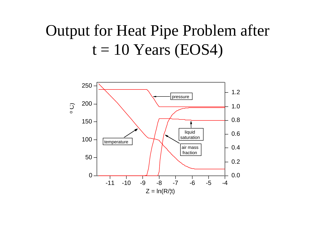# Output for Heat Pipe Problem after  $t = 10$  Years (EOS4)

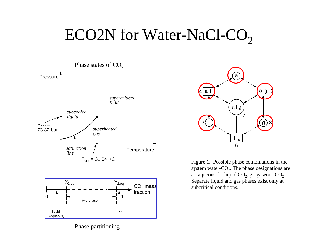#### ECO2N for Water-NaCl-CO 2





Phase partitioning



Figure 1. Possible phase combinations in the system water- $CO<sub>2</sub>$ . The phase designations are a - aqueous, l - liquid  $CO_2$ , g - gaseous  $CO_2$ . Separate liquid and gas phases exist only at subcritical conditions.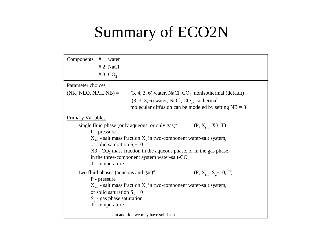# Summary of ECO2N

| $Components$ # 1: water<br># 3: $CO2$ | # 2: NaCl                                                                                                                                                                                                                                                                                                                                                                         |  |  |  |  |  |  |
|---------------------------------------|-----------------------------------------------------------------------------------------------------------------------------------------------------------------------------------------------------------------------------------------------------------------------------------------------------------------------------------------------------------------------------------|--|--|--|--|--|--|
| Parameter choices                     |                                                                                                                                                                                                                                                                                                                                                                                   |  |  |  |  |  |  |
|                                       | (NK, NEQ, NPH, NB) = $(3, 4, 3, 6)$ water, NaCl, CO <sub>2</sub> , nonisothermal (default)                                                                                                                                                                                                                                                                                        |  |  |  |  |  |  |
|                                       | $(3, 3, 3, 6)$ water, NaCl, CO <sub>2</sub> , isothermal<br>molecular diffusion can be modeled by setting $NB = 8$                                                                                                                                                                                                                                                                |  |  |  |  |  |  |
| <b>Primary Variables</b>              |                                                                                                                                                                                                                                                                                                                                                                                   |  |  |  |  |  |  |
|                                       | single fluid phase (only aqueous, or only gas) <sup>#</sup> (P, $X_{\rm sm}$ , X3, T)<br>P - pressure<br>$X_{\rm sm}$ - salt mass fraction $X_{\rm s}$ in two-component water-salt system,<br>or solid saturation $S_s+10$<br>X3 - CO <sub>2</sub> mass fraction in the aqueous phase, or in the gas phase,<br>in the three-component system water-salt- $CO2$<br>T - temperature |  |  |  |  |  |  |
| P - pressure<br>T - temperature       | two fluid phases (aqueous and $gas$ ) <sup>#</sup><br>$(P, X_{\rm sm}, S_g+10, T)$<br>$Xsm$ - salt mass fraction $Xs$ in two-component water-salt system,<br>or solid saturation $S_s+10$<br>$S_g$ - gas phase saturation                                                                                                                                                         |  |  |  |  |  |  |
|                                       | # in addition we may have solid salt                                                                                                                                                                                                                                                                                                                                              |  |  |  |  |  |  |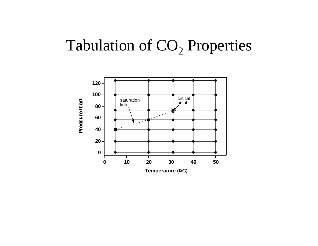#### Tabulation of CO  $_2$  Properties

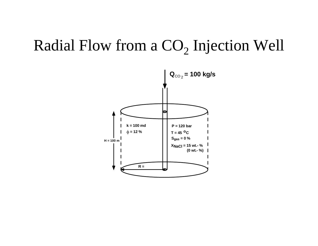#### Radial Flow from a CO  $_2$  Injection Well

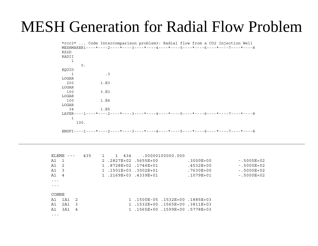# MESH Generation for Radial Flow Problem

|       |      | *rcc3*  Code Intercomparison problem3: Radial flow from a CO2 Injection Well     |  |  |  |  |
|-------|------|----------------------------------------------------------------------------------|--|--|--|--|
|       |      | MESHMAKER1----*----2----*----3----*----4----*----5----*----6----*----7----*----8 |  |  |  |  |
| RZ2D  |      |                                                                                  |  |  |  |  |
| RADII |      |                                                                                  |  |  |  |  |
| 1     |      |                                                                                  |  |  |  |  |
|       | 0.   |                                                                                  |  |  |  |  |
| EQUID |      |                                                                                  |  |  |  |  |
| 1     |      | $\cdot$ 3                                                                        |  |  |  |  |
| LOGAR |      |                                                                                  |  |  |  |  |
| 200   |      | 1.E3                                                                             |  |  |  |  |
| LOGAR |      |                                                                                  |  |  |  |  |
| 100   |      | 3.E3                                                                             |  |  |  |  |
| LOGAR |      |                                                                                  |  |  |  |  |
| 100   |      | 1.E4                                                                             |  |  |  |  |
| LOGAR |      |                                                                                  |  |  |  |  |
| 34    |      | 1.E5                                                                             |  |  |  |  |
|       |      | LAYER----1----*----2----*----3----*----4----*----5----*----6----*----7----*----8 |  |  |  |  |
| 1     |      |                                                                                  |  |  |  |  |
|       | 100. |                                                                                  |  |  |  |  |
|       |      |                                                                                  |  |  |  |  |
|       |      | ENDFI----1----*----2----*----3----*----4----*----5----*----6----*----7----*----8 |  |  |  |  |

| ELEME                |                |                | 435 | $\mathbf{1}$ | 1 434 |                                 | .00000100000.000 |               |                |
|----------------------|----------------|----------------|-----|--------------|-------|---------------------------------|------------------|---------------|----------------|
| A1 1                 |                |                |     |              |       | 2.2827E+02.5655E+00             |                  | $.3000E + 00$ | $-5000E+02$    |
| A1 2                 |                |                |     |              |       | 1.8728E+02.1746E+01             |                  | $.4532E + 00$ | $-5000E+02$    |
| A1 3                 |                |                |     |              |       | 1.1501E+03.3002E+01             |                  | .7630E+00     | $-.5000E + 02$ |
| A1                   | $\overline{4}$ |                |     |              |       | 1.2169E+03.4339E+01             |                  | .1079E+01     | $-.5000E + 02$ |
| $\cdots$             |                |                |     |              |       |                                 |                  |               |                |
| $\ddot{\phantom{0}}$ |                |                |     |              |       |                                 |                  |               |                |
|                      |                |                |     |              |       |                                 |                  |               |                |
| CONNE                |                |                |     |              |       |                                 |                  |               |                |
| A1                   | 1A1            | $\overline{2}$ |     |              |       | 1885E+03. 1532E+00. 1585E+03. 1 |                  |               |                |
| A1                   | 2A1            | - 3            |     |              |       | 1.1532E+00.1565E+00             |                  | .3811E+03     |                |
| A1                   | 3A1            | 4              |     |              |       | 1.1565E+00.1599E+00.5778E+03    |                  |               |                |
|                      |                |                |     |              |       |                                 |                  |               |                |

...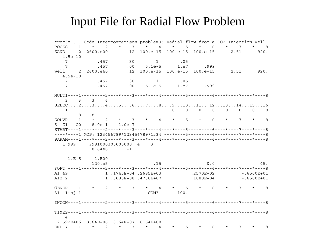### Input File for Radial Flow Problem

\*rcc3\* ... Code Intercomparison problem3: Radial flow from a CO2 Injection Well  $ROCKS---1---*---2---*---3---*---4---4---*---5---*---6---*---8---7---*---7---*---8$ SAND 2 2600.e00 .12 100.e-15 100.e-15 100.e-15  $2.51$ 920.  $4.5e-10$  $7\overline{ }$ .457  $.30$  $1$ .  $.05$  $7\overline{ }$  $.457$  $.00$  $1.e7$  $5.1e-5$ .999 2 2600.e40 .12 100.e-15 100.e-15 100.e-15 2.51  $920.$ well  $4.5e-10$  $7\overline{ }$ .457  $.30$  $1<sup>1</sup>$  $05$  $7\phantom{.0}$ .457  $.00$  $5.1e-5$  $1.e7$ .999 MULTI----1----\*----2----\*----3----\*----4----\*----5----\*----6----\*----7----\*----8  $3 \overline{3}$  $\mathcal{E}$ - 6  $SELEC...2...3...3...4...5...6...7...8...9...10...11...12...13...14...15...16$  $\begin{matrix} 0 & 0 & 0 & 0 & 0 & 0 \end{matrix}$  $\Omega$  $\overline{1}$  $\cap$  $.8$  $\overline{\phantom{0}}$ .8  $SOLVR---1---*---2---*---3---*---4---*---5---*---6---*---6---*---7---*---8-8$ 5 7.1 0.0  $8.0e-1$  $1.0e-7$  $START---1---+------2---+---3---+---4---+---5---+---6---+---6---+---7---+---8$  $---*---1$  MOP: 123456789\*123456789\*1234 ---\*----5----\*----6----\*----7----\*------ $PARAM---1---*---2---*---3---*---4---+---5---*---5---*---6---*---7---*---7---*---8$ 1 999 9991000300000000 4 3 8.64e8  $-1.$  $1$ .  $1.E-5$ 1.E00  $.15$  $120. e5$  $0.0$ 45. FOFT ----1----\*----2----\*----3----\*----4----\*----5----\*----6----\*----7----\*----8 1.1745E+04.2685E+03  $.2570E + 02$  $-.6500E + 01$ A1 49 A12 2 1.3080E+08.4738E+07  $.1080E + 04$  $-.6500E + 01$ GENER----1----\*----2----\*----3----\*----4----\*----5----\*----6----\*----7----\*-----8 A1 1inj 1 **COM3**  $100<sub>1</sub>$  $INCON---1---*---2---*---3---+---*---4---*---5---*---6---+---6---*---7---*---8$  $TIMES---1---*---2---*---3---*----*----4---*----5---*----*----6---*----*----7---*----8$  $\overline{4}$ 2.592E+06 8.64E+06 8.64E+07 8.64E+08 ENDCY----1----\*----2----\*----3----\*----4----\*----5----\*----6----\*----7----\*----8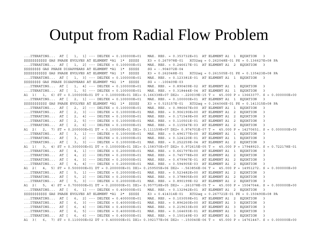## Output from Radial Flow Problem

...ITERATING... AT [ 1, 1] --- DELTEX = 0.100000E+01 MAX. RES. = 0.353732E+01 AT ELEMENT A1 1 EQUATION 3 \$\$\$\$\$\$\$\$\$\$\$ GAS PHASE EVOLVES AT ELEMENT \*A1 1\* \$\$\$\$\$ X3 = 0.267978E-01 XCO2aq = 0.262048E-01 PX = 0.136627E+08 PA ...ITERATING... AT [ 1, 2] --- DELTEX = 0.100000E+01 MAX. RES. = 0.246617E-01 AT ELEMENT A1 2 EQUATION 3 \$\$\$\$\$\$\$\$\$ GAS PHASE DISAPPEARS AT ELEMENT  $*$ A1 1 $*$  \$\$\$\$\$ SG = -.904072E-04 \$\$\$\$\$\$\$\$\$\$\$\$ GAS PHASE EVOLVES AT ELEMENT \*A1 1\* \$\$\$\$\$ X3 = 0.262048E-01 XCO2aq = 0.261505E-01 PX = 0.135423E+08 PA ...ITERATING... AT [ 1, 3] --- DELTEX = 0.100000E+01 MAX. RES. = 0.123381E-01 AT ELEMENT A1 1 EQUATION 3 \$\$\$\$\$\$\$\$\$ GAS PHASE DISAPPEARS AT ELEMENT  $*$ A1 1\* \$\$\$\$\$ SG = -.100409E-03 ...ITERATING... AT [ 1, 4] --- DELTEX = 0.100000E+01 MAX. RES. = 0.890409E-02 AT ELEMENT A1 1 EQUATION 3 ...ITERATING... AT [ 1, 5] --- DELTEX = 0.100000E+01 MAX. RES. = 0.318444E-04 AT ELEMENT A1 1 EQUATION 3 A1 1( 1, 6) ST = 0.100000E+01 DT = 0.100000E+01 DX1= 0.166338E+07 DX2= -.220039E-15 T = 45.000 P = 13663377. S = 0.000000E+00 ...ITERATING... AT [ 2, 1] --- DELTEX = 0.100000E+01 MAX. RES. = 0.100000E+01 AT ELEMENT A1 1 EQUATION 3 \$\$\$\$\$\$\$\$\$\$\$ GAS PHASE EVOLVES AT ELEMENT \*A1 1\* \$\$\$\$\$ X3 = 0.515157E-01 XCO2aq = 0.264066E-01 PX = 0.141315E+08 PA ...ITERATING... AT [ 2, 2] --- DELTEX = 0.100000E+01 MAX. RES. = 0.986667E+00 AT ELEMENT A1 1 EQUATION 3 ...ITERATING... AT [ 2, 3] --- DELTEX = 0.100000E+01 MAX. RES. = 0.906190E+00 AT ELEMENT A1 2 EQUATION 3 ...ITERATING... AT [ 2, 4] --- DELTEX = 0.100000E+01 MAX. RES. = 0.171549E+00 AT ELEMENT A1 2 EQUATION 3 ...ITERATING... AT [ 2, 5] --- DELTEX = 0.100000E+01 MAX. RES. = 0.110501E-01 AT ELEMENT A1 2 EQUATION 3 ...ITERATING... AT [ 2, 6] --- DELTEX = 0.100000E+01 MAX. RES. = 0.115547E-03 AT ELEMENT A1 2 EQUATION 3 A1 2( 2, 7) ST = 0.200000E+01 DT = 0.100000E+01 DX1= 0.111159E+07 DX2= 0.974701E-07 T = 45.000 P = 14270651. S = 0.000000E+00 ...ITERATING... AT [ 3, 1] --- DELTEX = 0.100000E+01 MAX. RES. = 0.496177E+00 AT ELEMENT A1 1 EQUATION 3 ...ITERATING... AT [ 3, 2] --- DELTEX = 0.100000E+01 MAX. RES. = 0.124120E-01 AT ELEMENT A1 1 EQUATION 3 ...ITERATING... AT [ 3, 3] --- DELTEX = 0.100000E+01 MAX. RES. = 0.252259E-04 AT ELEMENT A1 2 EQUATION 3 A1 1( 3, 4) ST = 0.300000E+01 DT = 0.100000E+01 DX1= 0.158370E+07 DX2= 0.972615E-05 T = 45.000 P = 17948923. S = 0.722178E-01 ...ITERATING... AT [ 4, 1] --- DELTEX = 0.200000E+01 MAX. RES. = 0.661797E+00 AT ELEMENT A1 1 EQUATION 3 ...ITERATING... AT [ 4, 2] --- DELTEX = 0.200000E+01 MAX. RES. = 0.745778E+00 AT ELEMENT A1 2 EQUATION 3 ...ITERATING... AT [ 4, 3] --- DELTEX = 0.200000E+01 MAX. RES. = 0.679967E-01 AT ELEMENT A1 2 EQUATION 3 ...ITERATING... AT [ 4, 4] --- DELTEX = 0.200000E+01 MAX. RES. = 0.594905E-03 AT ELEMENT A1 2 EQUATION 3 A1 2( 4, 5) ST = 0.500000E+01 DT = 0.200000E+01 DX1= 0.259505E+06 DX2= -.563856E-06 T = 45.000 P = 14951272. S = 0.000000E+00 ...ITERATING... AT [ 5, 1] --- DELTEX = 0.200000E+01 MAX. RES. = 0.523482E+00 AT ELEMENT A1 2 EQUATION 3 ...ITERATING... AT [ 5, 2] --- DELTEX = 0.200000E+01 MAX. RES. = 0.378805E+00 AT ELEMENT A1 2 EQUATION 3 ...ITERATING... AT [ 5, 3] --- DELTEX = 0.200000E+01 MAX. RES. = 0.890199E-02 AT ELEMENT A1 2 EQUATION 3 A1 2( 5, 4) ST = 0.700000E+01 DT = 0.200000E+01 DX1= 0.957718E+05 DX2= -.261078E-05 T = 45.000 P = 15047044. S = 0.000000E+00 ...ITERATING... AT [ 6, 1] --- DELTEX = 0.400000E+01 MAX. RES. = 0.132942E+01 AT ELEMENT A1 2 EQUATION 3 \$\$\$\$\$\$\$\$\$\$\$ GAS PHASE EVOLVES AT ELEMENT \*A1 2\* \$\$\$\$\$ X3 = 0.414314E-01 XCO2aq = 0.267721E-01 PX = 0.150490E+08 PA ...ITERATING... AT [ 6, 2] --- DELTEX = 0.400000E+01 MAX. RES. = 0.103059E+01 AT ELEMENT A1 2 EQUATION 3 ...ITERATING... AT [ 6, 3] --- DELTEX = 0.400000E+01 MAX. RES. = 0.896260E+00 AT ELEMENT A1 3 EQUATION 3 ...ITERATING... AT [ 6, 4] --- DELTEX = 0.400000E+01 MAX. RES. = 0.219633E+00 AT ELEMENT A1 3 EQUATION 3 ...ITERATING... AT [ 6, 5] --- DELTEX = 0.400000E+01 MAX. RES. = 0.164693E-01 AT ELEMENT A1 3 EQUATION 3 ...ITERATING... AT [ 6, 6] --- DELTEX = 0.400000E+01 MAX. RES. = 0.150149E-03 AT ELEMENT A1 3 EQUATION 3 A1 3( 6, 7) ST = 0.110000E+02 DT = 0.400000E+01 DX1= 0.392177E+06 DX2= -.150040E-06 T = 45.000 P = 14761447. S = 0.000000E+00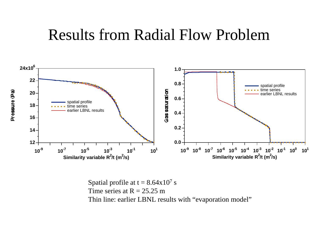### Results from Radial Flow Problem



Spatial profile at t =  $8.64 \mathrm{x} 10^7 \mathrm{~s}$ Time series at  $R = 25.25$  m Thin line: earlier LBNL results with "evaporation model"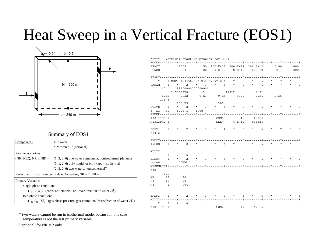# Heat Sweep in a Vertical Fracture (EOS1)



#### Summary of EOS1

| Components           | # 1: water                                                                                                         |  |  |  |  |  |  |
|----------------------|--------------------------------------------------------------------------------------------------------------------|--|--|--|--|--|--|
|                      | $# 2$ : "water 2" (optional)                                                                                       |  |  |  |  |  |  |
| Parameter choices    |                                                                                                                    |  |  |  |  |  |  |
|                      | $(NK, NEG, NPH, NB) = (1, 2, 2, 6)$ one water component, nonisothermal (default)                                   |  |  |  |  |  |  |
|                      | $(1, 1, 2, 6)$ only liquid, or only vapor; isothermal                                                              |  |  |  |  |  |  |
|                      | $(2, 3, 2, 6)$ two-waters, nonisothermal <sup>*</sup>                                                              |  |  |  |  |  |  |
|                      | molecular diffusion can be modeled by setting $NK = 2$ , $NB = 8$                                                  |  |  |  |  |  |  |
| Primary Variables    |                                                                                                                    |  |  |  |  |  |  |
|                      | single-phase conditions                                                                                            |  |  |  |  |  |  |
|                      | $(P, T, [X])$ - (pressure, temperature, [mass fraction of water $2 T$ )                                            |  |  |  |  |  |  |
| two-phase conditions |                                                                                                                    |  |  |  |  |  |  |
|                      | $(P_{\varrho}, S_{\varrho}, [X])$ - (gas phase pressure, gas saturation, [mass fraction of water 2] <sup>†</sup> ) |  |  |  |  |  |  |

| FRACT          |                 | 2650.               |                  |                          |       | .50 200.E-12 200.E-12 200.E-12 | 0.00                                                                             | 1000. |
|----------------|-----------------|---------------------|------------------|--------------------------|-------|--------------------------------|----------------------------------------------------------------------------------|-------|
| CONBD          |                 | 2650.               |                  | $0.00$ $0.E-12$ $0.E-12$ |       | $0.E-12$                       | 2.1                                                                              | 1000. |
|                |                 |                     |                  |                          |       |                                | START----1----*----2----*----3----*----4----*----5----*----6----*----7----*----8 |       |
|                |                 |                     |                  |                          |       |                                | ----*----1 MOP: 123456789*123456789*1234 ---*----5----*----6----*----7----*----8 |       |
|                |                 |                     |                  |                          |       |                                | PARAM----1----*----2----*----3----*----4----*----5----*----6----*----7----*----8 |       |
| $1 \quad 40$   |                 |                     | 9910000000000001 |                          |       |                                |                                                                                  |       |
|                |                 | 1.57788E8           |                  | $-1$ .                   | A1312 | 9.81                           |                                                                                  |       |
|                | 1.E2<br>$1.E-5$ | 9.E2                |                  | $9.E3$ $9.E4$ $9.E5$     |       | 2.E6                           | 5.E6                                                                             |       |
|                |                 | 100.E5              |                  |                          | 300.  |                                |                                                                                  |       |
|                |                 |                     |                  |                          |       |                                | SOLVR----1----*----2----*----3----*----4----*----5----*----6----*----7----*----8 |       |
| Z1<br>5.       | - 00            |                     | 8.0e-1 1.0e-7    |                          |       |                                |                                                                                  |       |
|                |                 |                     |                  |                          |       |                                | GENER----1----*----2----*----3----*----4----*----5----*----6----*----7----*----8 |       |
| A18 1INJ 1     |                 |                     |                  |                          | COM1  | 4.2E5                          |                                                                                  |       |
| A1312PRO 1     |                 |                     |                  |                          |       | DELV  4.E-12  9.65E6           |                                                                                  |       |
|                |                 |                     |                  |                          |       |                                | FOFT ----1----*----2----*----3----*----4----*----5----*----6----*----7----*----8 |       |
| A1312          |                 |                     |                  |                          |       |                                |                                                                                  |       |
|                |                 |                     |                  |                          |       |                                | $ENDCY---1---+---2---+---3------+---4---+---5---+---6---+---6---+---7---+---8$   |       |
|                |                 |                     |                  |                          |       |                                | $INCON---1---+---2---+---3---+---4---+---5---+---6---+---6---+---7---+---8$      |       |
| <b>MULTI</b>   |                 |                     |                  |                          |       |                                |                                                                                  |       |
| $\mathbf{1}$   |                 | $1 \quad 2 \quad 6$ |                  |                          |       |                                |                                                                                  |       |
|                |                 |                     |                  |                          |       |                                | ENDCY----1----*----2----*----3----*----4----*----5----*----6----*----7----*----8 |       |
| $\cos 00$      |                 | CONBD               |                  |                          |       |                                |                                                                                  |       |
|                |                 |                     |                  |                          |       |                                | MESHMAKER1----*----2----*----3----*----4----*----5----*----6----*----7----*----8 |       |
| XYZ            |                 |                     |                  |                          |       |                                |                                                                                  |       |
|                | 90.             |                     |                  |                          |       |                                |                                                                                  |       |
| NX.            | 12              | 20.                 |                  |                          |       |                                |                                                                                  |       |
| NY             | 10              | 20.                 |                  |                          |       |                                |                                                                                  |       |
| ΝZ             | $\mathbf{1}$    | .04                 |                  |                          |       |                                |                                                                                  |       |
|                |                 |                     |                  |                          |       |                                |                                                                                  |       |
|                |                 |                     |                  |                          |       |                                | ENDFI----1----*----2----*----3----*----4----*----5----*----6----*----7----*----8 |       |
|                |                 |                     |                  |                          |       |                                | MULTI----1----*----2----*----3----*----4----*----5----*----6----*----7----*----8 |       |
| $\mathfrak{D}$ | 3               | $2^{\circ}$         | 6                |                          |       |                                |                                                                                  |       |
| A18 1INJ 1     |                 |                     |                  | COM <sub>2</sub>         |       | 4.2E5<br>4.                    |                                                                                  |       |

\* two waters cannot be run in isothermal mode, because in this case temperature is not the last primary variable

 $\dagger$  optional, for NK = 2 only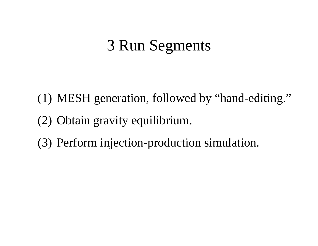# 3 Run Segments

- (1) MESH generation, followed by "hand-editing." (2) Obtain gravity equilibrium.
- (3) Perform injection-production simulation.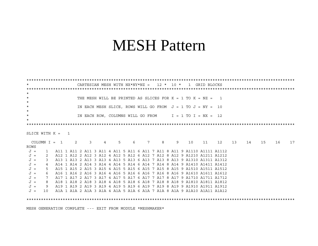## **MESH Pattern**

| $\star$        |                                                           |  |  |                               |                |       |   |  |   |   |   | CARTESIAN MESH WITH $NX*NY*NZ = 12 * 10 * 1$ GRID BLOCKS       |  |                                                                                                                                                    |  |    |    |    |    |
|----------------|-----------------------------------------------------------|--|--|-------------------------------|----------------|-------|---|--|---|---|---|----------------------------------------------------------------|--|----------------------------------------------------------------------------------------------------------------------------------------------------|--|----|----|----|----|
|                |                                                           |  |  |                               |                |       |   |  |   |   |   |                                                                |  |                                                                                                                                                    |  |    |    |    |    |
| $\star$        |                                                           |  |  |                               |                |       |   |  |   |   |   |                                                                |  |                                                                                                                                                    |  |    |    |    |    |
| $\star$        |                                                           |  |  |                               |                |       |   |  |   |   |   | THE MESH WILL BE PRINTED AS SLICES FOR $K = 1$ TO $K = NZ = 1$ |  |                                                                                                                                                    |  |    |    |    |    |
| $\star$        |                                                           |  |  |                               |                |       |   |  |   |   |   |                                                                |  |                                                                                                                                                    |  |    |    |    |    |
| $\star$        |                                                           |  |  |                               |                |       |   |  |   |   |   | IN EACH MESH SLICE, ROWS WILL GO FROM $J = 1$ TO $J = NY = 10$ |  |                                                                                                                                                    |  |    |    |    |    |
| $\star$        |                                                           |  |  |                               |                |       |   |  |   |   |   |                                                                |  |                                                                                                                                                    |  |    |    |    |    |
| $\star$        |                                                           |  |  |                               |                |       |   |  |   |   |   | IN EACH ROW, COLUMNS WILL GO FROM $I = 1$ TO I = NX = 12       |  |                                                                                                                                                    |  |    |    |    |    |
| $\star$        |                                                           |  |  |                               |                |       |   |  |   |   |   |                                                                |  |                                                                                                                                                    |  |    |    |    |    |
|                |                                                           |  |  |                               |                |       |   |  |   |   |   |                                                                |  |                                                                                                                                                    |  |    |    |    |    |
|                |                                                           |  |  |                               |                |       |   |  |   |   |   |                                                                |  |                                                                                                                                                    |  |    |    |    |    |
|                | SLICE WITH $K = 1$                                        |  |  |                               |                |       |   |  |   |   |   |                                                                |  |                                                                                                                                                    |  |    |    |    |    |
|                |                                                           |  |  |                               |                |       |   |  |   |   |   |                                                                |  |                                                                                                                                                    |  |    |    |    |    |
|                | $COLUMN I = 1 2$                                          |  |  | $\overline{3}$ $\overline{3}$ | $\overline{4}$ | $5 -$ | 6 |  | 7 | 8 | 9 | 10                                                             |  | 11 12 13                                                                                                                                           |  | 14 | 15 | 16 | 17 |
| ROWS           |                                                           |  |  |                               |                |       |   |  |   |   |   |                                                                |  |                                                                                                                                                    |  |    |    |    |    |
| $J =$          |                                                           |  |  |                               |                |       |   |  |   |   |   |                                                                |  |                                                                                                                                                    |  |    |    |    |    |
| $J =$          | 2                                                         |  |  |                               |                |       |   |  |   |   |   |                                                                |  | A12 1 A12 2 A12 3 A12 4 A12 5 A12 6 A12 7 A12 8 A12 9 A1210 A1211 A1212                                                                            |  |    |    |    |    |
| $J =$          | 3                                                         |  |  |                               |                |       |   |  |   |   |   |                                                                |  | A13 1 A13 2 A13 3 A13 4 A13 5 A13 6 A13 7 A13 8 A13 9 A1310 A1311 A1312                                                                            |  |    |    |    |    |
| $J =$          | 4                                                         |  |  |                               |                |       |   |  |   |   |   |                                                                |  | A14 1 A14 2 A14 3 A14 4 A14 5 A14 6 A14 7 A14 8 A14 9 A1410 A1411 A1412                                                                            |  |    |    |    |    |
| $J =$          | 5                                                         |  |  |                               |                |       |   |  |   |   |   |                                                                |  | A15 1 A15 2 A15 3 A15 4 A15 5 A15 6 A15 7 A15 8 A15 9 A1510 A1511 A1512                                                                            |  |    |    |    |    |
| $J =$          | 6                                                         |  |  |                               |                |       |   |  |   |   |   |                                                                |  | A16 1 A16 2 A16 3 A16 4 A16 5 A16 6 A16 7 A16 8 A16 9 A1610 A1611 A1612                                                                            |  |    |    |    |    |
| $J =$          | 7                                                         |  |  |                               |                |       |   |  |   |   |   |                                                                |  | A17 1 A17 2 A17 3 A17 4 A17 5 A17 6 A17 7 A17 8 A17 9 A1710 A1711 A1712<br>A18 1 A18 2 A18 3 A18 4 A18 5 A18 6 A18 7 A18 8 A18 9 A1810 A1811 A1812 |  |    |    |    |    |
| $J =$<br>$J =$ | 8<br>9.                                                   |  |  |                               |                |       |   |  |   |   |   |                                                                |  | A19 1 A19 2 A19 3 A19 4 A19 5 A19 6 A19 7 A19 8 A19 9 A1910 A1911 A1912                                                                            |  |    |    |    |    |
| $J =$          |                                                           |  |  |                               |                |       |   |  |   |   |   |                                                                |  | 10 A1A 1 A1A 2 A1A 3 A1A 4 A1A 5 A1A 6 A1A 7 A1A 8 A1A 9 A1A10 A1A11 A1A12                                                                         |  |    |    |    |    |
|                |                                                           |  |  |                               |                |       |   |  |   |   |   |                                                                |  |                                                                                                                                                    |  |    |    |    |    |
|                |                                                           |  |  |                               |                |       |   |  |   |   |   |                                                                |  |                                                                                                                                                    |  |    |    |    |    |
|                |                                                           |  |  |                               |                |       |   |  |   |   |   |                                                                |  |                                                                                                                                                    |  |    |    |    |    |
|                | MESH GENERATION COMPLETE --- EXIT FROM MODULE *MESHMAKER* |  |  |                               |                |       |   |  |   |   |   |                                                                |  |                                                                                                                                                    |  |    |    |    |    |
|                |                                                           |  |  |                               |                |       |   |  |   |   |   |                                                                |  |                                                                                                                                                    |  |    |    |    |    |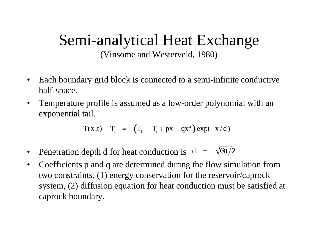# Semi-analytical Heat Exchange

(Vinsome and Westerveld, 1980)

- $\bullet$  Each boundary grid block is connected to a semi-infinite conductive half-space.
- $\bullet$  Temperature profile is assumed as a low-order polynomial with an exponential tail.

$$
T(x,t) - T_i = (T_f - T_i + px + qx^2) exp(-x/d)
$$

- •Penetration depth d for heat conduction is  $d = \sqrt{\Theta t}/2$
- $\bullet$  Coefficients p and q are determined during the flow simulation from two constraints, (1) energy conservation for the reservoir/caprock system, (2) diffusion equation for heat conduction must be satisfied at caprock boundary.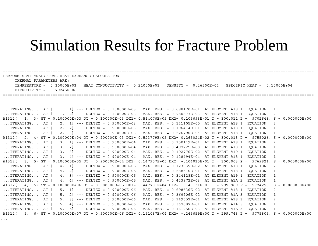## Simulation Results for Fracture Problem

===================================================================================================================================

TEMPERATURE = 0.30000E+03 HEAT CONDUCTIVITY = 0.21000E+01 DENSITY = 0.26500E+04 SPECIFIC HEAT = 0.10000E+04

PERFORM SEMI-ANALYTICAL HEAT EXCHANGE CALCULATION

THERMAL PARAMETERS ARE:

...

| $DIFFUSIVITY = 0.79245E-06$                                                                                                    |                                                              |
|--------------------------------------------------------------------------------------------------------------------------------|--------------------------------------------------------------|
|                                                                                                                                |                                                              |
|                                                                                                                                |                                                              |
|                                                                                                                                |                                                              |
| ITERATING AT $\begin{bmatrix} 1 \\ 1 \end{bmatrix}$ --- DELTEX = 0.100000E+03                                                  | MAX. RES. = 0.698170E-01 AT ELEMENT A18 1<br>EOUATION<br>1   |
| ITERATING AT $\begin{bmatrix} 1 \\ 2 \end{bmatrix}$ --- DELTEX = 0.100000E+03                                                  | MAX. RES. = 0.980877E-03 AT ELEMENT A18 1<br>EOUATION<br>2   |
| A1312( 1, 3) ST = 0.100000E+03 DT = 0.100000E+03 DX1= 0.514076E+05 DX2= 0.105693E-01 T = 300.011 P = 9702648. S = 0.000000E+00 |                                                              |
| $\ldots$ ITERATING AT [<br>$2, 1$ ] --- DELTEX = $0.900000E+03$                                                                | MAX. RES. = 0.141105E+00 AT ELEMENT A18 1<br>EQUATION<br>2   |
| $\ldots$ ITERATING AT [<br>$2.$ 2] $--$ DELTEX = 0.900000E+03<br>$MAX. RES. = 0.196414E-01$                                    | AT ELEMENT A18 1<br>EOUATION<br>1                            |
| $2, 3$ ] --- DELTEX = $0.900000E+03$<br>$\ldots$ ITERATING AT [                                                                | MAX. RES. = 0.526790E-04 AT ELEMENT A18 1<br>EOUATION<br>1   |
| A1312( 2, 4) ST = 0.100000E+04 DT = 0.900000E+03 DX1= 0.523779E+05 DX2= 0.265024E-02 T = 300.013 P = 9755026. S                | $= 0.000000E+00$                                             |
| $\ldots$ ITERATING AT [<br>$3, 1$ --- DELTEX = 0.900000E+04                                                                    | EOUATION<br>MAX. RES. = 0.150119E+01 AT ELEMENT A18 1<br>2   |
| $\ldots$ ITERATING AT [<br>$3.2$ ] --- DELTEX = 0.900000E+04<br>$MAX. RES. = 0.497225E+00$                                     | AT ELEMENT A18 1<br>EOUATION<br>$\mathbf{1}$                 |
| $\ldots$ ITERATING AT $\lceil$<br>$3, 3$ ] --- DELTEX = $0.900000E+04$<br>$MAX. RES. = 0.192776E-02$                           | AT ELEMENT A19 1<br>EOUATION<br>1                            |
| $\ldots$ ITERATING AT $\lceil$<br>$3, 4$ ] --- DELTEX = 0.900000E+04                                                           | MAX. RES. = $0.128494E-04$ AT ELEMENT A18 1<br>EOUATION<br>1 |
| A1312( 3, 5) ST = 0.100000E+05 DT = 0.900000E+04 DX1= 0.147957E+05 DX2= -.104035E-01 T = 300.003 P = 9769821. S                | $= 0.000000E+00$                                             |
| $\ldots$ ITERATING AT [<br>$4.1$ --- DELTEX = 0.900000E+05<br>$MAX. RES. = 0.123039E+02$                                       | AT ELEMENT A18 1<br>EOUATION<br>2                            |
| $\ldots$ ITERATING AT $\lceil$<br>$2$ ] --- DELTEX = 0.900000E+05<br>4,<br>$MAX. RES. = 0.588510E+01$                          | AT ELEMENT A18 1<br>EOUATION<br>$\mathbf{1}$                 |
| $4. 3$ ] --- DELTEX = 0.900000E+05<br>$\ldots$ ITERATING AT [<br>$MAX. RES. = 0.344128E-01$                                    | AT ELEMENT A19 1<br>EOUATION<br>1                            |
| $\ldots$ ITERATING AT [<br>4, 4] $---$ DELTEX = 0.900000E+05<br>MAX. RES. = $0.423972E-03$                                     | AT ELEMENT A1A 2<br>EQUATION<br>1                            |
| A1312( 4, 5) ST = 0.100000E+06 DT = 0.900000E+05 DX1= 0.447701E+04 DX2= -.143131E-01 T = 299.989 P                             | $9774298. S = 0.000000E+00$<br>$=$                           |
| $\ldots$ ITERATING AT $\lceil$<br>$5, 1]$ --- DELTEX = $0.900000E+06$<br>$MAX. RES. = 0.698636E+02$                            | 2<br>AT ELEMENT A18 1<br>EOUATION                            |
| $\ldots$ ITERATING AT [<br>$5.$ 2] $---$ DELTEX = 0.900000E+06<br>$MAX. RES. = 0.369906E+02$                                   | AT ELEMENT A1A 3<br>EOUATION<br>$\mathbf{1}$                 |
| $\ldots$ ITERATING AT $\lceil$<br>$5, 3$ ] --- DELTEX = 0.900000E+06<br>$MAX. RES. = 0.149552E+01$                             | AT ELEMENT A18 3<br>EQUATION<br>2                            |
| $\ldots$ ITERATING AT [<br>$5, 4$ ] --- DELTEX = $0.900000E+06$<br>$MAX. RES. = 0.367687E-01$                                  | AT ELEMENT A1A 3<br>EOUATION<br>1                            |
| $5. 5$ ] --- DELTEX = 0.900000E+06<br>$\ldots$ ITERATING AT [                                                                  | MAX. RES. = $0.161956E-03$ AT ELEMENT A1A 3<br>EOUATION<br>1 |
| A1312( 5, 6) ST = 0.100000E+07 DT = 0.900000E+06 DX1= 0.151037E+04 DX2= -.245659E+00 T = 299.743 P = 9775809. S = 0.000000E+00 |                                                              |
| $\sim$ $\sim$ $\sim$                                                                                                           |                                                              |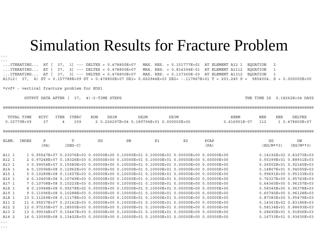### Simulation Results for Fracture Problem

...ITERATING... AT [ 37, 1] --- DELTEX = 0.478800E+07 MAX. RES. = 0.101777E+01 AT ELEMENT A12 1 EQUATION 2 ...ITERATING... AT [ 37, 2] --- DELTEX = 0.478800E+07 MAX. RES. = 0.814304E-01 AT ELEMENT A1112 EQUATION 1 ...ITERATING... AT [ 37, 3] --- DELTEX = 0.478800E+07 MAX. RES. = 0.137360E-03 AT ELEMENT A1312 EQUATION 1 A1312( 37, 4) ST = 0.157788E+09 DT = 0.478800E+07 DX1= 0.662944E+03 DX2= -.117867E+01 T = 203.245 P = 9804004. S = 0.000000E+00

\*rvf\* - vertical fracture problem for EOS1

OUTPUT DATA AFTER ( 37, 4)-2-TIME STEPS THE TIME THE TIME IS 0.18262E+04 DAYS

@@@@@@@@@@@@@@@@@@@@@@@@@@@@@@@@@@@@@@@@@@@@@@@@@@@@@@@@@@@@@@@@@@@@@@@@@@@@@@@@@@@@@@@@@@@@@@@@@@@@@@@@@@@@@@@@@@@@@@@@@@@@@@@@@@@

| TOTAL TIME KCYC ITER ITERC |           |   |     | KON | DX1M | DX2M                                     | DX3M | RERM                              | NER | KER | DELTEX |
|----------------------------|-----------|---|-----|-----|------|------------------------------------------|------|-----------------------------------|-----|-----|--------|
| 0.15779E+09                | $\sim$ 37 | 4 | 159 |     |      | 2 0.226297E+04 0.189794E+01 0.000000E+00 |      | $0.616901E-07$ 112 1 0.478800E+07 |     |     |        |

@@@@@@@@@@@@@@@@@@@@@@@@@@@@@@@@@@@@@@@@@@@@@@@@@@@@@@@@@@@@@@@@@@@@@@@@@@@@@@@@@@@@@@@@@@@@@@@@@@@@@@@@@@@@@@@@@@@@@@@@@@@@@@@@@@@

| ELEM. | INDEX | P    |           | SG | SW                                                                                      | X1 | X2 | PCAP | DG                           | DM          |
|-------|-------|------|-----------|----|-----------------------------------------------------------------------------------------|----|----|------|------------------------------|-------------|
|       |       | (PA) | $(DEG-C)$ |    |                                                                                         |    |    | (PA) | (KG/M**3)                    | $(KG/M**3)$ |
|       |       |      |           |    |                                                                                         |    |    |      | 0.14192E+02 0.83273E+03      |             |
| A11 1 |       |      |           |    | 1 0.95547E+07 0.23076E+03 0.00000E+00 0.10000E+01 0.10000E+01 0.00000E+00 0.00000E+00   |    |    |      |                              |             |
| A12 1 |       |      |           |    | 2 0.97248E+07 0.18326E+03 0.00000E+00 0.10000E+01 0.10000E+01 0.00000E+00 0.00000E+00   |    |    |      | 0.55399E+01 0.88931E+03      |             |
| A13 1 |       |      |           |    | 3 0.99054E+07 0.15080E+03 0.00000E+00 0.10000E+01 0.10000E+01 0.00000E+00 0.00000E+00   |    |    |      | $0.26002E + 010.92145E + 03$ |             |
| A14 1 |       |      |           |    | 4 0.10094E+08 0.12962E+03 0.00000E+00 0.10000E+01 0.10000E+01 0.00000E+00 0.00000E+00   |    |    |      | 0.14807E+01 0.94005E+03      |             |
| A15 1 |       |      |           |    | $5$ 0.10289E+08 0.11607E+03 0.00000E+00 0.10000E+01 0.10000E+01 0.00000E+00 0.00000E+00 |    |    |      | 0.99691E+00 0.95103E+03      |             |
| A16 1 |       |      |           |    | $6$ 0.10493E+08 0.10749E+03 0.00000E+00 0.10000E+01 0.10000E+01 0.00000E+00 0.00000E+00 |    |    |      | 0.76327E+00 0.95763E+03      |             |
| A17 1 |       |      |           |    | 7 0.10708E+08 0.10223E+03 0.00000E+00 0.10000E+01 0.10000E+01 0.00000E+00 0.00000E+00   |    |    |      | 0.64360E+00 0.96157E+03      |             |
| A18 1 |       |      |           |    | 8 0.10948E+08 0.99278E+02 0.00000E+00 0.10000E+01 0.10000E+01 0.00000E+00 0.00000E+00   |    |    |      | 0.58345E+00 0.96378E+03      |             |
| A19 1 |       |      |           |    | $90.11096E+080.10288E+030.00000E+0000.10000E+010.10000E+010.00000E+000000E+00$          |    |    |      | 0.65745E+00 0.96128E+03      |             |
| A1A 1 |       |      |           |    | 10 0.11269E+08 0.11178E+03 0.00000E+00 0.10000E+01 0.10000E+01 0.00000E+00 0.00000E+00  |    |    |      | 0.87383E+00 0.95479E+03      |             |
| A11 2 |       |      |           |    | 11 0.95537E+07 0.23141E+03 0.00000E+00 0.10000E+01 0.10000E+01 0.00000E+00 0.00000E+00  |    |    |      | 0.14361E+02 0.83186E+03      |             |
| A12 2 |       |      |           |    | 12 0.97235E+07 0.18550E+03 0.00000E+00 0.10000E+01 0.10000E+01 0.00000E+00 0.00000E+00  |    |    |      | $0.58134E+010.88693E+03$     |             |
| A13 2 |       |      |           |    | 13 0.99034E+07 0.15447E+03 0.00000E+00 0.10000E+01 0.10000E+01 0.00000E+00 0.00000E+00  |    |    |      | 0.28490E+01 0.91806E+03      |             |
| A14 2 |       |      |           |    | 14 0.10090E+08 0.13402E+03 0.00000E+00 0.10000E+01 0.10000E+01 0.00000E+00 0.00000E+00  |    |    |      | 0.16733E+01 0.93635E+03      |             |

...

...

...

...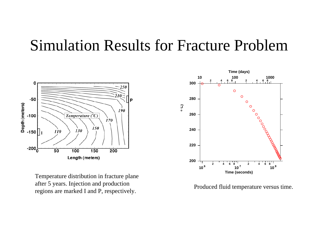### Simulation Results for Fracture Problem



Temperature distribution in fracture plane after 5 years. Injection and production regions are marked I and P, respectively.



Produced fluid temperature versus time.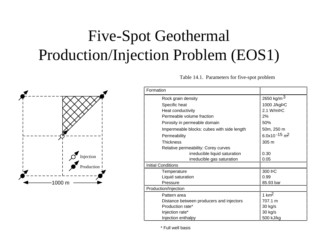# Five-Spot Geothermal Production/Injection Problem (EOS1)



Table 14.1. Parameters for five-spot problem

| Formation                                  |                             |
|--------------------------------------------|-----------------------------|
| Rock grain density                         | 2650 kg/m $3$               |
| Specific heat                              | 1000 J/kgbC                 |
| Heat conductivity                          | 2.1 W/mbC                   |
| Permeable volume fraction                  | 2%                          |
| Porosity in permeable domain               | 50%                         |
| Impermeable blocks: cubes with side length | 50m, 250 m                  |
| Permeability                               | 6.0x10 $-15$ m <sup>2</sup> |
| <b>Thickness</b>                           | 305 m                       |
| Relative permeability: Corey curves        |                             |
| irreducible liquid saturation              | 0.30                        |
| irreducible gas saturation                 | 0.05                        |
| <b>Initial Conditions</b>                  |                             |
| Temperature                                | 300 ÞC                      |
| Liquid saturation                          | 0.99                        |
| Pressure                                   | 85.93 bar                   |
| Production/Injection                       |                             |
| Pattern area                               | 1 $km2$                     |
| Distance between producers and injectors   | 707.1 m                     |
| Production rate*                           | 30 kg/s                     |
| Injection rate*                            | 30 kg/s                     |
| Injection enthalpy                         | 500 kJ/kg                   |

\* Full well basis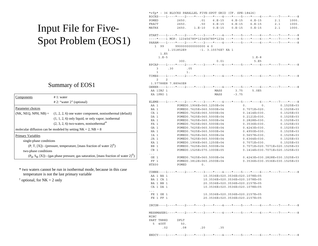### Input File for Five-Spot Problem (EOS1)

#### Summary of EOS1

| Components                                                                                         | # 1: water                                                                       |  |  |  |  |  |  |
|----------------------------------------------------------------------------------------------------|----------------------------------------------------------------------------------|--|--|--|--|--|--|
|                                                                                                    | $# 2$ : "water 2" (optional)                                                     |  |  |  |  |  |  |
| Parameter choices                                                                                  |                                                                                  |  |  |  |  |  |  |
|                                                                                                    | $(NK, NEO, NPH, NB) = (1, 2, 2, 6)$ one water component, nonisothermal (default) |  |  |  |  |  |  |
|                                                                                                    | $(1, 1, 2, 6)$ only liquid, or only vapor; isothermal                            |  |  |  |  |  |  |
|                                                                                                    | $(2, 3, 2, 6)$ two-waters, nonisothermal <sup>*</sup>                            |  |  |  |  |  |  |
|                                                                                                    | molecular diffusion can be modeled by setting $NK = 2$ , $NB = 8$                |  |  |  |  |  |  |
| Primary Variables                                                                                  |                                                                                  |  |  |  |  |  |  |
| single-phase conditions                                                                            |                                                                                  |  |  |  |  |  |  |
| $(P, T, [X])$ - (pressure, temperature, [mass fraction of water $2\uparrow\uparrow$ )              |                                                                                  |  |  |  |  |  |  |
| two-phase conditions                                                                               |                                                                                  |  |  |  |  |  |  |
| $(P_g, S_g, [X])$ - (gas phase pressure, gas saturation, [mass fraction of water 2] <sup>†</sup> ) |                                                                                  |  |  |  |  |  |  |

\* two waters cannot be run in isothermal mode, because in this case temperature is not the last primary variable

 $\dagger$  optional, for NK = 2 only

| *rfp* - 36 BLOCKS PARALLEL FIVE-SPOT GRID (CF. SPE-18426)                   |            |                           |                    |                                 |                  |                                                                                  |
|-----------------------------------------------------------------------------|------------|---------------------------|--------------------|---------------------------------|------------------|----------------------------------------------------------------------------------|
|                                                                             |            |                           |                    |                                 |                  | ROCKS----1----*----2----*----3----*----4----*----5----*----6----*----7----*----8 |
| POMED                                                                       | 2650.      | .01                       | $6. E - 15$        | 6.E-15                          | 6.E-15           | 2.1<br>1000.                                                                     |
| FRACT                                                                       | 2650.      | .50                       | $6. E - 15$        | $6. E - 15$                     | $6.E-15$         | 2.1<br>1000.                                                                     |
| MATRX                                                                       | 2650.      | $1.E-10$                  | $0.E-15$           | $0.E-15$                        | $0.E-15$         | 2.1<br>1000.                                                                     |
|                                                                             |            |                           |                    |                                 |                  |                                                                                  |
|                                                                             |            |                           |                    |                                 |                  | START----1----*----2----*----3----*----4----*----5----*----6----*----7----*----8 |
|                                                                             |            |                           |                    |                                 |                  | ----*----1 MOP: 123456789*123456789*1234 ---*----5----*----6----*----7----*----8 |
|                                                                             |            |                           |                    |                                 |                  | PARAM----1----*----2----*----3----*----4----*----5----*----6----*----7----*----8 |
| 1 99                                                                        |            | 9900000000000000 4 0      |                    |                                 |                  |                                                                                  |
|                                                                             | 1.151852E9 |                           | -1. 3.15576E7 KA 1 |                                 |                  |                                                                                  |
| 1.E5                                                                        |            |                           |                    |                                 |                  |                                                                                  |
| $1.E-5$                                                                     |            |                           |                    |                                 | $1.E-8$          |                                                                                  |
|                                                                             | 300.       |                           | 0.01               |                                 | 5.E5             |                                                                                  |
|                                                                             |            |                           |                    |                                 |                  | RPCAP----1----*----2----*----3----*----4----*----5----*----6----*----7----*----8 |
| 3<br>.30                                                                    | .05        |                           |                    |                                 |                  |                                                                                  |
| $\mathbf{1}$                                                                | 1.         |                           |                    |                                 |                  |                                                                                  |
|                                                                             |            |                           |                    |                                 |                  | TIMES----1----*----2----*----3----*----4----*----5----*----6----*----7----*----8 |
| $\mathbf{2}$<br>2                                                           |            |                           |                    |                                 |                  |                                                                                  |
| 1.57788E8 7.88940E8                                                         |            |                           |                    |                                 |                  |                                                                                  |
|                                                                             |            |                           |                    |                                 |                  | GENER----1----*----2----*----3----*----4----*----5----*----6----*----7----*----8 |
| AA 1INJ 1                                                                   |            |                           | MASS               | 3.75                            | 5.0E5            |                                                                                  |
|                                                                             |            |                           |                    | $-3.75$                         |                  |                                                                                  |
| KA 1PRO 1                                                                   |            |                           | MASS               |                                 |                  |                                                                                  |
|                                                                             |            |                           |                    |                                 |                  | ELEME----1----*----2----*----3----*----4----*----5----*----6----*----7----*----8 |
|                                                                             |            | POMED0.1906E+060.1250E+04 |                    |                                 |                  | $0.1525E + 03$                                                                   |
| AA 1                                                                        |            |                           |                    |                                 | 0.<br>0.         |                                                                                  |
| BA 1                                                                        |            | POMED0.7625E+060.5000E+04 |                    |                                 | $0.7071E + 020.$ | $0.1525E + 03$                                                                   |
| CA 1                                                                        |            | POMED0.7625E+060.5000E+04 |                    |                                 | $0.1414E + 030.$ | $0.1525E + 03$                                                                   |
| DA 1                                                                        |            | POMED0.7625E+060.5000E+04 |                    |                                 | $0.2121E + 030.$ | $0.1525E + 03$                                                                   |
| EA 1                                                                        |            | POMED0.7625E+060.5000E+04 |                    |                                 | $0.2828E + 030.$ | $0.1525E + 03$                                                                   |
| FA 1                                                                        |            | POMED0.7625E+060.5000E+04 |                    |                                 | $0.3536E + 030.$ | $0.1525E + 03$                                                                   |
| GA 1                                                                        |            | POMED0.7625E+060.5000E+04 |                    |                                 | $0.4243E + 030.$ | $0.1525E + 03$                                                                   |
| HA 1                                                                        |            | POMED0.7625E+060.5000E+04 |                    |                                 | $0.4950E + 030.$ | $0.1525E + 03$                                                                   |
| IA 1                                                                        |            | POMED0.7625E+060.5000E+04 |                    |                                 | $0.5657E + 030.$ | $0.1525E + 03$                                                                   |
| JA 1                                                                        |            | POMED0.7625E+060.5000E+04 |                    |                                 | $0.6364E+030.$   | $0.1525E + 03$                                                                   |
| KA 1                                                                        |            | POMED0.1906E+060.1250E+04 |                    |                                 | $0.7071E + 030.$ | $0.1525E + 03$                                                                   |
| BB 1                                                                        |            | POMED0.7625E+060.5000E+04 |                    |                                 |                  | 0.7071E+020.7071E+020.1525E+03                                                   |
| CB 1                                                                        |            | POMED0.1525E+070.1000E+05 |                    |                                 |                  | 0.1414E+030.7071E+020.1525E+03                                                   |
| $\cdots$                                                                    |            |                           |                    |                                 |                  |                                                                                  |
| GE 1                                                                        |            | POMED0.7625E+060.5000E+04 |                    |                                 |                  | 0.4243E+030.2828E+030.1525E+03                                                   |
| FF <sub>1</sub>                                                             |            | POMED0.3812E+060.2500E+04 |                    |                                 |                  | 0.3536E+030.3536E+030.1525E+03                                                   |
| HTX00                                                                       | POMED      | 0.                        |                    |                                 |                  |                                                                                  |
|                                                                             |            |                           |                    |                                 |                  |                                                                                  |
|                                                                             |            |                           |                    |                                 |                  | CONNE----1----*----2----*----3----*----4----*----5----*----6----*----7----*----8 |
| AA 1 BA 1                                                                   |            |                           |                    | 10.3536E+020.3536E+020.1078E+05 |                  |                                                                                  |
| BA 1 CA 1                                                                   |            |                           |                    | 10.3536E+020.3536E+020.1078E+05 |                  |                                                                                  |
| BA 1 BB 1                                                                   |            |                           |                    | 20.3536E+020.3536E+020.2157E+05 |                  |                                                                                  |
| CA 1 DA 1                                                                   |            |                           |                    | 10.3536E+020.3536E+020.1078E+05 |                  |                                                                                  |
| $\cdot$ .                                                                   |            |                           |                    |                                 |                  |                                                                                  |
| FE 1 GE 1                                                                   |            |                           |                    | 10.3536E+020.3536E+020.2157E+05 |                  |                                                                                  |
| FE 1 FF 1                                                                   |            |                           |                    | 20.3536E+020.3536E+020.2157E+05 |                  |                                                                                  |
|                                                                             |            |                           |                    |                                 |                  |                                                                                  |
| $INCON---1---+---2---+---3---+---4---+---5---+---6---+---6---+---7---+---8$ |            |                           |                    |                                 |                  |                                                                                  |
| MINC                                                                        |            |                           |                    |                                 |                  | MESHMAKER1----*----2----*---3----*----4----*----5----*----6----*---7----*----8   |
| PART THRED                                                                  | DFLT       |                           |                    |                                 |                  |                                                                                  |
| 5<br>40UT                                                                   | 50.        |                           |                    |                                 |                  |                                                                                  |
| .02                                                                         | .08        | .20                       | .35                |                                 |                  |                                                                                  |
|                                                                             |            |                           |                    |                                 |                  |                                                                                  |

ENDCY----1----\*----2----\*----3----\*----4----\*----5----\*----6----\*----7----\*----8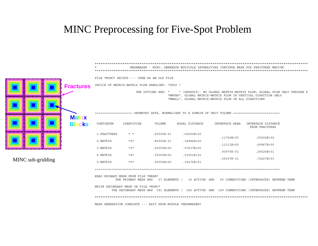### MINC Preprocessing for Five-Spot Problem

 \*\*\*\*\*\*\*\*\*\*\*\*\*\*\*\*\*\*\*\*\*\*\*\*\*\*\*\*\*\*\*\*\*\*\*\*\*\*\*\*\*\*\*\*\*\*\*\*\*\*\*\*\*\*\*\*\*\*\*\*\*\*\*\*\*\*\*\*\*\*\*\*\*\*\*\*\*\*\*\*\*\*\*\*\*\*\*\*\*\*\*\*\*\*\*\*\*\*\*\*\*\*\*\*\*\*\*\*\*\*\*\*\*\*MESHMAKER - MINC: GENERATE MULTIPLE INTERACTING CONTINUA MESH FOR FRACTURED MEDIUM \*\*\*\*\*\*\*\*\*\*\*\*\*\*\*\*\*\*\*\*\*\*\*\*\*\*\*\*\*\*\*\*\*\*\*\*\*\*\*\*\*\*\*\*\*\*\*\*\*\*\*\*\*\*\*\*\*\*\*\*\*\*\*\*\*\*\*\*\*\*\*\*\*\*\*\*\*\*\*\*\*\*\*\*\*\*\*\*\*\*\*\*\*\*\*\*\*\*\*\*\*\*\*\*\*\*\*\*\*\*\*\*\*\*

FILE \*MINC\* EXISTS --- OPEN AS AN OLD FILE

CHOICE OF MATRIX-MATRIX FLOW HANDLING: "DFLT "

 THE OPTIONS ARE: " " (DEFAULT), NO GLOBAL MATRIX-MATRIX FLOW; GLOBAL FLOW ONLY THROUGH F "MMVER", GLOBAL MATRIX-MATRIX FLOW IN VERTICAL DIRECTION ONLY "MMALL", GLOBAL MATRIX-MATRIX FLOW IN ALL DIRECTIONS

==================== GEOMETRY DATA, NORMALIZED TO A DOMAIN OF UNIT VOLUME =========================

| CONTINUUM   | <b>IDENTIFIER</b> | <b>VOLUME</b>  | NODAL DISTANCE | INTERFACE AREA | INTERFACE DISTANCE<br>FROM FRACTURES |
|-------------|-------------------|----------------|----------------|----------------|--------------------------------------|
| 1-FRACTURES | $\star$ $\star$   | $.20000E - 01$ | $.00000E + 00$ |                |                                      |
|             |                   |                |                | $.11760E + 00$ | $.00000E + 00$                       |
| 2-MATRIX    | $*2*$             | $.80000E - 01$ | $.34984E + 00$ |                |                                      |
|             |                   |                |                | $.11111E+00$   | $.69967E + 00$                       |
| 3-MATRIX    | $*3*$             | $.20000E + 00$ | $.97637E + 00$ |                |                                      |
|             |                   |                |                | $.93970E - 01$ | $.26524E + 01$                       |
| 4-MATRIX    | $*4*$             | $.35000E + 00$ | $.23051E + 01$ |                |                                      |
|             |                   |                |                | .59197E-01     | $.72627E + 01$                       |
| 5-MATRIX    | $*5*$             | $.35000E + 00$ | $.35475E + 01$ |                |                                      |

===================================================================================================

 READ PRIMARY MESH FROM FILE \*MESH\*THE PRIMARY MESH HAS 37 ELEMENTS ( 36 ACTIVE) AND 55 CONNECTIONS (INTERFACES) BETWEEN THEM

 WRITE SECONDARY MESH ON FILE \*MINC\* THE SECONDARY MESH HAS 181 ELEMENTS ( 180 ACTIVE) AND 199 CONNECTIONS (INTERFACES) BETWEEN THEM \*\*\*\*\*\*\*\*\*\*\*\*\*\*\*\*\*\*\*\*\*\*\*\*\*\*\*\*\*\*\*\*\*\*\*\*\*\*\*\*\*\*\*\*\*\*\*\*\*\*\*\*\*\*\*\*\*\*\*\*\*\*\*\*\*\*\*\*\*\*\*\*\*\*\*\*\*\*\*\*\*\*\*\*\*\*\*\*\*\*\*\*\*\*\*\*\*\*\*\*\*\*\*\*\*\*\*\*\*\*\*\*\*\*MESH GENERATION COMPLETE --- EXIT FROM MODULE \*MESHMAKER\*



MINC sub-gridding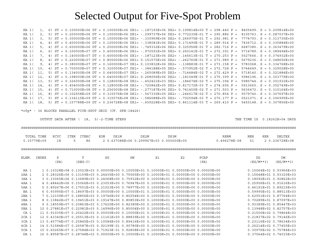#### Selected Output for Five-Spot Problem

KA 1( 1, 6) ST = 0.100000E+06 DT = 0.100000E+06 DX1= -.187193E+06 DX2= 0.199814E+00 T = 298.440 P = 8405499. S = 0.209814E+00 KA 1( 2, 5) ST = 0.200000E+06 DT = 0.100000E+06 DX1= -.299737E+06 DX2= 0.772235E-01 T = 295.886 P = 8105763. S = 0.287037E+00 KA 1( 3, 5) ST = 0.300000E+06 DT = 0.100000E+06 DX1= -.330969E+06 DX2= 0.266975E-01 T = 292.981 P = 7774793. S = 0.313735E+00 KA 1( 4, 4) ST = 0.400000E+06 DT = 0.100000E+06 DX1= -.338081E+06 DX2= 0.171490E-01 T = 289.914 P = 7436712. S = 0.330884E+00 KA 1( 5, 4) ST = 0.600000E+06 DT = 0.200000E+06 DX1= -.749332E+06 DX2= 0.325956E-01 T = 282.716 P = 6687380. S = 0.363479E+00 KA 1( 6, 6) ST = 0.100000E+07 DT = 0.400000E+06 DX1= -.972591E+06 DX2= 0.260141E-01 T = 272.391 P = 5714789. S = 0.389494E+00 KA 1( 7, 4) ST = 0.140000E+07 DT = 0.400000E+06 DX1= -.187123E+06 DX2= -.145613E-01 T = 270.253 P = 5527666. S = 0.374932E+00 KA 1( 8, 4) ST = 0.220000E+07 DT = 0.800000E+06 DX1= 0.151570E+06 DX2= -.262760E-01 T = 271.989 P = 5679236. S = 0.348656E+00 KA 1( 9, 4) ST = 0.380000E+07 DT = 0.160000E+07 DX1= 0.103832E+06 DX2= -.138883E-01 T = 273.158 P = 5783068. S = 0.334768E+00 KA 1( 10, 4) ST = 0.700000E+07 DT = 0.320000E+07 DX1= -.384188E+05 DX2= -.573952E-02 T = 272.728 P = 5744649. S = 0.329028E+00 KA 1( 11, 5) ST = 0.134000E+08 DT = 0.640000E+07 DX1= -.265089E+05 DX2= -.714484E-02 T = 272.429 P = 5718140. S = 0.321884E+00 KA 1( 12, 4) ST = 0.198000E+08 DT = 0.640000E+07 DX1= 0.268056E+06 DX2= -.181049E-01 T = 275.399 P = 5986196. S = 0.303779E+00 KA 1( 13, 5) ST = 0.326000E+08 DT = 0.128000E+08 DX1= -.452421E+03 DX2= -.184674E-02 T = 275.394 P = 5985744. S = 0.301932E+00 KA 1( 14, 4) ST = 0.454000E+08 DT = 0.128000E+08 DX1= -.720842E+05 DX2= 0.817172E-03 T = 274.606 P = 5913660. S = 0.302749E+00 KA 1( 15, 4) ST = 0.710000E+08 DT = 0.256000E+08 DX1= -.277187E+06 DX2= 0.741455E-02 T = 271.503 P = 5636472. S = 0.310164E+00 KA 1( 16, 8) ST = 0.102558E+09 DT = 0.315576E+08 DX1= -.567330E+05 DX2= -.246617E-02 T = 270.854 P = 5579740. S = 0.307697E+00 KA 1( 17, 5) ST = 0.134115E+09 DT = 0.315576E+08 DX1= -.586688E+05 DX2= -.702594E-03 T = 270.177 P = 5521071. S = 0.306995E+00 KA 1( 18, 5) ST = 0.157788E+09 DT = 0.236728E+08 DX1= -.659228E+05 DX2= 0.861114E-03 T = 269.410 P = 5455148. S = 0.307856E+00

\*rfp\* - 36 BLOCKS PARALLEL FIVE-SPOT GRID (CF. SPE-18426)

OUTPUT DATA AFTER ( 18, 5)-2-TIME STEPS THE THE TIME IS 0.18262E+04 DAYS

#### @@@@@@@@@@@@@@@@@@@@@@@@@@@@@@@@@@@@@@@@@@@@@@@@@@@@@@@@@@@@@@@@@@@@@@@@@@@@@@@@@@@@@@@@@@@@@@@@@@@@@@@@@@@@@@@@@@@@@@@@@@@@@@@@@@@

| TOTAL TIME KCYC ITER ITERC KON |  |     | DX1M | DX2M |                                          | RERM                             | NER | KER | <b>DELTEX</b> |
|--------------------------------|--|-----|------|------|------------------------------------------|----------------------------------|-----|-----|---------------|
| 0.15779E+09                    |  | 586 |      |      | 2 0.637088E+06 0.299967E+03 0.000000E+00 | $0.496278E-08$ 51 2 0.236728E+08 |     |     |               |

@@@@@@@@@@@@@@@@@@@@@@@@@@@@@@@@@@@@@@@@@@@@@@@@@@@@@@@@@@@@@@@@@@@@@@@@@@@@@@@@@@@@@@@@@@@@@@@@@@@@@@@@@@@@@@@@@@@@@@@@@@@@@@@@@@@

| ELEM.   | INDEX | Ρ    |                                                                                         | SG | SW | X1 | X2 | PCAP                                                                                  | DG          | DW                           |
|---------|-------|------|-----------------------------------------------------------------------------------------|----|----|----|----|---------------------------------------------------------------------------------------|-------------|------------------------------|
|         |       | (PA) | $(DEG-C)$                                                                               |    |    |    |    | (PA)                                                                                  | $(KG/M**3)$ | $(KG/M**3)$                  |
| AA 1    |       |      |                                                                                         |    |    |    |    | 1 0.10328E+08 0.13023E+03 0.00000E+00 0.10000E+01 0.10000E+01 0.00000E+00 0.00000E+00 |             | $0.15064E+01$ $0.93966E+03$  |
| $2AA$ 1 |       |      | 2 0.28326E+06 0.13159E+03 0.24435E+00 0.75565E+00 0.10000E+01 0.00000E+00 0.00000E+00   |    |    |    |    |                                                                                       |             | $0.15648E+010.93320E+03$     |
| 3AA 1   |       |      | 3 0.33065E+06 0.13689E+03 0.24068E+00 0.75932E+00 0.10000E+01 0.00000E+00 0.00000E+00   |    |    |    |    |                                                                                       |             | $0.18092E+010.92862E+03$     |
| 4AA 1   |       |      | 4 0.48442E+06 0.15066E+03 0.23053E+00 0.76947E+00 0.10000E+01 0.00000E+00 0.00000E+00   |    |    |    |    |                                                                                       |             | $0.25906E+010.91616E+03$     |
| 5AA 1   |       |      | 5 0.89267E+06 0.17501E+03 0.21023E+00 0.78977E+00 0.10000E+01 0.00000E+00 0.00000E+00   |    |    |    |    |                                                                                       |             | $0.46191E+01$ $0.89215E+03$  |
| BA 1    |       |      | $6$ 0.93995E+07 0.18697E+03 0.00000E+00 0.10000E+01 0.10000E+01 0.00000E+00 0.00000E+00 |    |    |    |    |                                                                                       |             | $0.59990E+01$ $0.88513E+03$  |
| $2BA$ 1 |       |      | 7 0.12159E+07 0.18856E+03 0.19746E+00 0.80254E+00 0.10000E+01 0.00000E+00 0.00000E+00   |    |    |    |    |                                                                                       |             | $0.62051E+01$ $0.87764E+03$  |
| 3BA 1   |       |      | 8 0.13842E+07 0.19451E+03 0.19147E+00 0.80853E+00 0.10000E+01 0.00000E+00 0.00000E+00   |    |    |    |    |                                                                                       |             | 0.70289E+01 0.87097E+03      |
| 4BA 1   |       |      | 9 0.18559E+07 0.20863E+03 0.17620E+00 0.82380E+00 0.10000E+01 0.00000E+00 0.00000E+00   |    |    |    |    |                                                                                       |             | $0.93389E+01$ $0.85447E+03$  |
| 5BA 1   |       |      | 10 0.27881E+07 0.22981E+03 0.14996E+00 0.85004E+00 0.10000E+01 0.00000E+00 0.00000E+00  |    |    |    |    |                                                                                       |             | $0.13948E+02$ $0.82757E+03$  |
| CA 1    |       |      | 11 0.91035E+07 0.25422E+03 0.00000E+00 0.10000E+01 0.10000E+01 0.00000E+00 0.00000E+00  |    |    |    |    |                                                                                       |             | $0.21500E+020.79864E+03$     |
| $2CA$ 1 |       |      | 12 0.43340E+07 0.25513E+03 0.11161E+00 0.88839E+00 0.10000E+01 0.00000E+00 0.00000E+00  |    |    |    |    |                                                                                       |             | $0.21837E+020.79146E+03$     |
| $3CA$ 1 |       |      | 13 0.45774E+07 0.25845E+03 0.10584E+00 0.89416E+00 0.10000E+01 0.00000E+00 0.00000E+00  |    |    |    |    |                                                                                       |             | $0.23116E+02$ $0.78634E+03$  |
| $4CA$ 1 |       |      | 14 0.51584E+07 0.26587E+03 0.92199E-01 0.90780E+00 0.10000E+01 0.00000E+00 0.00000E+00  |    |    |    |    |                                                                                       |             | 0.26214E+02 0.77455E+03      |
| 5CA 1   |       |      | 15 0.60265E+07 0.27584E+03 0.71923E-01 0.92808E+00 0.10000E+01 0.00000E+00 0.00000E+00  |    |    |    |    |                                                                                       |             | $0.30976E + 020.75784E + 03$ |
| DA 1    |       |      | 16 0.89587E+07 0.28748E+03 0.00000E+00 0.10000E+01 0.10000E+01 0.00000E+00 0.00000E+00  |    |    |    |    |                                                                                       |             | $0.37564E+02$ 0.74015E+03    |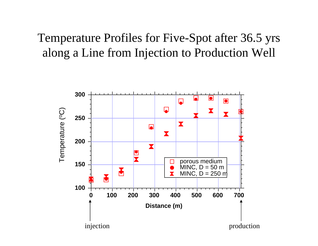# Temperature Profiles for Five-Spot after 36.5 yrs along a Line from Injection to Production Well

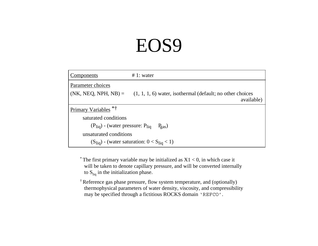# EOS9

| <u>Components</u>                        | $# 1$ : water                                                             |
|------------------------------------------|---------------------------------------------------------------------------|
| Parameter choices                        |                                                                           |
| $(NK, NEG, NPH, NB) =$                   | $(1, 1, 1, 6)$ water, isothermal (default; no other choices<br>available) |
|                                          |                                                                           |
| Primary Variables *†                     |                                                                           |
| saturated conditions                     |                                                                           |
| $(P_{liq})$ - (water pressure: $P_{liq}$ | $P_{gas}$ )                                                               |
| unsaturated conditions                   |                                                                           |
|                                          | $(S_{liq})$ - (water saturation: $0 < S_{liq} < 1$ )                      |

\* The first primary variable may be initialized as  $X1 < 0$ , in which case it will be taken to denote capillary pressure, and will be converted internally to  $S_{liq}$  in the initialization phase.

† Reference gas phase pressure, flow system temperature, and (optionally) thermophysical parameters of water density, viscosity, and compressibility may be specified through a fictitious ROCKS domain 'REFCO'.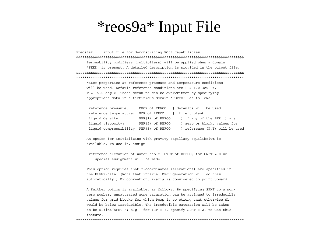# \*reos9a\* Input File

 \*reos9a\* ... input file for demonstrating EOS9 capabilities &&&&&&&&&&&&&&&&&&&&&&&&&&&&&&&&&&&&&&&&&&&&&&&&&&&&&&&&&&&&&&&&&&&&&&&&&&&&&&&& Permeability modifiers (multipliers) will be applied when a domain 'SEED' is present. A detailed description is provided in the output file. &&&&&&&&&&&&&&&&&&&&&&&&&&&&&&&&&&&&&&&&&&&&&&&&&&&&&&&&&&&&&&&&&&&&&&&&&&&&&&&&\*\*\*\*\*\*\*\*\*\*\*\*\*\*\*\*\*\*\*\*\*\*\*\*\*\*\*\*\*\*\*\*\*\*\*\*\*\*\*\*\*\*\*\*\*\*\*\*\*\*\*\*\*\*\*\*\*\*\*\*\*\*\*\*\*\*\*\*\*\*\*\*\*\*\*\*\*\*\*\*

 Water properties at reference pressure and temperature conditions will be used. Default reference conditions are P = 1.013e5 Pa, T = 15.0 deg-C. These defaults can be overwritten by specifying appropriate data in a fictitious domain 'REFCO', as follows:

| reference pressure:                     |                              | DROK of REFCO   defaults will be used |
|-----------------------------------------|------------------------------|---------------------------------------|
| reference temperature:                  | POR of REFCO   if left blank |                                       |
| liquid density:                         | PER(1) of REFCO              | ) if any of the PER(i) are            |
| liquid viscocity:                       | PER(2) of REFCO              | ) zero or blank, values for           |
| liquid compressibility: PER(3) of REFCO |                              | ) reference (P,T) will be used        |

 An option for initializing with gravity-capillary equilibrium is available. To use it, assign

 reference elevation of water table: CWET of REFCO; for CWET = 0 no special assignment will be made.

 This option requires that z-coordinates (elevations) are specified in the ELEME-data. (Note that internal MESH generation will do this automatically.) By convention, z-axis is considered to point upward.

 A further option is available, as follows. By specifying SPHT to a non zero number, unsaturated zone saturation can be assigned to irreducible values for grid blocks for which Pcap is so strong that otherwise Sl would be below irreducible. The irreducible saturation will be takento be RP(int(SPHT)); e.g., for IRP = 7, specify SPHT = 2. to use this feature.

\*\*\*\*\*\*\*\*\*\*\*\*\*\*\*\*\*\*\*\*\*\*\*\*\*\*\*\*\*\*\*\*\*\*\*\*\*\*\*\*\*\*\*\*\*\*\*\*\*\*\*\*\*\*\*\*\*\*\*\*\*\*\*\*\*\*\*\*\*\*\*\*\*\*\*\*\*\*\*\*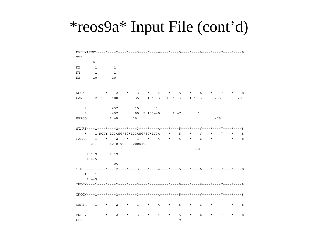# \*reos9a\* Input File (cont'd)

```
MESHMAKER1----*----2----*----3----*----4----*----5----*----6----*----7----*-----8
XYZ
       0.\overline{1}1.NX
                 1.NY
        \mathbf{1}NZ1010.
ROCKS----1----*----2----*----3----*----4----*----5----*----6----*----7----*-----8
SAND
        2 2600.e00
                               1.e-13 1.0e-132.51
                          .351.e-13920.
   7\overline{ }.457
                          .151.7\overline{ }.457
                          .05 \quad 5.105e-51.e7
                                                        1.REFCO
               1.e5
                          20.
                                                                -75.START---1---+---2---+---3---+---4---4---+---5---+---6---+---7---7---+---8---*---1-MOP: 123456789*123456789*1234---*---5---*---6---*---7---*---7-PARAM----1----*----2----*----3----*----4----*----5----*----6----*----7----*----8
   \overline{2}\overline{2}21010 0000020000400 03
                                                      9.81
                          -1.1.e-91.e9
    1.e-5.25TIMES----1----*----2----*----3----*----4----*----5----*----6----*----7----*-----8
   1\overline{\phantom{a}}1.e-9INDOM---1---*---2---*---3---*---4---*---5---*---6---*---6---*---7---*---8GENER----1----*----2----*----3----*----4----*----5----*----6----*----7----*-----8
ENDCY---1---*---2---*---3------*---4---4---5---5---*---6---6---*---7---*---7---*---8SEED
                                             0.9
```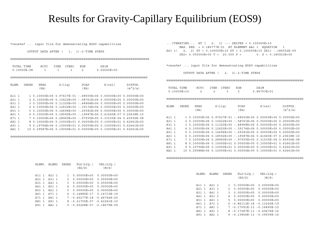### Results for Gravity-Capillary Equilibrium (EOS9)

\*reos9a\* ... input file for demonstrating EOS9 capabilities

OUTPUT DATA AFTER ( 1, 1)-2-TIME STEPS

@@@@@@@@@@@@@@@@@@@@@@@@@@@@@@@@@@@@@@@@@@@@@@@@@@@@@@@@@@@@@@@@@@@@@@@@@@

|       | TOTAL TIME      | KCYC                         | <b>ITER</b> | <b>ITERC</b>    | KON            | DX1M                                                            |                 |
|-------|-----------------|------------------------------|-------------|-----------------|----------------|-----------------------------------------------------------------|-----------------|
|       | $0.10000E - 08$ | 1                            | 1           | 1               | $\overline{c}$ | $0.00000E + 00$                                                 |                 |
|       |                 |                              |             |                 |                |                                                                 |                 |
|       |                 |                              |             |                 |                |                                                                 |                 |
|       |                 |                              |             |                 |                |                                                                 |                 |
| ELEM. | <b>INDEX</b>    | PRES                         |             | S(liq)          | PCAP           | $K$ (rel)                                                       | DIFFUS.         |
|       |                 | (PA)                         |             |                 | (PA)           |                                                                 | $(m^2/s)$       |
|       |                 |                              |             |                 |                |                                                                 |                 |
| A11 1 |                 |                              |             |                 |                | 1 0.10000E+06 0.97637E-01 -.68555E+06 0.00000E+00               | $0.00000E + 00$ |
| A21 1 |                 | $0.10000E + 06$              |             |                 |                | $0.10422E+00 - 58761E+06 0.00000E+00$                           | $0.00000E + 00$ |
| A31 1 |                 | 3 0.10000E+06                |             |                 |                | $0.11320E+00 - 48968E+06 0.00000E+00$                           | $0.00000E + 00$ |
| A41 1 |                 | $0.10000E + 060.12620E + 00$ |             |                 |                | -.39174E+06 0.00000E+00                                         | $0.00000E + 00$ |
| A51 1 |                 | 5 0.10000E+06 0.14696E+00    |             |                 |                | $-.29381E+060.0000E+00$                                         | $0.00000E + 00$ |
| A61 1 |                 |                              |             |                 |                | $0.10000E+06$ $0.18592E+00$ - 19587E+06 0.41660E-07 0.20638E-10 |                 |
| A71 1 |                 |                              |             |                 |                | $0.10000E+06$ $0.28960E+00$ - 97935E+05 0.31535E-04 0.45936E-08 |                 |
| A81 1 |                 | $0.10000E + 06$              |             | $0.10000E + 01$ |                | $0.00000E + 0000.10000E + 01$                                   | $0.62661E + 00$ |
| A91 1 | 9               | $0.19794E + 06$              |             | $0.10000E + 01$ |                | $0.00000E + 000.10000E + 01$                                    | $0.62661E + 00$ |
| AA1   |                 |                              |             |                 |                | $0.29587E+060.10000E+010.00000E+0000.10000E+010.62661E+00$      |                 |
|       |                 |                              |             |                 |                |                                                                 |                 |

@@@@@@@@@@@@@@@@@@@@@@@@@@@@@@@@@@@@@@@@@@@@@@@@@@@@@@@@@@@@@@@@@@@@@@@@@@

| ELEM1 | ELEM2   | INDEX          | FLO(LIO.)<br>(KG/S)           | VEL(LIO.)<br>(M/S) |
|-------|---------|----------------|-------------------------------|--------------------|
| A11 1 | $A21$ 1 | $\mathbf{1}$   | $0.00000E + 00$               | $0.00000E + 00$    |
| A21 1 | A31 1   | 2              | $0.00000E + 00$               | $0.00000E + 00$    |
| A31 1 | A41 1   | 3              | $0.00000E + 00$               | $0.00000E + 00$    |
| A41 1 | A51 1   | $\overline{4}$ | $0.00000E + 00$               | $0.00000E + 00$    |
| A51 1 | A61 1   |                | 5 0.00000E+00                 | $0.00000E + 00$    |
| A61 1 | A71 1   | 6              | 0.14885E-17                   | 0.14710E-19        |
| A71 1 | A81 1   |                | 7 - 0.45277E-18 - 0.44744E-20 |                    |
| A81 1 | A91 1   |                | 8 -0.21755E-07 -0.62261E-10   |                    |
| A91 1 | AA1 1   |                | 9 - 0.65268E-07 - 0.18679E-09 |                    |

...ITERATING... AT [ 2, 1] --- DELTEX = 0.100000E+10 MAX. RES. = 0.186777E-01 AT ELEMENT AA1 1 EQUATION 1 A61 1( 2, 2) ST = 0.100000E+10 DT = 0.100000E+10 DX1= -.186552E-09  $DX2 = 0.000000E+00 T = 20.000 P = 0. S = 0.185923E+00$ 

\*reos9a\* ... input file for demonstrating EOS9 capabilities

OUTPUT DATA AFTER ( 2, 2)-2-TIME STEPS

@@@@@@@@@@@@@@@@@@@@@@@@@@@@@@@@@@@@@@@@@@@@@@@@@@@@@@@@@@@@@@@@@@@@@@@@@

| TOTAL TIME  | KGAG | T T R R | TTERC | KON | DY1M            |
|-------------|------|---------|-------|-----|-----------------|
| 0.10000E+10 |      |         |       |     | $0.86753E + 01$ |

@@@@@@@@@@@@@@@@@@@@@@@@@@@@@@@@@@@@@@@@@@@@@@@@@@@@@@@@@@@@@@@@@@@@@@@@@

| ELEM. | INDEX | PRES | S(liq) | PCAP | $K$ (rel) | DIFFUS.   |
|-------|-------|------|--------|------|-----------|-----------|
|       |       | (PA) |        | 'PA  |           | $(m^2/s)$ |
|       |       |      |        |      |           |           |

| A11 1   |  | 1  0.10000E+06  0.97637E-01  -.68555E+06  0.00000E+00  0.00000E+00 |                                                                                 |  |
|---------|--|--------------------------------------------------------------------|---------------------------------------------------------------------------------|--|
| $A21$ 1 |  |                                                                    | $2, 0.10000E + 06, 0.10422E + 00, -0.58761E + 06, 0.00000E + 00, 0.00000E + 00$ |  |
| A31 1   |  |                                                                    | $3, 0.10000E + 06, 0.11320E + 00, -0.48968E + 06, 0.00000E + 00, 0.00000E + 00$ |  |
| A41 1   |  |                                                                    | 4 0.10000E+06 0.12620E+00 -.39174E+06 0.00000E+00 0.00000E+00                   |  |
| A51 1   |  |                                                                    | $5, 0.10000E+06, 0.14696E+00 - 29381E+06, 0.00000E+00, 0.00000E+00$             |  |
| A61 1   |  |                                                                    | 6 0.10000E+06 0.18592E+00 -.19587E+06 0.41660E-07 0.20638E-10                   |  |
| A71 1   |  |                                                                    | 7 0.10000E+06 0.28960E+00 -.97935E+05 0.31535E-04 0.45936E-08                   |  |
| A81 1   |  |                                                                    | 8 0.10000E+06 0.10000E+01 0.00000E+00 0.10000E+01 0.62661E+00                   |  |
| A91 1   |  |                                                                    | 9 0.19794E+06 0.10000E+01 0.00000E+00 0.10000E+01 0.62661E+00                   |  |
| AA1 1   |  |                                                                    | 10 0.29588E+06 0.10000E+01 0.00000E+00 0.10000E+01 0.62661E+00                  |  |

@@@@@@@@@@@@@@@@@@@@@@@@@@@@@@@@@@@@@@@@@@@@@@@@@@@@@@@@@@@@@@@@@@@@@@@@@

| ELEM2 INDEX FLO(LIO.) VEL(LIO.) |
|---------------------------------|
| $0.00000E + 00$                 |
| $0.00000E + 00$                 |
| $0.00000E + 00$                 |
| 4 0.00000E+00 0.00000E+00       |
|                                 |
| 6 -0.86113E-18 -0.13256E-19     |
| 7 -0.17091E-13 -0.16890E-15     |
| 8 - 0.17287E-13 - 0.49476E-16   |
| 9 - 0.13806E-13 - 0.39509E-16   |
|                                 |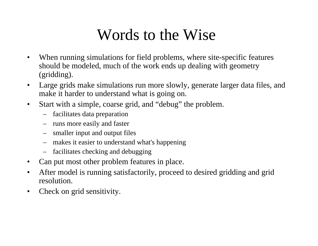# Words to the Wise

- $\bullet$  When running simulations for field problems, where site-specific features should be modeled, much of the work ends up dealing with geometry (gridding).
- $\bullet$  Large grids make simulations run more slowly, generate larger data files, and make it harder to understand what is going on.
- $\bullet$  Start with a simple, coarse grid, and "debug" the problem.
	- facilitates data preparation
	- runs more easily and faster
	- smaller input and output files
	- makes it easier to understand what's happening
	- facilitates checking and debugging
- $\bullet$ Can put most other problem features in place.
- • After model is running satisfactorily, proceed to desired gridding and grid resolution.
- $\bullet$ Check on grid sensitivity.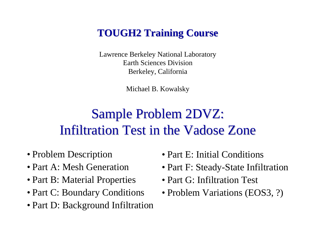# **TOUGH2 Training Course TOUGH2 Training Course**

Lawrence Berkeley National Laboratory Earth Sciences DivisionBerkeley, California

Michael B. Kowalsky

# Sample Problem 2DVZ: Infiltration Test in the Vadose Zone

- Problem Description
- Part A: Mesh Generation
- Part B: Material Properties
- Part C: Boundary Conditions
- Part D: Background Infiltration
- Part E: Initial Conditions
- Part F: Steady-State Infiltration
- Part G: Infiltration Test
- Problem Variations (EOS3, ?)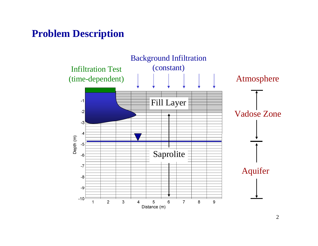### **Problem Description**

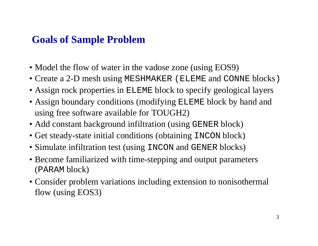## **Goals of Sample Problem**

- Model the flow of water in the vadose zone (using EOS9)
- Create a 2-D mesh using MESHMAKER (ELEME and CONNE blocks)
- Assign rock properties in ELEME block to specify geological layers
- Assign boundary conditions (modifying ELEME block by hand and using free software available for TOUGH2)
- Add constant background infiltration (using GENER block)
- Get steady-state initial conditions (obtaining INCON block)
- Simulate infiltration test (using INCON and GENER blocks)
- Become familiarized with time-stepping and output parameters (PARAM block)
- Consider problem variations including extension to nonisothermal flow (using EOS3)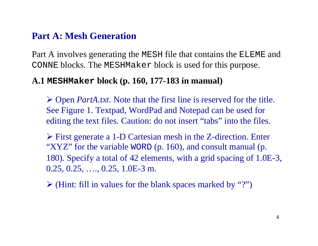#### **Part A: Mesh Generation**

Part A involves generating the MESH file that contains the ELEME and CONNE blocks. The MESHMaker block is used for this purpose.

#### **A.1 MESHMaker block (p. 160, 177-183 in manual)**

¾ Open *PartA.txt*. Note that the first line is reserved for the title. See Figure 1. Textpad, WordPad and Notepad can be used for editing the text files. Caution: do not insert "tabs" into the files.

¾ First generate a 1-D Cartesian mesh in the Z-direction. Enter "XYZ" for the variable WORD (p. 160), and consult manual (p. 180). Specify a total of 42 elements, with a grid spacing of 1.0E-3, 0.25, 0.25, …., 0.25, 1.0E-3 m.

 $\triangleright$  (Hint: fill in values for the blank spaces marked by "?")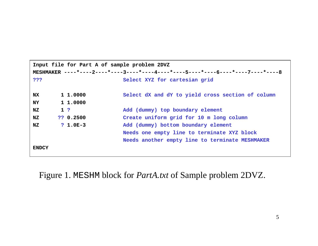|              | Input file for Part A of sample problem 2DVZ |                |                                                                                  |  |  |  |
|--------------|----------------------------------------------|----------------|----------------------------------------------------------------------------------|--|--|--|
|              |                                              |                | MESHMAKER ----*----2----*----3----*----4----*----5----*----6----*----7----*----8 |  |  |  |
| ???          |                                              |                | Select XYZ for cartesian grid                                                    |  |  |  |
|              |                                              |                |                                                                                  |  |  |  |
| <b>NX</b>    |                                              | 1 1,0000       | Select dX and dY to yield cross section of column                                |  |  |  |
| <b>NY</b>    |                                              | 1 1.0000       |                                                                                  |  |  |  |
| NZ           |                                              | 1 <sup>2</sup> | Add (dummy) top boundary element                                                 |  |  |  |
| NZ           |                                              | ?? 0.2500      | Create uniform grid for 10 m long column                                         |  |  |  |
| NZ.          |                                              | $? 1.0E-3$     | Add (dummy) bottom boundary element                                              |  |  |  |
|              |                                              |                | Needs one empty line to terminate XYZ block                                      |  |  |  |
|              |                                              |                | Needs another empty line to terminate MESHMAKER                                  |  |  |  |
| <b>ENDCY</b> |                                              |                |                                                                                  |  |  |  |

Figure 1. MESHM block for *PartA.txt* of Sample problem 2DVZ.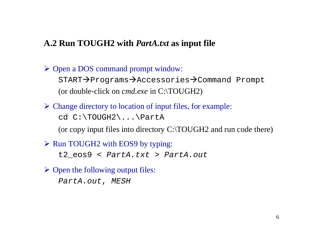#### **A.2 Run TOUGH2 with** *PartA.txt* **as input file**

¾ Open a DOS command prompt window:  $START \rightarrow$  Programs $\rightarrow$ Accessories $\rightarrow$ Command Prompt (or double-click on *cmd.exe* in C:\TOUGH2)

 $\triangleright$  Change directory to location of input files, for example: cd C:\TOUGH2\...\PartA

(or copy input files into directory C:\TOUGH2 and run code there)

¾ Run TOUGH2 with EOS9 by typing:

t2\_eos9 < *PartA.txt* <sup>&</sup>gt;*PartA.out*

 $\triangleright$  Open the following output files:

*PartA.out*, *MESH*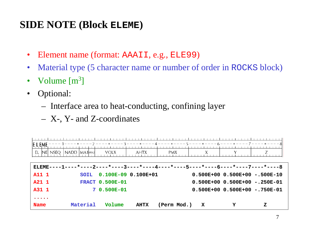### **SIDE NOTE (Block ELEME)**

- $\bullet$ Element name (format: AAAII, e.g., ELE99)
- $\bullet$ Material type (5 character name or number of order in ROCKS block)
- $\bullet$ Volume  $[m^3]$
- $\bullet$  Optional:
	- Interface area to heat-conducting, confining layer
	- X-, Y- and Z-coordinates

| <u> E_L_EME ---- 1----*----2 ----*---- 3----*----4---- *----5----*----6----*----7----*---- 8</u><br>EL                                   | INEI NSEQ   NADD   MA1  MA2 | <b>VOLX</b>            | AHTX        | PMX.        |   |   |                                                                       |
|------------------------------------------------------------------------------------------------------------------------------------------|-----------------------------|------------------------|-------------|-------------|---|---|-----------------------------------------------------------------------|
| $ELEME---1-$                                                                                                                             |                             |                        |             |             |   |   | ---*----2----*----3----*----4----*----5----*----6----*----7----*----8 |
| A11 1                                                                                                                                    | SOTL.                       | 0.100E-09 0.100E+01    |             |             |   |   | $0.500E+00$ 0.500E+00 -.500E-10                                       |
| A21 1                                                                                                                                    |                             | <b>FRACT 0.500E-01</b> |             |             |   |   | $0.500E+00$ 0.500E+00 -.250E-01                                       |
| A31 1                                                                                                                                    |                             | 7 0.500E-01            |             |             |   |   | $0.500E+00 0.500E+00 - 750E-01$                                       |
| $\bullet\hspace{0.1cm} \bullet\hspace{0.1cm}\bullet\hspace{0.1cm}\bullet\hspace{0.1cm}\bullet\hspace{0.1cm}\bullet\hspace{0.1cm}\bullet$ |                             |                        |             |             |   |   |                                                                       |
| <b>Name</b>                                                                                                                              | Material                    | Volume                 | <b>AHTX</b> | (Perm Mod.) | X | Y | z                                                                     |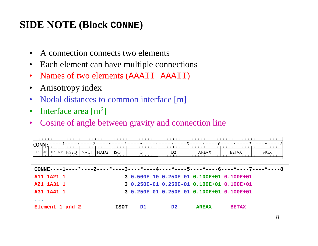# **SIDE NOTE (Block CONNE)**

- $\bullet$ A connection connects two elements
- Each element can have multiple connections
- Names of two elements (AAAII AAAII)
- Anisotropy index
- Nodal distances to common interface [m]
- $\bullet$ Interface area [m<sup>2</sup> ]
- •Cosine of angle between gravity and connection line

| <b>CONNE</b><br>NAD1   NAD2  <br>el1  ne1  el2  ne2  NSEQ                        | <b>ISOT</b> | D1  | D <sub>2</sub> | AREAX                                     | ----*----2----*----3----*----4----*----5----*----6----*----7----*----8 <br>SIGX<br>BETAX |
|----------------------------------------------------------------------------------|-------------|-----|----------------|-------------------------------------------|------------------------------------------------------------------------------------------|
| CONNE----1----*----2----*----3----*----4----*----5----*----6----*----7----*----8 |             |     |                |                                           |                                                                                          |
| A11 1A21 1                                                                       |             |     |                | 3 0.500E-10 0.250E-01 0.100E+01 0.100E+01 |                                                                                          |
| A21 1A31 1                                                                       |             |     |                | 3 0.250E-01 0.250E-01 0.100E+01 0.100E+01 |                                                                                          |
| A31 1A41 1                                                                       |             |     |                | 3 0.250E-01 0.250E-01 0.100E+01 0.100E+01 |                                                                                          |
| $\bullet\quad\bullet\quad\bullet$                                                |             |     |                |                                           |                                                                                          |
| Element 1 and 2                                                                  | <b>ISOT</b> | D1. | D <sub>2</sub> | <b>AREAX</b>                              | <b>BETAX</b>                                                                             |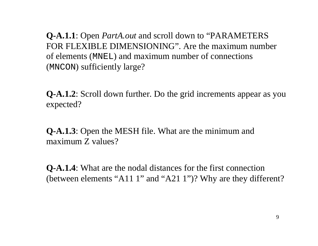**Q-A.1.1**: Open *PartA.out* and scroll down to "PARAMETERS FOR FLEXIBLE DIMENSIONING". Are the maximum number of elements (MNEL) and maximum number of connections (MNCON) sufficiently large?

**Q-A.1.2**: Scroll down further. Do the grid increments appear as you expected?

**Q-A.1.3**: Open the MESH file. What are the minimum and maximum Z values?

**Q-A.1.4**: What are the nodal distances for the first connection (between elements "A11 1" and "A21 1")? Why are they different?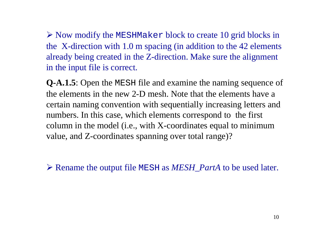$\triangleright$  Now modify the MESHMaker block to create 10 grid blocks in the X-direction with 1.0 m spacing (in addition to the 42 elements already being created in the Z-direction. Make sure the alignment in the input file is correct.

**Q-A.1.5**: Open the MESH file and examine the naming sequence of the elements in the new 2-D mesh. Note that the elements have a certain naming convention with sequentially increasing letters and numbers. In this case, which elements correspond to the first column in the model (i.e., with X-coordinates equal to minimum value, and Z-coordinates spanning over total range)?

¾ Rename the output file MESH as *MESH\_PartA* to be used later.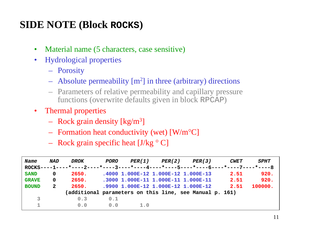# **SIDE NOTE (Block ROCKS)**

- $\bullet$ Material name (5 characters, case sensitive)
- $\bullet$  Hydrological properties
	- Porosity
	- Absolute permeability [m 2] in three (arbitrary) directions
	- Parameters of relative permeability and capillary pressure functions (overwrite defaults given in block RPCAP )
- Thermal properties
	- Rock grain density [kg/m 3]
	- Formation heat conductivity (wet) [W/m °C]
	- Rock grain specific heat [J/kg ° C]

| Name         | NAD          | DROK                                                                             | PORO |     | PER(1) PER(2) | PER(3)                              | <i><b>CWET</b></i> | <i><b>SPHT</b></i> |
|--------------|--------------|----------------------------------------------------------------------------------|------|-----|---------------|-------------------------------------|--------------------|--------------------|
|              |              | ROCKS----1----*----2----*----3----*----4----*----5----*----6----*----7----*----8 |      |     |               |                                     |                    |                    |
| <b>SAND</b>  | 0            | 2650.                                                                            |      |     |               | .4000 1.000E-12 1.000E-12 1.000E-13 | 2.51               | 920.               |
| <b>GRAVE</b> | $\Omega$     | 2650.                                                                            |      |     |               | .3000 1.000E-11 1.000E-11 1.000E-11 | 2.51               | 920.               |
| <b>BOUND</b> | $\mathbf{2}$ | 2650.                                                                            |      |     |               | .9900 1.000E-12 1.000E-12 1.000E-12 | 2.51               | 100000.            |
|              |              | (additional parameters on this line, see Manual p. 161)                          |      |     |               |                                     |                    |                    |
| 3            |              | 0.3                                                                              | 0.1  |     |               |                                     |                    |                    |
|              |              | 0.0                                                                              | 0.0  | 1.0 |               |                                     |                    |                    |
|              |              |                                                                                  |      |     |               |                                     |                    |                    |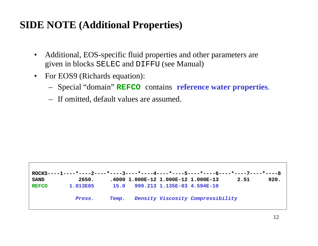# **SIDE NOTE (Additional Properties)**

- $\bullet$  Additional, EOS-specific fluid properties and other parameters are given in blocks SELEC and DIFFU (see Manual)
- $\bullet$  For EOS9 (Richards equation):
	- Special "domain" **REFCO** contains **reference water properties**.
	- If omitted, default values are assumed.

|              | ROCKS----1----*----2----*----3----*----4----*----5----*----6----*----7----*----8 |              |                                     |                                   |      |      |
|--------------|----------------------------------------------------------------------------------|--------------|-------------------------------------|-----------------------------------|------|------|
| <b>SAND</b>  | 2650.                                                                            |              | .4000 1.000E-12 1.000E-12 1.000E-13 |                                   | 2.51 | 920. |
| <b>REFCO</b> | 1.013E05                                                                         |              | 15.0 999.213 1.135E-03 4.594E-10    |                                   |      |      |
|              | Press.                                                                           | <b>Temp.</b> |                                     | Density Viscosity Compressibility |      |      |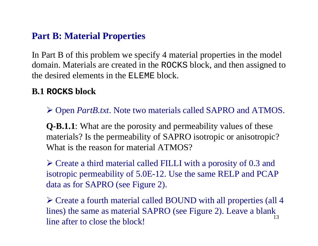#### **Part B: Material Properties**

In Part B of this problem we specify 4 material properties in the model domain. Materials are created in the ROCKS block, and then assigned to the desired elements in the ELEME block.

#### **B.1 ROCKS block**

¾ Open *PartB.txt*. Note two materials called SAPRO and ATMOS.

**Q-B.1.1**: What are the porosity and permeability values of these materials? Is the permeability of SAPRO isotropic or anisotropic? What is the reason for material ATMOS?

¾ Create a third material called FILLI with a porosity of 0.3 and isotropic permeability of 5.0E-12. Use the same RELP and PCAP data as for SAPRO (see Figure 2).

13¾ Create a fourth material called BOUND with all properties (all 4 lines) the same as material SAPRO (see Figure 2). Leave a blank line after to close the block!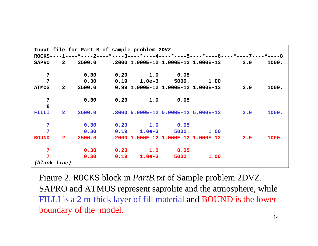|                | Input file for Part B of sample problem 2DVZ                                     |  |                                        |     |       |
|----------------|----------------------------------------------------------------------------------|--|----------------------------------------|-----|-------|
|                | ROCKS----1----*----2----*----3----*----4----*----5----*----6----*----7----*----8 |  |                                        |     |       |
|                | SAPRO 2 2500.0 .2000 1.000E-12 1.000E-12 1.000E-12 2.0                           |  |                                        |     | 1000. |
| $\overline{7}$ | 0.30                                                                             |  | $0.20$ 1.0 0.05                        |     |       |
| $\overline{7}$ |                                                                                  |  | $0.30$ $0.19$ $1.0e-3$ $5000$ . $1.00$ |     |       |
| <b>ATMOS</b>   |                                                                                  |  |                                        | 2.0 | 1000. |
| $\overline{7}$ |                                                                                  |  | $0.30$ $0.20$ $1.0$ $0.05$             |     |       |
| 8              |                                                                                  |  |                                        |     |       |
| FILLI          | $2 \qquad 2500.0 \qquad .3000\ \, 5.000E - 12\ \, 5.000E - 12\ \, 5.000E - 12$   |  |                                        | 2.0 | 1000. |
| $\overline{7}$ |                                                                                  |  | $0.30$ $0.20$ $1.0$ $0.05$             |     |       |
| $\overline{7}$ | $0.30$ $0.19$ $1.0e-3$ $5000$ . $1.00$                                           |  |                                        |     |       |
|                | BOUND 2 2500.0 .2000 1.000E-12 1.000E-12 1.000E-12 2.0 1000.                     |  |                                        |     |       |
| $\overline{7}$ |                                                                                  |  | $0.30$ $0.20$ $1.0$ $0.05$             |     |       |
| $\overline{7}$ | 0.30                                                                             |  | $0.19$ 1.0e-3 5000. 1.00               |     |       |
| (blank line)   |                                                                                  |  |                                        |     |       |

Figure 2. ROCKS block in *PartB.txt* of Sample problem 2DVZ. SAPRO and ATMOS represent saprolite and the atmosphere, while FILLI is a 2 m-thick layer of fill material and BOUND is the lower boundary of the model.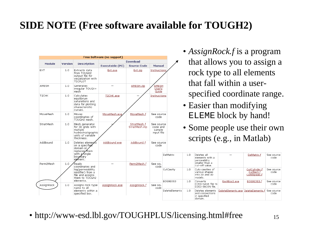# **SIDE NOTE (Free software available for TOUGH2)**

|                    |         |                                                                                                          |                                   |                                       |                                                |                |      |                                                                                   | $\sum_{i=1}^{n} \sum_{j=1}^{n} \sum_{j=1}^{n} \sum_{j=1}^{n} \sum_{j=1}^{n} \sum_{j=1}^{n} \sum_{j=1}^{n} \sum_{j=1}^{n} \sum_{j=1}^{n} \sum_{j=1}^{n} \sum_{j=1}^{n} \sum_{j=1}^{n} \sum_{j=1}^{n} \sum_{j=1}^{n} \sum_{j=1}^{n} \sum_{j=1}^{n} \sum_{j=1}^{n} \sum_{j=1}^{n} \sum_{j=1}^{n} \sum_{j=1}^{n} \sum_{j=1}^{n} \sum_{j=1}^{n}$ |                                              |                    |
|--------------------|---------|----------------------------------------------------------------------------------------------------------|-----------------------------------|---------------------------------------|------------------------------------------------|----------------|------|-----------------------------------------------------------------------------------|---------------------------------------------------------------------------------------------------------------------------------------------------------------------------------------------------------------------------------------------------------------------------------------------------------------------------------------------|----------------------------------------------|--------------------|
|                    |         |                                                                                                          | <b>Free Software (no support)</b> |                                       |                                                |                |      |                                                                                   |                                                                                                                                                                                                                                                                                                                                             |                                              |                    |
| <b>Module</b>      | Version | <b>Description</b>                                                                                       | Executable (PC)                   | <b>Download</b><br><b>Source Code</b> | <b>Manual</b>                                  |                |      |                                                                                   | that allows you to assign a                                                                                                                                                                                                                                                                                                                 |                                              |                    |
| EXT                | 1.0     | Extracts data<br>from TOUGH2<br>output file for<br>visualization with<br><b>TECPLOT</b>                  | Ext.exe                           | Ext.zip                               | Instructions                                   |                |      |                                                                                   | rock type to all elements<br>that fall within a user-                                                                                                                                                                                                                                                                                       |                                              |                    |
| AMESH              | 1.0     | Generates<br>irregular TOUGH+<br>mesh                                                                    |                                   | AMESH.zip                             | AMESH<br>User's<br>Guide                       |                |      |                                                                                   |                                                                                                                                                                                                                                                                                                                                             |                                              |                    |
| T <sub>2</sub> CHK | 1.0     | Calculates<br>equilibrium<br>saturations and<br>data for plotting<br>characteristic<br>curves.           | T2CHK.exe                         |                                       | Instructions                                   |                |      |                                                                                   | specified coordinate range<br>• Easier than modifying                                                                                                                                                                                                                                                                                       |                                              |                    |
| MoveMesh           | 1.0     | Moves<br>coordinates of<br>TOUGH2 mesh.                                                                  | MoveMesh.exe                      | MoveMesh.f                            | See source<br>code                             |                |      |                                                                                   | ELEME block by hand!                                                                                                                                                                                                                                                                                                                        |                                              |                    |
| StratMesh          | 1.0     | Mesh generator<br>for 3D grids with<br>multiple<br>hydrostratigraphic<br>units of variable<br>thickness. |                                   | StratMesh.f<br>StratMesh.inp          | See source<br>code and<br>sample<br>input file |                |      | • Some people use their own<br>scripts (e.g., in Matlab)                          |                                                                                                                                                                                                                                                                                                                                             |                                              |                    |
| AddBound           | 1.0     | Deletes elements<br>on a specified<br>domain or<br>replaces hem                                          | AddBound.exe                      | AddBound.f                            | See source<br>code                             |                |      |                                                                                   |                                                                                                                                                                                                                                                                                                                                             |                                              |                    |
| Perm2Mesh          | 1.0     | with a ∕single<br>boupdary<br>element.<br>Reads                                                          |                                   | Perm2Mesh.f                           | See sou                                        | DelMatrix      | 1.0  | Deletes all<br>elements with a<br>permeability<br>smaller than a                  |                                                                                                                                                                                                                                                                                                                                             | DelMatrix.f                                  | See source<br>code |
|                    |         | coordinates and<br>log(permeability<br>modifier) from a<br>file and assigns<br>them to TOUGH2            |                                   |                                       | code                                           | CutCavity      | 1.0  | cut-off value.<br>Cuts cavities of<br>various shapes<br>into 2D and 3D<br>models. |                                                                                                                                                                                                                                                                                                                                             | CutCylinder.f<br>CutRect.f<br>CutEllipsoid.f | See source<br>code |
| AssignRock         | 1.0     | elements.<br>Assigns rock type                                                                           | AssianRock.exe                    | AssianRock.f                          | See sou                                        | EOS9EOS3       | 1.0. | Converts<br>EOS9-SAVE file to<br>EOS3-INCON file.                                 | Eos9Eos3.exe                                                                                                                                                                                                                                                                                                                                | EOS9EOS3.f                                   | See source<br>code |
|                    |         | name to all<br>elements within a<br>specified box.                                                       |                                   |                                       | code                                           | DeleteElements | 1.0  | Deletes elements<br>and connections<br>in specified<br>domain.                    | DeleteElements.exe DeleteElements.f                                                                                                                                                                                                                                                                                                         |                                              | See source<br>code |

- *AssignRock.f* is a program ws you to assign a e to all elements within a usercoordinate range.
- an modifying block by hand!
- ople use their own  $s.g.,$  in Matlab)

| • http://www-esd.lbl.gov/TOUGHPLUS/licensing.html#free |  |
|--------------------------------------------------------|--|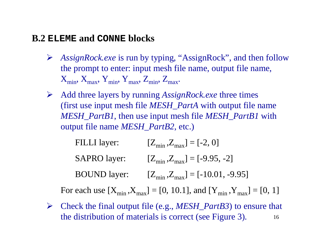#### **B.2 ELEME and CONNE blocks**

- ¾ *AssignRock.exe* is run by typing, "AssignRock", and then follow the prompt to enter: input mesh file name, output file name,  $X_{\min}$ ,  $X_{\max}$ ,  $Y_{\min}$ ,  $Y_{\max}$ ,  $Z_{\min}$ ,  $Z_{\max}$ .
- $\blacktriangleright$  Add three layers by running *AssignRock.exe* three times (first use input mesh file *MESH\_PartA* with output file name *MESH\_PartB1*, then use input mesh file *MESH\_PartB1* with output file name *MESH\_PartB2*, etc.)
	- FILLI layer:  $[Z_{\text{min}},Z_{\text{max}}] = [-2,0]$ SAPRO layer:  $[Z_{\text{min}},Z_{\text{max}}] = [-9.95,-2]$ BOUND layer:  $[Z_{min}, Z_{max}] = [-10.01, -9.95]$

For each use  $[X_{\min}, X_{\max}] = [0, 10.1]$ , and  $[Y_{\min}, Y_{\max}] = [0, 1]$ 

16 $\blacktriangleright$  Check the final output file (e.g., *MESH\_PartB3*) to ensure that the distribution of materials is correct (see Figure 3).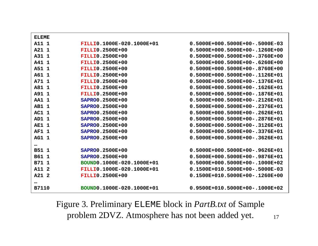| <b>ELEME</b> |                           |                                  |
|--------------|---------------------------|----------------------------------|
| A11 1        | FILLIO.1000E-020.1000E+01 | $0.5000E+000.5000E+00-.5000E-03$ |
| A21 1        | <b>FILLIO.2500E+00</b>    | $0.5000E+000.5000E+00-.1260E+00$ |
| A31 1        | <b>FILLIO.2500E+00</b>    | $0.5000E+000.5000E+00-.3760E+00$ |
| A41 1        | <b>FILLIO.2500E+00</b>    | $0.5000E+000.5000E+00-.6260E+00$ |
| A51 1        | <b>FILLIO.2500E+00</b>    | $0.5000E+000.5000E+00-.8760E+00$ |
| A61 1        | <b>FILLIO.2500E+00</b>    | $0.5000E+000.5000E+00-.1126E+01$ |
| A71 1        | <b>FILLIO.2500E+00</b>    | 0.5000E+000.5000E+00-.1376E+01   |
| A81 1        | <b>FILLIO.2500E+00</b>    | $0.5000E+000.5000E+00-.1626E+01$ |
| A91 1        | <b>FILLIO.2500E+00</b>    | 0.5000E+000.5000E+00-.1876E+01   |
| <b>AA1 1</b> | SAPRO0.2500E+00           | $0.5000E+000.5000E+00-.2126E+01$ |
| <b>AB1 1</b> | SAPRO0.2500E+00           | 0.5000E+000.5000E+00-.2376E+01   |
| AC1 1        | SAPRO0.2500E+00           | $0.5000E+000.5000E+00-.2626E+01$ |
| AD1 1        | SAPRO0.2500E+00           | $0.5000E+000.5000E+00-.2876E+01$ |
| <b>AE1</b> 1 | SAPRO0.2500E+00           | 0.5000E+000.5000E+00-.3126E+01   |
| AF1 1        | SAPRO0.2500E+00           | $0.5000E+000.5000E+00-.3376E+01$ |
| <b>AG1 1</b> | SAPRO0.2500E+00           | $0.5000E+000.5000E+00-.3626E+01$ |
| $\cdots$     |                           |                                  |
| <b>B51 1</b> | SAPRO0.2500E+00           | 0.5000E+000.5000E+00-.9626E+01   |
| B61 1        | SAPRO0.2500E+00           | $0.5000E+000.5000E+00-.9876E+01$ |
| B71 1        | BOUND0.1000E-020.1000E+01 | $0.5000E+000.5000E+00-.1000E+02$ |
| A11 2        | FILLIO.1000E-020.1000E+01 | 0.1500E+010.5000E+00-.5000E-03   |
| A21 2        | <b>FILLIO.2500E+00</b>    | $0.1500E+010.5000E+00-.1260E+00$ |
| $\cdots$     |                           |                                  |
| <b>B7110</b> | BOUND0.1000E-020.1000E+01 | $0.9500E+010.5000E+00-.1000E+02$ |

17 Figure 3. Preliminary ELEME block in *PartB.txt* of Sample problem 2DVZ. Atmosphere has not been added yet.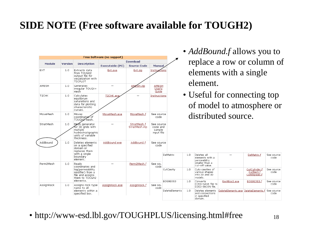# **SIDE NOTE (Free software available for TOUGH2)**

|                    |         |                                                                                                                        |                            |                              |                                                |                       |     |                                                                     | • <i>AddBound.f</i> allows you to                        |                                              |                    |
|--------------------|---------|------------------------------------------------------------------------------------------------------------------------|----------------------------|------------------------------|------------------------------------------------|-----------------------|-----|---------------------------------------------------------------------|----------------------------------------------------------|----------------------------------------------|--------------------|
|                    |         |                                                                                                                        | Free Software (no support) |                              |                                                |                       |     |                                                                     |                                                          |                                              |                    |
| <b>Module</b>      | Version | <b>Description</b>                                                                                                     |                            | <b>Download</b>              |                                                |                       |     |                                                                     | replace a row or column of                               |                                              |                    |
|                    |         |                                                                                                                        | Executable (PC)            | <b>Source Code</b>           | <b>Manual</b>                                  |                       |     |                                                                     |                                                          |                                              |                    |
| EXT                | 1.0     | Extracts data<br>from TOUGH2<br>output file for<br>visualization with<br><b>TECPLOT</b>                                | Ext.exe                    | Ext.zip                      | Instrug                                        | ions                  |     | element.                                                            | elements with a single                                   |                                              |                    |
| <b>AMESH</b>       | 1.0     | Generates<br>irregular TOUGH+<br>mesh                                                                                  |                            | AMESH.zip                    | <b>AMESH</b><br>User's<br>Guide                |                       |     |                                                                     |                                                          |                                              |                    |
| T <sub>2</sub> CHK | 1.0     | Calculates<br>equilibrium<br>saturations and<br>data for plotting<br>characteristic<br>curves.                         | T2CHK.exe                  |                              | Instructions                                   |                       |     |                                                                     | • Useful for connecting top<br>of model to atmosphere or |                                              |                    |
| MoveMesh           | 1.0     | Moves<br>coordinates of<br>TOUGH2 mesh.                                                                                | MoveMesh.exe               | MoveMesh.f                   | See source<br>code                             |                       |     |                                                                     | distributed source.                                      |                                              |                    |
| StratMesh          | 1.0     | Me∕n generator<br>for 3D $\overline{a}$ rids with<br>multiple<br>hydrostratigraphic<br>units of variable<br>thickness. |                            | StratMesh.f<br>StratMesh.inp | See source<br>code and<br>sample<br>input file |                       |     |                                                                     |                                                          |                                              |                    |
| AddBound           | 1.0     | Deletes elements<br>on a specified<br>domain or<br>replaces them<br>with a single                                      | AddBound.exe               | AddBound.f                   | See source<br>code                             | DelMatrix             | 1.0 | Deletes all                                                         |                                                          | DelMatrix.f                                  | See source         |
| Perm2Mesh          | 1.0     | boundary<br>element.<br>Reads                                                                                          |                            | Perm2Mesh.f                  | See sou                                        |                       |     | elements with a<br>permeability<br>smaller than a<br>cut-off value. |                                                          |                                              | code               |
|                    |         | coordinates and<br>log(permeability<br>modifier) from a<br>file and assigns<br>them to TOUGH2                          |                            |                              | code                                           | CutCavity             | 1.0 | Cuts cavities of<br>various shapes<br>into 2D and 3D<br>models.     |                                                          | CutCylinder.f<br>CutRect.f<br>CutEllipsoid.f | See source<br>code |
| AssignRock         | 1.0     | elements.<br>Assigns rock type<br>name to all                                                                          | AssignRock.exe             | AssignRock.f                 | See sou<br>code                                | EOS9EOS3              | 1.0 | Converts<br>EOS9-SAVE file to<br>EOS3-INCON file.                   | Eos9Eos3.exe                                             | EOS9EOS3.f                                   | See source<br>code |
|                    |         | elements within a<br>specified box.                                                                                    |                            |                              |                                                | <b>DeleteElements</b> | 1.0 | Deletes elements<br>and connections<br>in specified<br>domain.      |                                                          |                                              | See source<br>code |

• http://www-esd.lbl.gov/TOUGHPLUS/licensing.html#free  $_{18}$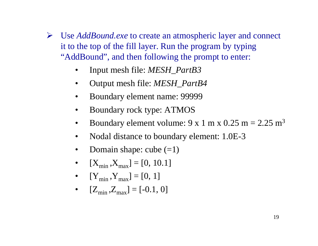- ¾ Use *AddBound.exe* to create an atmospheric layer and connect it to the top of the fill layer. Run the program by typing "AddBound", and then following the prompt to enter:
	- •Input mesh file: *MESH\_PartB3*
	- •Output mesh file: *MESH\_PartB4*
	- •Boundary element name: 99999
	- •Boundary rock type: ATMOS
	- •Boundary element volume:  $9 \times 1$  m  $\times$  0.25 m = 2.25 m<sup>3</sup>
	- $\bullet$ Nodal distance to boundary element: 1.0E-3
	- $\bullet$ Domain shape: cube  $(=1)$
	- $\bullet$  $[X_{\min}, X_{\max}] = [0, 10.1]$
	- $[Y_{\min}, Y_{\max}] = [0, 1]$
	- $\bullet$   $[Z_{\min}, Z_{\max}] = [-0.1, 0]$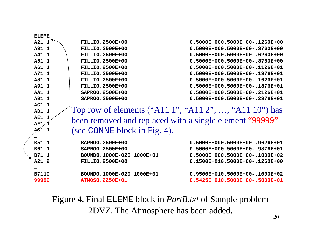| <b>ELEME</b> |                                                        |                                                         |  |  |  |  |
|--------------|--------------------------------------------------------|---------------------------------------------------------|--|--|--|--|
| $A21$ 1      | <b>FILLIO.2500E+00</b>                                 | $0.5000E+000.5000E+00-.1260E+00$                        |  |  |  |  |
| A31 1        | <b>FILLIO.2500E+00</b>                                 | $0.5000E+000.5000E+00-.3760E+00$                        |  |  |  |  |
| A41 1        | <b>FILLIO.2500E+00</b>                                 | $0.5000E+000.5000E+00-.6260E+00$                        |  |  |  |  |
| A51 1        | <b>FILLIO.2500E+00</b>                                 | $0.5000E+000.5000E+00-.8760E+00$                        |  |  |  |  |
| A61 1        | <b>FILLIO.2500E+00</b>                                 | 0.5000E+000.5000E+00-.1126E+01                          |  |  |  |  |
| A71 1        | <b>FILLIO.2500E+00</b>                                 | 0.5000E+000.5000E+00-.1376E+01                          |  |  |  |  |
| A81 1        | <b>FILLIO.2500E+00</b>                                 | $0.5000E+000.5000E+00-.1626E+01$                        |  |  |  |  |
| A91 1        | <b>FILLIO.2500E+00</b>                                 | 0.5000E+000.5000E+00-.1876E+01                          |  |  |  |  |
| <b>AA1 1</b> | SAPRO0.2500E+00                                        | 0.5000E+000.5000E+00-.2126E+01                          |  |  |  |  |
| <b>AB1 1</b> | SAPRO0.2500E+00                                        | $0.5000E+000.5000E+00-.2376E+01$                        |  |  |  |  |
| AC1 1        |                                                        |                                                         |  |  |  |  |
| AD1 1        | Top row of elements ("A11 1", "A11 2", , "A11 10") has |                                                         |  |  |  |  |
| AE1          |                                                        | been removed and replaced with a single element "99999" |  |  |  |  |
| AF1          |                                                        |                                                         |  |  |  |  |
| AG1 1        | (see CONNE block in Fig. 4).                           |                                                         |  |  |  |  |
|              |                                                        |                                                         |  |  |  |  |
| B51 1        | SAPRO0.2500E+00                                        | $0.5000E+000.5000E+00-.9626E+01$                        |  |  |  |  |
| B61 1        | SAPRO0.2500E+00                                        | 0.5000E+000.5000E+00-.9876E+01                          |  |  |  |  |
| B71 1        | BOUND0.1000E-020.1000E+01                              | $0.5000E+000.5000E+00-.1000E+02$                        |  |  |  |  |
| A21 2        | <b>FILLIO.2500E+00</b>                                 | $0.1500E+010.5000E+00-.1260E+00$                        |  |  |  |  |
|              |                                                        |                                                         |  |  |  |  |
| <b>B7110</b> | BOUND0.1000E-020.1000E+01                              | $0.9500E+010.5000E+00-.1000E+02$                        |  |  |  |  |
| 99999        | <b>ATMOS0.2250E+01</b>                                 | $0.5425E+010.5000E+00-.5000E-01$                        |  |  |  |  |
|              |                                                        |                                                         |  |  |  |  |

Figure 4. Final ELEME block in *PartB.txt* of Sample problem 2DVZ. The Atmosphere has been added.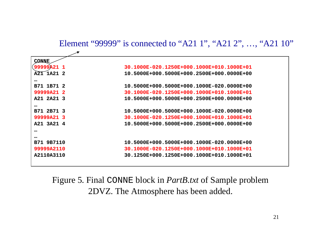#### Element "99999" is connected to "A21 1", "A21 2", …, "A21 10"

| CONNE      |                                           |
|------------|-------------------------------------------|
| 99999A21 1 | 30.1000E-020.1250E+000.1000E+010.1000E+01 |
| A21 1A21 2 | 10.5000E+000.5000E+000.2500E+000.0000E+00 |
| $\cdots$   |                                           |
| B71 1B71 2 | 10.5000E+000.5000E+000.1000E-020.0000E+00 |
| 99999A21 2 | 30.1000E-020.1250E+000.1000E+010.1000E+01 |
| A21 2A21 3 | 10.5000E+000.5000E+000.2500E+000.0000E+00 |
| $\cdots$   |                                           |
| B71 2B71 3 | 10.5000E+000.5000E+000.1000E-020.0000E+00 |
| 99999A21 3 | 30.1000E-020.1250E+000.1000E+010.1000E+01 |
| A21 3A21 4 | 10.5000E+000.5000E+000.2500E+000.0000E+00 |
| $\cdots$   |                                           |
| $\cdots$   |                                           |
| B71 9B7110 | 10.5000E+000.5000E+000.1000E-020.0000E+00 |
| 99999A2110 | 30.1000E-020.1250E+000.1000E+010.1000E+01 |
| A2110A3110 | 30.1250E+000.1250E+000.1000E+010.1000E+01 |
|            |                                           |

Figure 5. Final CONNE block in *PartB.txt* of Sample problem 2DVZ. The Atmosphere has been added.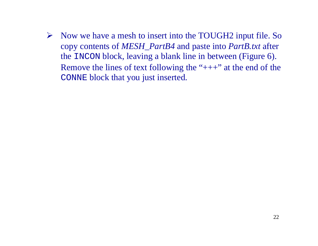¾ Now we have a mesh to insert into the TOUGH2 input file. So copy contents of *MESH\_PartB4* and paste into *PartB.txt* after the INCON block, leaving a blank line in between (Figure 6). Remove the lines of text following the " $++$ " at the end of the CONNE block that you just inserted.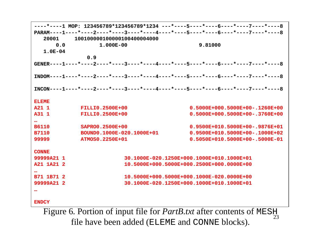**----\*----1 MOP: 123456789\*123456789\*1234 ---\*----5----\*----6----\*----7----\*----8PARAM----1----\*----2----\*----3----\*----4----\*----5----\*----6----\*----7----\*----820001 1001000001000001004000040000.0 1.000E-00 9.81000 1.0E-040.9 GENER----1----\*----2----\*----3----\*----4----\*----5----\*----6----\*----7----\*----8INDOM----1----\*----2----\*----3----\*----4----\*----5----\*----6----\*----7----\*----8INCON----1----\*----2----\*----3----\*----4----\*----5----\*----6----\*----7----\*----8ELEMEA21 1 FILLI0.2500E+00 0.5000E+000.5000E+00-.1260E+00A31 1 FILLI0.2500E+00 0.5000E+000.5000E+00-.3760E+00…B6110 SAPRO0.2500E+00 0.9500E+010.5000E+00-.9876E+01 B7110 BOUND0.1000E-020.1000E+01 0.9500E+010.5000E+00-.1000E+0299999 ATMOS0.2250E+01 0.5050E+010.5000E+00-.5000E-01 CONNE99999A21 1 30.1000E-020.1250E+000.1000E+010.1000E+01A21 1A21 2 10.5000E+000.5000E+000.2500E+000.0000E+00…B71 1B71 2 10.5000E+000.5000E+000.1000E-020.0000E+0099999A21 2 30.1000E-020.1250E+000.1000E+010.1000E+01…ENDCY**

23Figure 6. Portion of input file for *PartB.txt* after contents of MESH<br>file have been added (ELEME and CONNE blocks).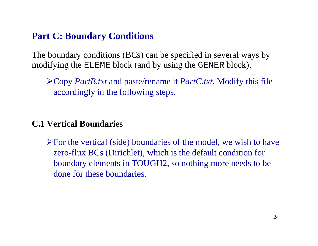#### **Part C: Boundary Conditions**

The boundary conditions (BCs) can be specified in several ways by modifying the ELEME block (and by using the GENER block).

¾Copy *PartB.txt* and paste/rename it *PartC.txt*. Modify this file accordingly in the following steps.

#### **C.1 Vertical Boundaries**

 $\triangleright$  For the vertical (side) boundaries of the model, we wish to have zero-flux BCs (Dirichlet), which is the default condition for boundary elements in TOUGH2, so nothing more needs to be done for these boundaries.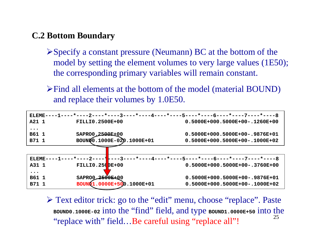#### **C.2 Bottom Boundary**

- $\triangleright$  Specify a constant pressure (Neumann) BC at the bottom of the model by setting the element volumes to very large values (1E50); the corresponding primary variables will remain constant.
- ¾Find all elements at the bottom of the model (material BOUND) and replace their volumes by 1.0E50.

| ELEME----1----*----2----*----3----*----4----*----5----*----6----*----7----*----8 |                                                                                 |                                  |  |  |  |  |
|----------------------------------------------------------------------------------|---------------------------------------------------------------------------------|----------------------------------|--|--|--|--|
| A21 1                                                                            | <b>FILLIO.2500E+00</b>                                                          | $0.5000E+000.5000E+00-.1260E+00$ |  |  |  |  |
| $\bullet\hspace{0.1cm} \bullet\hspace{0.1cm}\bullet\hspace{0.1cm}\bullet$        |                                                                                 |                                  |  |  |  |  |
| B61 1                                                                            | SAPRO0.2500E±00                                                                 | 0.5000E+000.5000E+00-.9876E+01   |  |  |  |  |
| B71 1                                                                            | BOUND0.1000E-020.1000E+01                                                       | $0.5000E+000.5000E+00-.1000E+02$ |  |  |  |  |
|                                                                                  |                                                                                 |                                  |  |  |  |  |
|                                                                                  | ELEME----1----*----2----*---3----*----4----*----5----*----6----*----7----*----8 |                                  |  |  |  |  |
| A31 1                                                                            | <b>FILLIO.2500E+00</b>                                                          | $0.5000E+000.5000E+00-.3760E+00$ |  |  |  |  |
| $\bullet\hspace{0.1cm} \bullet\hspace{0.1cm}\bullet\hspace{0.1cm}\bullet$        |                                                                                 |                                  |  |  |  |  |
| B61 1                                                                            | SAPRO0 <del>2500E</del> +00                                                     | $0.5000E+000.5000E+00-.9876E+01$ |  |  |  |  |
| B71 1                                                                            | BOUND1.0000E+500.1000E+01                                                       | $0.5000E+000.5000E+00-.1000E+02$ |  |  |  |  |

25¾ Text editor trick: go to the "edit" menu, choose "replace". Paste **BOUND0.1000E-02** into the "find" field, and type **BOUND1.0000E+50** into the "replace with" field...Be careful using "replace all"!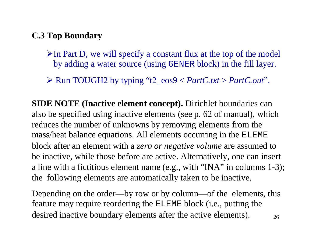#### **C.3 Top Boundary**

- $\triangleright$  In Part D, we will specify a constant flux at the top of the model by adding a water source (using GENER block) in the fill layer.
- ¾ Run TOUGH2 by typing "t2\_eos9 < *PartC.txt* <sup>&</sup>gt;*PartC.out*".

**SIDE NOTE (Inactive element concept).** Dirichlet boundaries can also be specified using inactive elements (see p. 62 of manual), which reduces the number of unknowns by removing elements from the mass/heat balance equations. All elements occurring in the ELEME block after an element with a *zero or negative volume* are assumed to be inactive, while those before are active. Alternatively, one can insert a line with a fictitious element name (e.g., with "INA" in columns 1-3); the following elements are automatically taken to be inactive.

26Depending on the order—by row or by column—of the elements, this feature may require reordering the ELEME block (i.e., putting the desired inactive boundary elements after the active elements).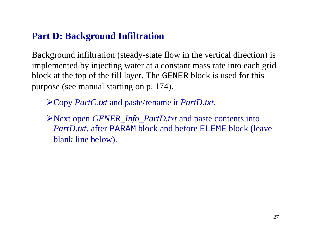### **Part D: Background Infiltration**

Background infiltration (steady-state flow in the vertical direction) is implemented by injecting water at a constant mass rate into each grid block at the top of the fill layer. The GENER block is used for this purpose (see manual starting on p. 174).

¾Copy *PartC.txt* and paste/rename it *PartD.txt*.

¾Next open *GENER\_Info\_PartD.txt* and paste contents into *PartD.txt*, after PARAM block and before ELEME block (leave blank line below).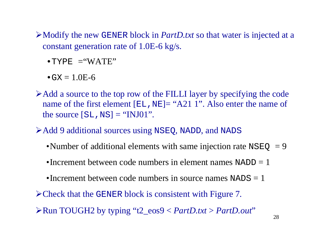¾Modify the new GENER block in *PartD.txt* so that water is injected at a constant generation rate of 1.0E-6 kg/s.

 $\cdot$  TYPE  $=$  "WATE"

 $\bullet$  GX  $=1.0$ E-6

- ¾Add a source to the top row of the FILLI layer by specifying the code name of the first element  $[EL,NE] = "A21 1".$  Also enter the name of the source  $[S<sub>L</sub>,NS] = "INJ01".$
- ¾Add 9 additional sources using NSEQ, NADD, and NADS
	- •Number of additional elements with same injection rate  $NSEQ = 9$
	- •Increment between code numbers in element names NADD = 1
	- •Increment between code numbers in source names  $NADS = 1$
- ¾Check that the GENER block is consistent with Figure 7.
- ¾Run TOUGH2 by typing "t2\_eos9 < *PartD.txt* <sup>&</sup>gt;*PartD.out*"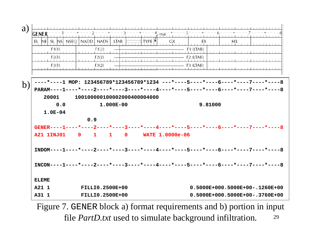

29Figure 7. GENER block a) format requirements and b) portion in input file *PartD.txt* used to simulate background infiltration.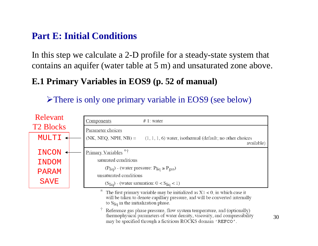### **Part E: Initial Conditions**

In this step we calculate a 2-D profile for a steady-state system that contains an aquifer (water table at 5 m) and unsaturated zone above.

### **E.1 Primary Variables in EOS9 (p. 52 of manual)**

¾There is only one primary variable in EOS9 (see below)



Reference gas phase pressure, flow system temperature, and (optionally) thermophysical parameters of water density, viscosity, and compressibility may be specified through a fictitious ROCKS domain 'REFCO'.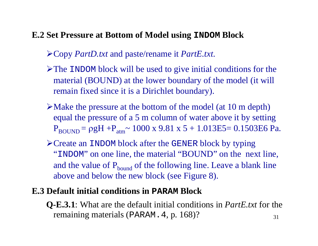### **E.2 Set Pressure at Bottom of Model using INDOM Block**

¾Copy *PartD.txt* and paste/rename it *PartE.txt*.

- ¾The INDOM block will be used to give initial conditions for the material (BOUND) at the lower boundary of the model (it will remain fixed since it is a Dirichlet boundary).
- $\triangleright$  Make the pressure at the bottom of the model (at 10 m depth) equal the pressure of a 5 m column of water above it by setting  $\rm P_{\rm BOUND}$  =  $\rm \rho gH$  + $\rm P_{\rm atm}$   $\sim 1000$  x 9.81 x 5 + 1.013E5= 0.1503E6 Pa.
- ¾Create an INDOM block after the GENER block by typing "INDOM" on one line, the material "BOUND" on the next line, and the value of  $P_{bound}$  of the following line. Leave a blank line above and below the new block (see Figure 8).

### **E.3 Default initial conditions in PARAM Block**

31**Q-E.3.1**: What are the default initial conditions in *PartE.txt* for the remaining materials (PARAM.4, p. 168)?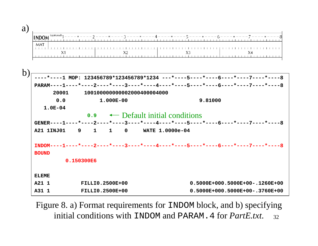| u |     |  |  |
|---|-----|--|--|
|   |     |  |  |
|   | MA. |  |  |
|   |     |  |  |
|   |     |  |  |



32 Figure 8. a) Format requirements for INDOM block, and b) specifying initial conditions with INDOM and PARAM.4 for *PartE.txt*.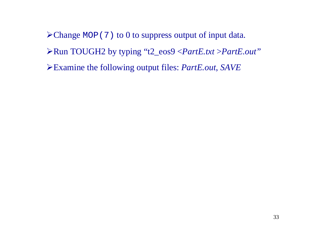Change MOP(7) to 0 to suppress output of input data. Run TOUGH2 by typing "t2\_eos9 <*PartE.txt* <sup>&</sup>gt;*PartE.out"* Examine the following output files: *PartE.out*, *SAVE*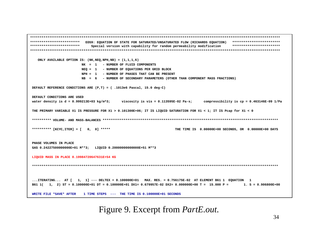**\*\*\*\*\*\*\*\*\*\*\*\*\*\*\*\*\*\*\*\*\*\*\*\*\*\*\*\*\*\*\*\*\*\*\*\*\*\*\*\*\*\*\*\*\*\*\*\*\*\*\*\*\*\*\*\*\*\*\*\*\*\*\*\*\*\*\*\*\*\*\*\*\*\*\*\*\*\*\*\*\*\*\*\*\*\*\*\*\*\*\*\*\*\*\*\*\*\*\*\*\*\*\*\*\*\*\*\*\*\*\*\*\*\*\*\*\*\*\*\*\*\*\*\*\*\*\*\*\*\*\*\*\*\*\*\*\*\*\*\*\*\*\*\*\*\*\*\*\*\*\*\*\*\*\*\*\* EOS9: EQUATION OF STATE FOR SATURATED/UNSATURATED FLOW (RICHARDS EQUATION) \*\*\*\*\*\*\*\*\*\*\*\*\*\*\*\*\*\*\*\*\*\*\*\*\***  \*\*\*\*\*\*\*\*\*\*\*\*\*\*\*\*\*\*\*\*\*\*\*\*\*\* Special version with capability for random permeability modification \*\*\*\*\*\*\*\*\*\*\*\*\*\*\*\*\*\*\*\*\*\*\*\*\* **\*\*\*\*\*\*\*\*\*\*\*\*\*\*\*\*\*\*\*\*\*\*\*\*\*\*\*\*\*\*\*\*\*\*\*\*\*\*\*\*\*\*\*\*\*\*\*\*\*\*\*\*\*\*\*\*\*\*\*\*\*\*\*\*\*\*\*\*\*\*\*\*\*\*\*\*\*\*\*\*\*\*\*\*\*\*\*\*\*\*\*\*\*\*\*\*\*\*\*\*\*\*\*\*\*\*\*\*\*\*\*\*\*\*\*\*\*\*\*\*\*\*\*\*\*\*\*\*\*\*\*ONLY AVAILABLE OPTION IS: (NK,NEQ,NPH,NB) = (1,1,1,6) NK = 1 - NUMBER OF FLUID COMPONENTSNEQ = 1 - NUMBER OF EQUATIONS PER GRID BLOCK NPH = 1 - NUMBER OF PHASES THAT CAN BE PRESENTNB = 6 - NUMBER OF SECONDARY PARAMETERS (OTHER THAN COMPONENT MASS FRACTIONS) DEFAULT REFERENCE CONDITIONS ARE (P,T) = ( .1013e6 Pascal, 15.0 deg-C) DEFAULT CONDITIONS ARE USEDwater density is d = 0.999213E+03 kg/m^3; viscosity is vis = 0.113595E-02 Pa-s; compressibility is cp = 0.463146E-09 1/Pa THE PRIMARY VARIABLE X1 IS PRESSURE FOR X1 > 0.101300E+06; IT IS LIQUID SATURATION FOR X1 < 1; IT IS Pcap for X1 < 0 \*\*\*\*\*\*\*\*\*\* VOLUME- AND MASS-BALANCES \*\*\*\*\*\*\*\*\*\*\*\*\*\*\*\*\*\*\*\*\*\*\*\*\*\*\*\*\*\*\*\*\*\*\*\*\*\*\*\*\*\*\*\*\*\*\*\*\*\*\*\*\*\*\*\*\*\*\*\*\*\*\*\*\*\*\*\*\*\*\*\*\*\*\*\*\*\*\*\*\*\*\*\*\*\*\*\*\*\*\*\***\*\*\*\*\*\*\*\*\*\* [KCYC,ITER] = [ 0, 0] \*\*\*\*\* THE TIME IS 0.00000E+00 SECONDS, OR 0.00000E+00 DAYS **PHASE VOLUMES IN PLACEGAS 0.24227500000000E+01 M\*\*3; LIQUID 0.20000000000000E+51 M\*\*3 LIQUID MASS IN PLACE 0.19984720647631E+54 KG \*\*\*\*\*\*\*\*\*\*\*\*\*\*\*\*\*\*\*\*\*\*\*\*\*\*\*\*\*\*\*\*\*\*\*\*\*\*\*\*\*\*\*\*\*\*\*\*\*\*\*\*\*\*\*\*\*\*\*\*\*\*\*\*\*\*\*\*\*\*\*\*\*\*\*\*\*\*\*\*\*\*\*\*\*\*\*\*\*\*\*\*\*\*\*\*\*\*\*\*\*\*\*\*\*\*\*\*\*\*\*\*\*\*\*\*\*\*\*\*\*\*\*\*\*\*\*\*\*...ITERATING... AT [ 1, 1] --- DELTEX = 0.100000E+01 MAX. RES. = 0.756175E-02 AT ELEMENT B61 1 EQUATION 1 B61 1( 1, 2) ST = 0.100000E+01 DT = 0.100000E+01 DX1= 0.679957E-02 DX2= 0.000000E+00 T = 15.000 P = 1. S = 0.906800E+00 WRITE FILE \*SAVE\* AFTER 1 TIME STEPS --- THE TIME IS 0.100000E+01 SECONDS**

Figure 9. Excerpt from *PartE.out*.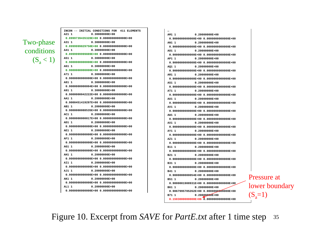#### Two-phase conditions  $(S_a < 1)$

**INCON -- INITIAL CONDITIONS FOR 411 ELEMENTS A21 1 0.30000000E+000.8999739435328E+00 0.0000000000000E+00 A31 1 0.30000000E+000.8999999829750E+00 0.0000000000000E+00 A41 1 0.30000000E+000.8999999999889E+00 0.0000000000000E+00 A51 1 0.30000000E+000.9000000000000E+00 0.0000000000000E+00 A61 1 0.30000000E+000.9000000000000E+00 0.0000000000000E+00 A71 1 0.30000000E+000.9000000000000E+00 0.0000000000000E+00A81 1 0.30000000E+000.9000000000004E+00 0.0000000000000E+00 A91 1 0.30000000E+000.9000000042222E+00 0.0000000000000E+00AA1 1 0.20000000E+000.9000451419297E+00 0.0000000000000E+00 AB1 1 0.20000000E+000.9000000088535E+00 0.0000000000000E+00AC1 1 0.20000000E+000.9000000000017E+00 0.0000000000000E+00AD1 1 0.20000000E+000.9000000000000E+00 0.0000000000000E+00AE1 1 0.20000000E+000.9000000000000E+00 0.0000000000000E+00 AF1 1 0.20000000E+000.9000000000000E+00 0.0000000000000E+00AG1 1 0.20000000E+000.9000000000000E+00 0.0000000000000E+00AH1 1 0.20000000E+000.9000000000000E+00 0.0000000000000E+00 AI1 1 0.20000000E+000.9000000000000E+00 0.0000000000000E+00AJ1 1 0.20000000E+000.9000000000000E+00 0.0000000000000E+00AK1 1 0.20000000E+000.9000000000000E+00 0.0000000000000E+00AL1 1 0.20000000E+000.9000000000000E+00 0.0000000000000E+00**

**AM1 1 0.20000000E+000.9000000000000E+00 0.0000000000000E+00AN1 1 0.20000000E+000.9000000000000E+00 0.0000000000000E+00 AO1 1 0.20000000E+000.9000000000000E+00 0.0000000000000E+00AP1 1 0.20000000E+000.9000000000000E+00 0.0000000000000E+00AQ1 1 0.20000000E+00 0.9000000000000E+00 0.0000000000000E+00AR1 1 0.20000000E+000.9000000000000E+00 0.0000000000000E+00AS1 1 0.20000000E+000.9000000000000E+00 0.0000000000000E+00AT1 1 0.20000000E+000.9000000000000E+00 0.0000000000000E+00AU1 1 0.20000000E+000.9000000000000E+00 0.0000000000000E+00AV1 1 0.20000000E+000.9000000000000E+00 0.0000000000000E+00AW1 1 0.20000000E+000.9000000000000E+00 0.0000000000000E+00AX1 1 0.20000000E+000.9000000000000E+00 0.0000000000000E+00AY1 1 0.20000000E+000.9000000000000E+00 0.0000000000000E+00AZ1 1 0.20000000E+000.9000000000000E+00 0.0000000000000E+00 B11 1 0.20000000E+000.9000000000000E+00 0.0000000000000E+00B21 1 0.20000000E+000.9000000000000E+00 0.0000000000000E+00B31 1 0.20000000E+000.9000000000000E+00 0.0000000000000E+00B41 1 0.20000000E+000.9000000000054E+00 0.0000000000000E+00B51 1 0.20000000E+000.9000001908931E+00 0.0000000000000E+00B61 1 0.20000000E+000.9067995705262E+00 0.0000000000000E+00 B71 1** 0.20000000E+00 **0.1503000000000E+06 0.0000000000000E+00**

Pressure at lower boundary  $(S_a=1)$ 

35Figure 10. Excerpt from *SAVE* for *PartE.txt* after 1 time step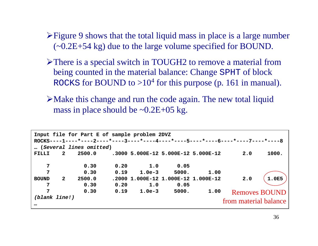- ¾Figure 9 shows that the total liquid mass in place is a large number (~0.2E+54 kg) due to the large volume specified for BOUND.
- ¾There is a special switch in TOUGH2 to remove a material from being counted in the material balance: Change SPHT of block ROCKS for BOUND to  $>10^4$  for this purpose (p. 161 in manual).
- $\triangleright$  Make this change and run the code again. The new total liquid mass in place should be  $\sim 0.2E + 05$  kg.

| Input file for Part E of sample problem 2DVZ<br>ROCKS----1----*----2----*----3----*----4----*----5----*----6----*----7----*----8 |                         |        |      |          |                                     |      |                       |       |
|----------------------------------------------------------------------------------------------------------------------------------|-------------------------|--------|------|----------|-------------------------------------|------|-----------------------|-------|
|                                                                                                                                  | (Several lines omitted) |        |      |          |                                     |      |                       |       |
| <b>FILLI</b>                                                                                                                     | $\mathbf{2}$            | 2500.0 |      |          | .3000 5.000E-12 5.000E-12 5.000E-12 |      | 2.0                   | 1000. |
| 7                                                                                                                                |                         | 0.30   | 0.20 | 1.0      | 0.05                                |      |                       |       |
| 7                                                                                                                                |                         | 0.30   | 0.19 | $1.0e-3$ | 5000.                               | 1.00 |                       |       |
| <b>BOUND</b>                                                                                                                     | $\mathbf{2}$            | 2500.0 |      |          | .2000 1.000E-12 1.000E-12 1.000E-12 |      | 2.0                   | 1.0E5 |
| 7                                                                                                                                |                         | 0.30   | 0.20 | 1.0      | 0.05                                |      |                       |       |
| $\overline{7}$                                                                                                                   |                         | 0.30   | 0.19 | $1.0e-3$ | 5000.                               | 1.00 | <b>Removes BOUND</b>  |       |
| (blank line!)<br>$\bullet\bullet\bullet$                                                                                         |                         |        |      |          |                                     |      | from material balance |       |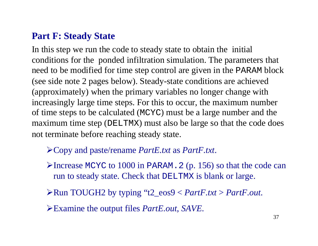### **Part F: Steady State**

In this step we run the code to steady state to obtain the initial conditions for the ponded infiltration simulation. The parameters that need to be modified for time step control are given in the PARAM block (see side note 2 pages below). Steady-state conditions are achieved (approximately) when the primary variables no longer change with increasingly large time steps. For this to occur, the maximum number of time steps to be calculated (MCYC) must be a large number and the maximum time step (DELTMX) must also be large so that the code does not terminate before reaching steady state.

### ¾Copy and paste/rename *PartE.txt* as *PartF.txt*.

¾Increase MCYC to 1000 in PARAM.2 (p. 156) so that the code can run to steady state. Check that DELTMX is blank or large.

¾Run TOUGH2 by typing "t2\_eos9 < *PartF.txt* <sup>&</sup>gt;*PartF.out*.

¾Examine the output files *PartE.out*, *SAVE*.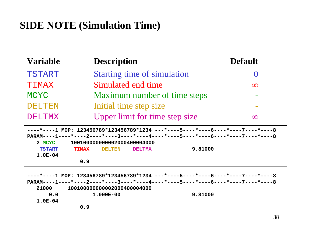# **SIDE NOTE (Simulation Time)**

| <b>Variable</b> | <b>Description</b>                 | <b>Default</b> |
|-----------------|------------------------------------|----------------|
| <b>TSTART</b>   | <b>Starting time of simulation</b> |                |
| TIMAX           | Simulated end time                 | $\infty$       |
| <b>MCYC</b>     | Maximum number of time steps       |                |
| <b>DELTEN</b>   | Initial time step size             |                |
| <b>DELTMX</b>   | Upper limit for time step size     | ഹ              |

**----\*----1 MOP: 123456789\*123456789\*1234 ---\*----5----\*----6----\*----7----\*----8PARAM----1----\*----2----\*----3----\*----4----\*----5----\*----6----\*----7----\*----82 MCYC 100100000000002000400004000TSTART TIMAX DELTEN DELTMX 9.81000 1.0E-040.9** 

**----\*----1 MOP: 123456789\*123456789\*1234 ---\*----5----\*----6----\*----7----\*----8PARAM----1----\*----2----\*----3----\*----4----\*----5----\*----6----\*----7----\*----821000 1001000000000020004000040000.0 1.000E-00 9.81000 1.0E-040.9**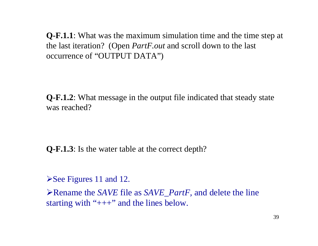**Q-F.1.1**: What was the maximum simulation time and the time step at the last iteration? (Open *PartF.out* and scroll down to the last occurrence of "OUTPUT DATA")

**Q-F.1.2**: What message in the output file indicated that steady state was reached?

**Q-F.1.3**: Is the water table at the correct depth?

 $\blacktriangleright$  See Figures 11 and 12.

¾Rename the *SAVE* file as *SAVE\_PartF,* and delete the line starting with " $+++$ " and the lines below.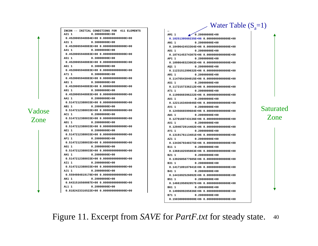Water Table  $(S_a=1)$ 

**INCON -- INITIAL CONDITIONS FOR 411 ELEMENTS A21 1 0.30000000E+000.4520065948884E+00 0.0000000000000E+00 A31 1 0.30000000E+000.4520065948883E+00 0.0000000000000E+00A41 1 0.30000000E+000.4520065948883E+00 0.0000000000000E+00A51 1 0.30000000E+000.4520065948883E+00 0.0000000000000E+00A61 1 0.30000000E+000.4520065948883E+00 0.0000000000000E+00A71 1 0.30000000E+000.4520065948883E+00 0.0000000000000E+00A81 1 0.30000000E+000.4520065948883E+00 0.0000000000000E+00 A91 1 0.30000000E+000.4520065948883E+00 0.0000000000000E+00AA1 1 0.20000000E+000.5147212388033E+00 0.0000000000000E+00 AB1 1 0.20000000E+000.5147212388033E+00 0.0000000000000E+00AC1 1 0.20000000E+000.5147212388033E+00 0.0000000000000E+00AD1 1 0.20000000E+000.5147212388033E+00 0.0000000000000E+00AE1 1 0.20000000E+000.5147212388033E+00 0.0000000000000E+00 AF1 1 0.20000000E+000.5147212388033E+00 0.0000000000000E+00AG1 1 0.20000000E+000.5147212388033E+00 0.0000000000000E+00AH1 1 0.20000000E+000.5147212388033E+00 0.0000000000000E+00 AI1 1 0.20000000E+000.5147212388033E+00 0.0000000000000E+00AJ1 1 0.20000000E+000.5594984819178E+00 0.0000000000000E+00AK1 1 0.20000000E+000.6431516560087E+00 0.0000000000000E+00AL1 1 0.20000000E+000.8182423316522E+00 0.0000000000000E+00**

Vadose

Zone

AM1 1 0.20000000E+00 **0.1025139560235E+06 0.0000000000000E+00 AN1 1 0.20000000E+000.1049642453364E+06 0.0000000000000E+00 AO1 1 0.20000000E+000.1074145374307E+06 0.0000000000000E+00AP1 1 0.20000000E+000.1098648323063E+06 0.0000000000000E+00AQ1 1 0.20000000E+00 0.1123151299632E+06 0.0000000000000E+00AR1 1 0.20000000E+000.1147654304015E+06 0.0000000000000E+00AS1 1 0.20000000E+000.1172157336212E+06 0.0000000000000E+00AT1 1 0.20000000E+000.1196660396222E+06 0.0000000000000E+00AU1 1 0.20000000E+000.1221163484046E+06 0.0000000000000E+00AV1 1 0.20000000E+000.1245666599684E+06 0.0000000000000E+00AW1 1 0.20000000E+000.1270169743136E+06 0.0000000000000E+00AX1 1 0.20000000E+000.1294672914402E+06 0.0000000000000E+00AY1 1 0.20000000E+000.1319176113481E+06 0.0000000000000E+00AZ1 1 0.20000000E+000.1343679340375E+06 0.0000000000000E+00B11 1 0.20000000E+000.1368182595083E+06 0.0000000000000E+00B21 1 0.20000000E+000.1392685877605E+06 0.0000000000000E+00B31 1 0.20000000E+000.1417189187941E+06 0.0000000000000E+00B41 1 0.20000000E+000.1441692526092E+06 0.0000000000000E+00B51 1 0.20000000E+000.1466195892057E+06 0.0000000000000E+00B61 1 0.20000000E+000.1490699285836E+06 0.0000000000000E+00 B71 1 0.20000000E+000.1503000000000E+06 0.0000000000000E+00**

Saturated Zone

40Figure 11. Excerpt from *SAVE* for *PartF.txt* for steady state.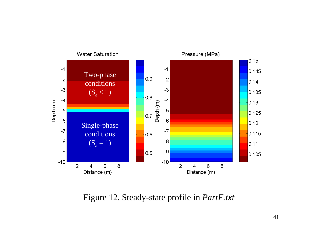

Figure 12. Steady-state profile in *PartF.txt*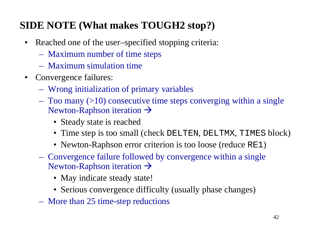# **SIDE NOTE (What makes TOUGH2 stop?)**

- $\bullet$  Reached one of the user–specified stopping criteria:
	- Maximum number of time steps
	- Maximum simulation time
- Convergence failures:
	- Wrong initialization of primary variables
	- Too many (>10) consecutive time steps converging within a single Newton-Raphson iteration  $\rightarrow$ 
		- Steady state is reached
		- Time step is too small (check DELTEN, DELTMX, TIMES block)
		- Newton-Raphson error criterion is too loose (reduce RE1)
	- Convergence failure followed by convergence within a single Newton-Raphson iteration  $\rightarrow$ 
		- May indicate steady state!
		- Serious convergence difficulty (usually phase changes)
	- More than 25 time-step reductions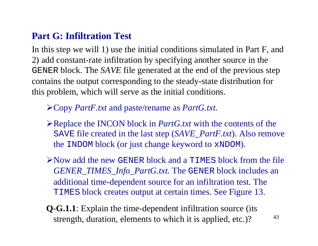### **Part G: Infiltration Test**

In this step we will 1) use the initial conditions simulated in Part F, and 2) add constant-rate infiltration by specifying another source in the GENER block. The *SAVE* file generated at the end of the previous step contains the output corresponding to the steady-state distribution for this problem, which will serve as the initial conditions.

## ¾Copy *PartF.txt* and paste/rename as *PartG.txt*.

- ¾Replace the INCON block in *PartG.txt* with the contents of the SAVE file created in the last step (*SAVE\_PartF.txt*). Also remove the INDOM block (or just change keyword to xNDOM).
- $\triangleright$  Now add the new GENER block and a TIMES block from the file *GENER\_TIMES\_Info\_PartG.txt.* The GENER block includes an additional time-dependent source for an infiltration test. The TIMES block creates output at certain times. See Figure 13.
- **Q-G.1.1**: Explain the time-dependent infiltration source (its strength, duration, elements to which it is applied, etc.)?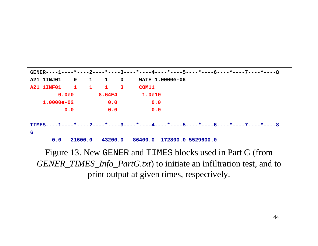

Figure 13. New GENER and TIMES blocks used in Part G (from *GENER\_TIMES\_Info\_PartG.txt*) to initiate an infiltration test, and to print output at given times, respectively.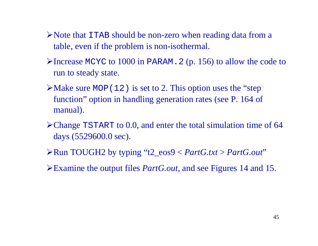- ¾Note that ITAB should be non-zero when reading data from a table, even if the problem is non-isothermal.
- ¾Increase MCYC to 1000 in PARAM.2 (p. 156) to allow the code to run to steady state.
- $\blacktriangleright$  Make sure MOP(12) is set to 2. This option uses the "step" function" option in handling generation rates (see P. 164 of manual).
- ¾Change TSTART to 0.0, and enter the total simulation time of 64 days (5529600.0 sec).
- ¾Run TOUGH2 by typing "t2\_eos9 < *PartG.txt* <sup>&</sup>gt;*PartG.out*"
- ¾Examine the output files *PartG.out*, and see Figures 14 and 15.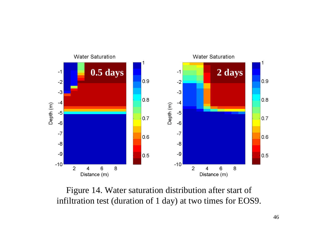

Figure 14. Water saturation distribution after start of infiltration test (duration of 1 day) at two times for EOS9.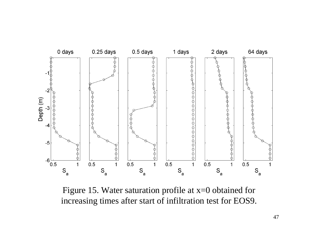

Figure 15. Water saturation profile at  $x=0$  obtained for increasing times after start of infiltration test for EOS9.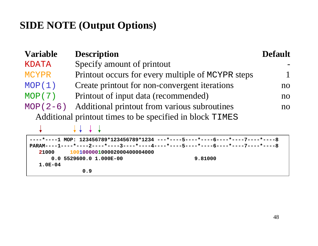# **SIDE NOTE (Output Options)**

**21000 100100000100002000400004000**

0.0 5529600.0 1.000E-00

**0.9** 

**1.0E-04**

| <b>Variable</b>                                                                                                                                                 | <b>Description</b>                                | <b>Default</b> |  |
|-----------------------------------------------------------------------------------------------------------------------------------------------------------------|---------------------------------------------------|----------------|--|
| <b>KDATA</b>                                                                                                                                                    | Specify amount of printout                        |                |  |
| <b>MCYPR</b>                                                                                                                                                    | Printout occurs for every multiple of MCYPR steps |                |  |
| MOP(1)                                                                                                                                                          | Create printout for non-convergent iterations     | n <sub>O</sub> |  |
| MOP(7)                                                                                                                                                          | Printout of input data (recommended)              | n <sub>O</sub> |  |
| $MOP(2-6)$                                                                                                                                                      | Additional printout from various subroutines      | n <sub>O</sub> |  |
| Additional printout times to be specified in block TIMES                                                                                                        |                                                   |                |  |
|                                                                                                                                                                 |                                                   |                |  |
| -1 MOP: 123456789*123456789*1234    ---*----5----*----6----*----7----*----8<br>PARAM----1----*----2----*----3----*----4----*----5----*----6----*----7----*----8 |                                                   |                |  |

9.81000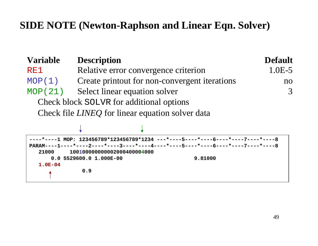## **SIDE NOTE (Newton-Raphson and Linear Eqn. Solver)**

| <b>Variable</b>                                                                  | <b>Description</b>                                                           | <b>Default</b> |  |  |
|----------------------------------------------------------------------------------|------------------------------------------------------------------------------|----------------|--|--|
| RE1                                                                              | Relative error convergence criterion                                         | $1.0E-5$       |  |  |
| MOP(1)                                                                           | Create printout for non-convergent iterations                                |                |  |  |
| MOP(21)                                                                          | Select linear equation solver                                                | 3              |  |  |
| Check block SOLVR for additional options                                         |                                                                              |                |  |  |
|                                                                                  | Check file <i>LINEQ</i> for linear equation solver data                      |                |  |  |
|                                                                                  |                                                                              |                |  |  |
|                                                                                  | *----1 MOP: 123456789*123456789*1234 ---*----5----*----6----*----7----*----8 |                |  |  |
| PARAM----1----*----2----*----3----*----4----*----5----*----6----*----7----*----8 |                                                                              |                |  |  |
| 21000                                                                            | 100100000000002000400004000<br>$0.0$ 5529600.0 1.000E-00                     | 9.81000        |  |  |

**1.0E-04**

**0.9**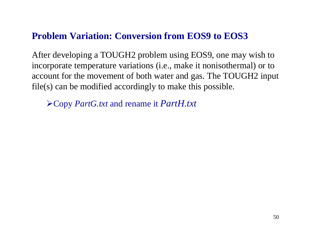### **Problem Variation: Conversion from EOS9 to EOS3**

After developing a TOUGH2 problem using EOS9, one may wish to incorporate temperature variations (i.e., make it nonisothermal) or to account for the movement of both water and gas. The TOUGH2 input file(s) can be modified accordingly to make this possible.

¾Copy *PartG.txt* and rename it *PartH.txt*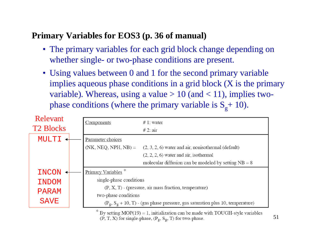### **Primary Variables for EOS3 (p. 36 of manual)**

- The primary variables for each grid block change depending on whether single- or two-phase conditions are present.
- Using values between 0 and 1 for the second primary variable implies aqueous phase conditions in a grid block (X is the primary variable). Whereas, using a value  $> 10$  (and  $< 11$ ), implies twophase conditions (where the primary variable is  $S_g + 10$ ).

| Relevant<br><b>T2 Blocks</b>                   | Components                                                                                               | $# 1$ : water<br># 2: air                                                                                                                        |  |
|------------------------------------------------|----------------------------------------------------------------------------------------------------------|--------------------------------------------------------------------------------------------------------------------------------------------------|--|
| MULTI                                          | Parameter choices                                                                                        |                                                                                                                                                  |  |
|                                                |                                                                                                          | $(NK, NEG, NPH, NB) = (2, 3, 2, 6)$ water and air, nonisothermal (default)<br>$(2, 2, 2, 6)$ water and air, isothermal                           |  |
|                                                |                                                                                                          | molecular diffusion can be modeled by setting $NB = 8$                                                                                           |  |
| Primary Variables <sup>*</sup><br><b>INCON</b> |                                                                                                          |                                                                                                                                                  |  |
| <b>INDOM</b>                                   | single-phase conditions                                                                                  |                                                                                                                                                  |  |
| <b>PARAM</b>                                   | $(P, X, T)$ - (pressure, air mass fraction, temperature)                                                 |                                                                                                                                                  |  |
| <b>SAVE</b>                                    | two-phase conditions<br>$(P_g, S_g + 10, T)$ - (gas phase pressure, gas saturation plus 10, temperature) |                                                                                                                                                  |  |
|                                                |                                                                                                          | By setting $MOP(19) = 1$ , initialization can be made with TOUGH-style variables<br>$(P, T, X)$ for single-phase, $(P_g, S_g, T)$ for two-phase. |  |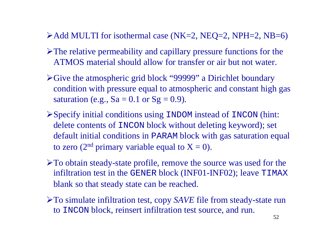- $\blacktriangleright$  Add MULTI for isothermal case (NK=2, NEQ=2, NPH=2, NB=6)
- $\triangleright$  The relative permeability and capillary pressure functions for the ATMOS material should allow for transfer or air but not water.
- ¾Give the atmospheric grid block "99999" a Dirichlet boundary condition with pressure equal to atmospheric and constant high gas saturation (e.g.,  $Sa = 0.1$  or  $Sg = 0.9$ ).
- ¾Specify initial conditions using INDOM instead of INCON (hint: delete contents of INCON block without deleting keyword); set default initial conditions in PARAM block with gas saturation equal to zero (2<sup>nd</sup> primary variable equal to  $X = 0$ ).
- ¾To obtain steady-state profile, remove the source was used for the infiltration test in the GENER block (INF01-INF02); leave TIMAX blank so that steady state can be reached.
- ¾To simulate infiltration test, copy *SAVE* file from steady-state run to INCON block, reinsert infiltration test source, and run.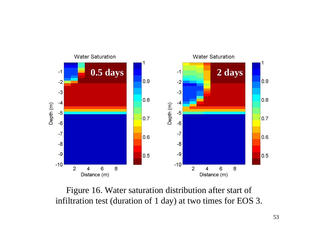

Figure 16. Water saturation distribution after start of infiltration test (duration of 1 day) at two times for EOS 3.